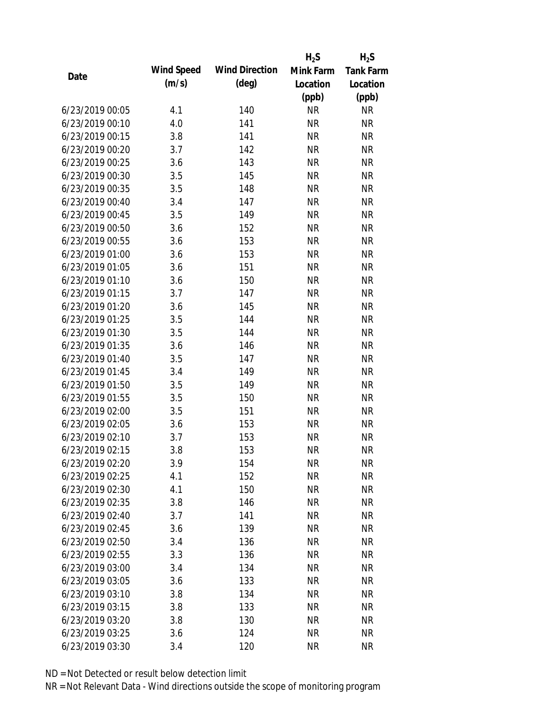|                 |            |                       | $H_2S$    | $H_2S$           |
|-----------------|------------|-----------------------|-----------|------------------|
| Date            | Wind Speed | <b>Wind Direction</b> | Mink Farm | <b>Tank Farm</b> |
|                 | (m/s)      | $(\text{deg})$        | Location  | Location         |
|                 |            |                       | (ppb)     | (ppb)            |
| 6/23/2019 00:05 | 4.1        | 140                   | <b>NR</b> | <b>NR</b>        |
| 6/23/2019 00:10 | 4.0        | 141                   | <b>NR</b> | <b>NR</b>        |
| 6/23/2019 00:15 | 3.8        | 141                   | <b>NR</b> | <b>NR</b>        |
| 6/23/2019 00:20 | 3.7        | 142                   | <b>NR</b> | <b>NR</b>        |
| 6/23/2019 00:25 | 3.6        | 143                   | <b>NR</b> | <b>NR</b>        |
| 6/23/2019 00:30 | 3.5        | 145                   | <b>NR</b> | <b>NR</b>        |
| 6/23/2019 00:35 | 3.5        | 148                   | <b>NR</b> | <b>NR</b>        |
| 6/23/2019 00:40 | 3.4        | 147                   | <b>NR</b> | <b>NR</b>        |
| 6/23/2019 00:45 | 3.5        | 149                   | <b>NR</b> | <b>NR</b>        |
| 6/23/2019 00:50 | 3.6        | 152                   | <b>NR</b> | <b>NR</b>        |
| 6/23/2019 00:55 | 3.6        | 153                   | <b>NR</b> | <b>NR</b>        |
| 6/23/2019 01:00 | 3.6        | 153                   | <b>NR</b> | <b>NR</b>        |
| 6/23/2019 01:05 | 3.6        | 151                   | <b>NR</b> | <b>NR</b>        |
| 6/23/2019 01:10 | 3.6        | 150                   | <b>NR</b> | <b>NR</b>        |
| 6/23/2019 01:15 | 3.7        | 147                   | <b>NR</b> | <b>NR</b>        |
| 6/23/2019 01:20 | 3.6        | 145                   | <b>NR</b> | <b>NR</b>        |
| 6/23/2019 01:25 | 3.5        | 144                   | <b>NR</b> | <b>NR</b>        |
| 6/23/2019 01:30 | 3.5        | 144                   | <b>NR</b> | <b>NR</b>        |
| 6/23/2019 01:35 | 3.6        | 146                   | <b>NR</b> | <b>NR</b>        |
| 6/23/2019 01:40 | 3.5        | 147                   | <b>NR</b> | <b>NR</b>        |
| 6/23/2019 01:45 | 3.4        | 149                   | <b>NR</b> | <b>NR</b>        |
| 6/23/2019 01:50 | 3.5        | 149                   | <b>NR</b> | <b>NR</b>        |
| 6/23/2019 01:55 | 3.5        | 150                   | <b>NR</b> | <b>NR</b>        |
| 6/23/2019 02:00 | 3.5        | 151                   | <b>NR</b> | <b>NR</b>        |
| 6/23/2019 02:05 | 3.6        | 153                   | <b>NR</b> | <b>NR</b>        |
| 6/23/2019 02:10 | 3.7        | 153                   | <b>NR</b> | <b>NR</b>        |
| 6/23/2019 02:15 | 3.8        | 153                   | <b>NR</b> | <b>NR</b>        |
| 6/23/2019 02:20 | 3.9        | 154                   | <b>NR</b> | <b>NR</b>        |
| 6/23/2019 02:25 | 4.1        | 152                   | <b>NR</b> | <b>NR</b>        |
| 6/23/2019 02:30 | 4.1        | 150                   | <b>NR</b> | <b>NR</b>        |
| 6/23/2019 02:35 | 3.8        | 146                   | <b>NR</b> | <b>NR</b>        |
| 6/23/2019 02:40 | 3.7        | 141                   | <b>NR</b> | <b>NR</b>        |
| 6/23/2019 02:45 | 3.6        | 139                   | <b>NR</b> | <b>NR</b>        |
| 6/23/2019 02:50 | 3.4        | 136                   | <b>NR</b> | <b>NR</b>        |
| 6/23/2019 02:55 | 3.3        | 136                   | <b>NR</b> | <b>NR</b>        |
| 6/23/2019 03:00 | 3.4        | 134                   | <b>NR</b> | <b>NR</b>        |
| 6/23/2019 03:05 | 3.6        | 133                   | <b>NR</b> | <b>NR</b>        |
| 6/23/2019 03:10 | 3.8        | 134                   | NR        | <b>NR</b>        |
| 6/23/2019 03:15 | 3.8        | 133                   | <b>NR</b> | <b>NR</b>        |
| 6/23/2019 03:20 | 3.8        | 130                   | <b>NR</b> | <b>NR</b>        |
| 6/23/2019 03:25 | 3.6        | 124                   | <b>NR</b> | <b>NR</b>        |
| 6/23/2019 03:30 | 3.4        | 120                   | <b>NR</b> | <b>NR</b>        |
|                 |            |                       |           |                  |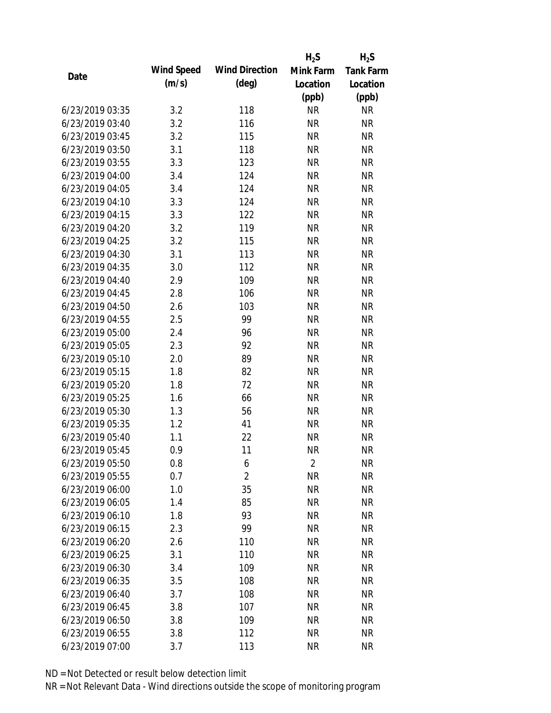|                 |            |                       | $H_2S$         | $H_2S$           |
|-----------------|------------|-----------------------|----------------|------------------|
|                 | Wind Speed | <b>Wind Direction</b> | Mink Farm      | <b>Tank Farm</b> |
| Date            | (m/s)      | $(\text{deg})$        | Location       | Location         |
|                 |            |                       | (ppb)          | (ppb)            |
| 6/23/2019 03:35 | 3.2        | 118                   | <b>NR</b>      | <b>NR</b>        |
| 6/23/2019 03:40 | 3.2        | 116                   | <b>NR</b>      | <b>NR</b>        |
| 6/23/2019 03:45 | 3.2        | 115                   | <b>NR</b>      | <b>NR</b>        |
| 6/23/2019 03:50 | 3.1        | 118                   | <b>NR</b>      | <b>NR</b>        |
| 6/23/2019 03:55 | 3.3        | 123                   | <b>NR</b>      | <b>NR</b>        |
| 6/23/2019 04:00 | 3.4        | 124                   | <b>NR</b>      | <b>NR</b>        |
| 6/23/2019 04:05 | 3.4        | 124                   | <b>NR</b>      | <b>NR</b>        |
| 6/23/2019 04:10 | 3.3        | 124                   | <b>NR</b>      | <b>NR</b>        |
| 6/23/2019 04:15 | 3.3        | 122                   | <b>NR</b>      | <b>NR</b>        |
| 6/23/2019 04:20 | 3.2        | 119                   | <b>NR</b>      | <b>NR</b>        |
| 6/23/2019 04:25 | 3.2        | 115                   | <b>NR</b>      | <b>NR</b>        |
| 6/23/2019 04:30 | 3.1        | 113                   | <b>NR</b>      | <b>NR</b>        |
| 6/23/2019 04:35 | 3.0        | 112                   | <b>NR</b>      | <b>NR</b>        |
| 6/23/2019 04:40 | 2.9        | 109                   | <b>NR</b>      | <b>NR</b>        |
| 6/23/2019 04:45 | 2.8        | 106                   | <b>NR</b>      | <b>NR</b>        |
| 6/23/2019 04:50 | 2.6        | 103                   | <b>NR</b>      | <b>NR</b>        |
| 6/23/2019 04:55 | 2.5        | 99                    | <b>NR</b>      | <b>NR</b>        |
| 6/23/2019 05:00 | 2.4        | 96                    | <b>NR</b>      | <b>NR</b>        |
| 6/23/2019 05:05 | 2.3        | 92                    | <b>NR</b>      | <b>NR</b>        |
| 6/23/2019 05:10 | 2.0        | 89                    | <b>NR</b>      | <b>NR</b>        |
| 6/23/2019 05:15 | 1.8        | 82                    | <b>NR</b>      | <b>NR</b>        |
| 6/23/2019 05:20 | 1.8        | 72                    | <b>NR</b>      | <b>NR</b>        |
| 6/23/2019 05:25 | 1.6        | 66                    | <b>NR</b>      | <b>NR</b>        |
| 6/23/2019 05:30 | 1.3        | 56                    | <b>NR</b>      | <b>NR</b>        |
| 6/23/2019 05:35 | 1.2        | 41                    | <b>NR</b>      | <b>NR</b>        |
| 6/23/2019 05:40 | 1.1        | 22                    | <b>NR</b>      | <b>NR</b>        |
| 6/23/2019 05:45 | 0.9        | 11                    | <b>NR</b>      | <b>NR</b>        |
| 6/23/2019 05:50 | 0.8        | 6                     | $\overline{2}$ | <b>NR</b>        |
| 6/23/2019 05:55 | 0.7        | $\overline{2}$        | <b>NR</b>      | <b>NR</b>        |
| 6/23/2019 06:00 | 1.0        | 35                    | <b>NR</b>      | <b>NR</b>        |
| 6/23/2019 06:05 | 1.4        | 85                    | <b>NR</b>      | <b>NR</b>        |
| 6/23/2019 06:10 | 1.8        | 93                    | <b>NR</b>      | <b>NR</b>        |
| 6/23/2019 06:15 | 2.3        | 99                    | <b>NR</b>      | <b>NR</b>        |
| 6/23/2019 06:20 | 2.6        | 110                   | <b>NR</b>      | <b>NR</b>        |
| 6/23/2019 06:25 | 3.1        | 110                   | <b>NR</b>      | <b>NR</b>        |
| 6/23/2019 06:30 | 3.4        | 109                   | <b>NR</b>      | <b>NR</b>        |
| 6/23/2019 06:35 | 3.5        | 108                   | <b>NR</b>      | <b>NR</b>        |
| 6/23/2019 06:40 | 3.7        | 108                   | <b>NR</b>      | <b>NR</b>        |
| 6/23/2019 06:45 | 3.8        | 107                   | <b>NR</b>      | <b>NR</b>        |
| 6/23/2019 06:50 | 3.8        | 109                   | <b>NR</b>      | NR               |
| 6/23/2019 06:55 | 3.8        | 112                   | <b>NR</b>      | <b>NR</b>        |
| 6/23/2019 07:00 | 3.7        | 113                   | <b>NR</b>      | <b>NR</b>        |
|                 |            |                       |                |                  |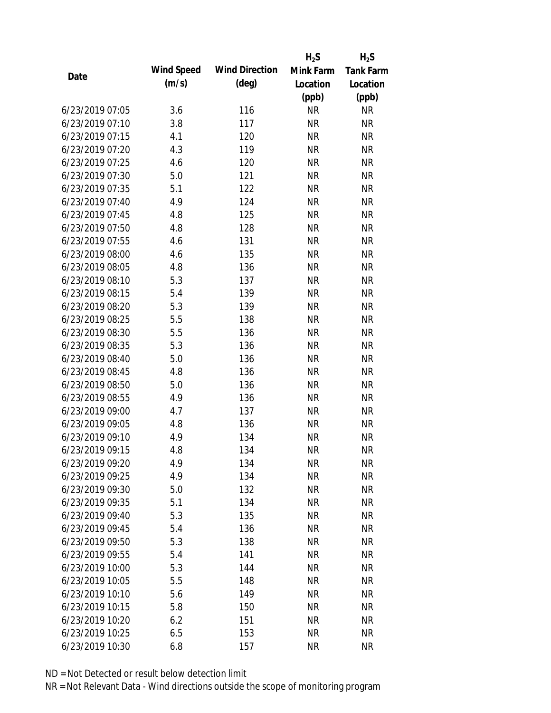|                 |            |                       | $H_2S$    | $H_2S$           |
|-----------------|------------|-----------------------|-----------|------------------|
|                 | Wind Speed | <b>Wind Direction</b> | Mink Farm | <b>Tank Farm</b> |
| Date            | (m/s)      | $(\text{deg})$        | Location  | Location         |
|                 |            |                       | (ppb)     | (ppb)            |
| 6/23/2019 07:05 | 3.6        | 116                   | <b>NR</b> | <b>NR</b>        |
| 6/23/2019 07:10 | 3.8        | 117                   | <b>NR</b> | <b>NR</b>        |
| 6/23/2019 07:15 | 4.1        | 120                   | <b>NR</b> | <b>NR</b>        |
| 6/23/2019 07:20 | 4.3        | 119                   | <b>NR</b> | <b>NR</b>        |
| 6/23/2019 07:25 | 4.6        | 120                   | <b>NR</b> | <b>NR</b>        |
| 6/23/2019 07:30 | 5.0        | 121                   | <b>NR</b> | <b>NR</b>        |
| 6/23/2019 07:35 | 5.1        | 122                   | <b>NR</b> | <b>NR</b>        |
| 6/23/2019 07:40 | 4.9        | 124                   | <b>NR</b> | <b>NR</b>        |
| 6/23/2019 07:45 | 4.8        | 125                   | <b>NR</b> | <b>NR</b>        |
| 6/23/2019 07:50 | 4.8        | 128                   | <b>NR</b> | <b>NR</b>        |
| 6/23/2019 07:55 | 4.6        | 131                   | <b>NR</b> | <b>NR</b>        |
| 6/23/2019 08:00 | 4.6        | 135                   | <b>NR</b> | <b>NR</b>        |
| 6/23/2019 08:05 | 4.8        | 136                   | <b>NR</b> | <b>NR</b>        |
| 6/23/2019 08:10 | 5.3        | 137                   | <b>NR</b> | <b>NR</b>        |
| 6/23/2019 08:15 | 5.4        | 139                   | <b>NR</b> | <b>NR</b>        |
| 6/23/2019 08:20 | 5.3        | 139                   | <b>NR</b> | <b>NR</b>        |
| 6/23/2019 08:25 | 5.5        | 138                   | <b>NR</b> | <b>NR</b>        |
| 6/23/2019 08:30 | 5.5        | 136                   | <b>NR</b> | <b>NR</b>        |
| 6/23/2019 08:35 | 5.3        | 136                   | <b>NR</b> | <b>NR</b>        |
| 6/23/2019 08:40 | 5.0        | 136                   | <b>NR</b> | <b>NR</b>        |
| 6/23/2019 08:45 | 4.8        | 136                   | <b>NR</b> | <b>NR</b>        |
| 6/23/2019 08:50 | 5.0        | 136                   | <b>NR</b> | <b>NR</b>        |
| 6/23/2019 08:55 | 4.9        | 136                   | <b>NR</b> | <b>NR</b>        |
| 6/23/2019 09:00 | 4.7        | 137                   | <b>NR</b> | <b>NR</b>        |
| 6/23/2019 09:05 | 4.8        | 136                   | <b>NR</b> | <b>NR</b>        |
| 6/23/2019 09:10 | 4.9        | 134                   | <b>NR</b> | <b>NR</b>        |
| 6/23/2019 09:15 | 4.8        | 134                   | <b>NR</b> | <b>NR</b>        |
| 6/23/2019 09:20 | 4.9        | 134                   | <b>NR</b> | <b>NR</b>        |
| 6/23/2019 09:25 | 4.9        | 134                   | <b>NR</b> | <b>NR</b>        |
| 6/23/2019 09:30 | 5.0        | 132                   | <b>NR</b> | <b>NR</b>        |
| 6/23/2019 09:35 | 5.1        | 134                   | <b>NR</b> | <b>NR</b>        |
| 6/23/2019 09:40 | 5.3        | 135                   | <b>NR</b> | <b>NR</b>        |
| 6/23/2019 09:45 | 5.4        | 136                   | <b>NR</b> | <b>NR</b>        |
| 6/23/2019 09:50 | 5.3        | 138                   | <b>NR</b> | <b>NR</b>        |
| 6/23/2019 09:55 | 5.4        | 141                   | <b>NR</b> | <b>NR</b>        |
| 6/23/2019 10:00 | 5.3        | 144                   | <b>NR</b> | <b>NR</b>        |
| 6/23/2019 10:05 | 5.5        | 148                   | <b>NR</b> | <b>NR</b>        |
| 6/23/2019 10:10 | 5.6        | 149                   | <b>NR</b> | <b>NR</b>        |
| 6/23/2019 10:15 | 5.8        | 150                   | <b>NR</b> | <b>NR</b>        |
| 6/23/2019 10:20 | 6.2        | 151                   | <b>NR</b> | NR               |
| 6/23/2019 10:25 | 6.5        | 153                   | <b>NR</b> | <b>NR</b>        |
| 6/23/2019 10:30 | 6.8        | 157                   | <b>NR</b> | <b>NR</b>        |
|                 |            |                       |           |                  |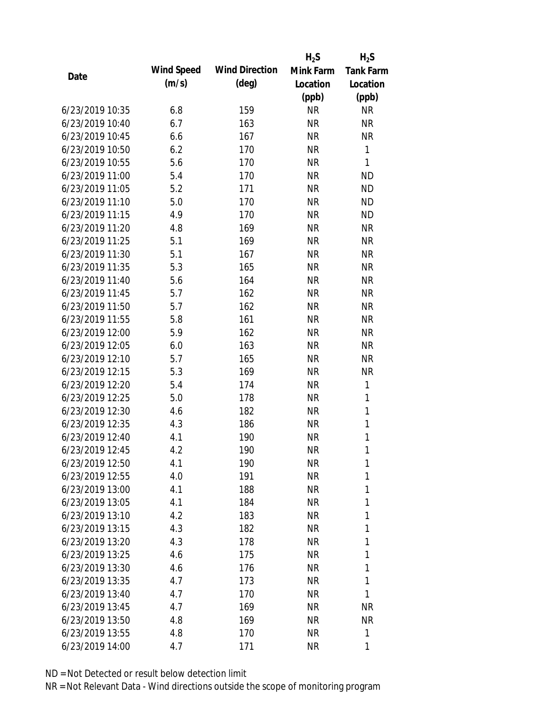|                 |            |                       | $H_2S$    | $H_2S$           |
|-----------------|------------|-----------------------|-----------|------------------|
| Date            | Wind Speed | <b>Wind Direction</b> | Mink Farm | <b>Tank Farm</b> |
|                 | (m/s)      | $(\text{deg})$        | Location  | Location         |
|                 |            |                       | (ppb)     | (ppb)            |
| 6/23/2019 10:35 | 6.8        | 159                   | <b>NR</b> | <b>NR</b>        |
| 6/23/2019 10:40 | 6.7        | 163                   | <b>NR</b> | <b>NR</b>        |
| 6/23/2019 10:45 | 6.6        | 167                   | <b>NR</b> | <b>NR</b>        |
| 6/23/2019 10:50 | 6.2        | 170                   | <b>NR</b> | $\mathbf{1}$     |
| 6/23/2019 10:55 | 5.6        | 170                   | <b>NR</b> | $\mathbf{1}$     |
| 6/23/2019 11:00 | 5.4        | 170                   | <b>NR</b> | <b>ND</b>        |
| 6/23/2019 11:05 | 5.2        | 171                   | <b>NR</b> | <b>ND</b>        |
| 6/23/2019 11:10 | 5.0        | 170                   | <b>NR</b> | <b>ND</b>        |
| 6/23/2019 11:15 | 4.9        | 170                   | <b>NR</b> | <b>ND</b>        |
| 6/23/2019 11:20 | 4.8        | 169                   | <b>NR</b> | <b>NR</b>        |
| 6/23/2019 11:25 | 5.1        | 169                   | <b>NR</b> | <b>NR</b>        |
| 6/23/2019 11:30 | 5.1        | 167                   | <b>NR</b> | <b>NR</b>        |
| 6/23/2019 11:35 | 5.3        | 165                   | <b>NR</b> | <b>NR</b>        |
| 6/23/2019 11:40 | 5.6        | 164                   | <b>NR</b> | <b>NR</b>        |
| 6/23/2019 11:45 | 5.7        | 162                   | <b>NR</b> | <b>NR</b>        |
| 6/23/2019 11:50 | 5.7        | 162                   | <b>NR</b> | <b>NR</b>        |
| 6/23/2019 11:55 | 5.8        | 161                   | <b>NR</b> | <b>NR</b>        |
| 6/23/2019 12:00 | 5.9        | 162                   | <b>NR</b> | <b>NR</b>        |
| 6/23/2019 12:05 | 6.0        | 163                   | <b>NR</b> | <b>NR</b>        |
| 6/23/2019 12:10 | 5.7        | 165                   | <b>NR</b> | <b>NR</b>        |
| 6/23/2019 12:15 | 5.3        | 169                   | <b>NR</b> | <b>NR</b>        |
| 6/23/2019 12:20 | 5.4        | 174                   | <b>NR</b> | $\mathbf{1}$     |
| 6/23/2019 12:25 | 5.0        | 178                   | <b>NR</b> | 1                |
| 6/23/2019 12:30 | 4.6        | 182                   | <b>NR</b> | $\mathbf{1}$     |
| 6/23/2019 12:35 | 4.3        | 186                   | <b>NR</b> | 1                |
| 6/23/2019 12:40 | 4.1        | 190                   | <b>NR</b> | $\mathbf{1}$     |
| 6/23/2019 12:45 | 4.2        | 190                   | <b>NR</b> | 1                |
| 6/23/2019 12:50 | 4.1        | 190                   | <b>NR</b> | 1                |
| 6/23/2019 12:55 | 4.0        | 191                   | NR        | 1                |
| 6/23/2019 13:00 | 4.1        | 188                   | NR        | 1                |
| 6/23/2019 13:05 | 4.1        | 184                   | <b>NR</b> | 1                |
| 6/23/2019 13:10 | 4.2        | 183                   | NR        | 1                |
| 6/23/2019 13:15 | 4.3        | 182                   | NR        | 1                |
| 6/23/2019 13:20 | 4.3        | 178                   | <b>NR</b> | 1                |
| 6/23/2019 13:25 | 4.6        | 175                   | NR        | 1                |
| 6/23/2019 13:30 | 4.6        | 176                   | <b>NR</b> | 1                |
| 6/23/2019 13:35 | 4.7        | 173                   | NR        | 1                |
| 6/23/2019 13:40 | 4.7        | 170                   | NR        | 1                |
| 6/23/2019 13:45 | 4.7        | 169                   | NR        | <b>NR</b>        |
| 6/23/2019 13:50 | 4.8        | 169                   | NR        | <b>NR</b>        |
| 6/23/2019 13:55 | 4.8        | 170                   | <b>NR</b> | 1                |
| 6/23/2019 14:00 | 4.7        | 171                   | <b>NR</b> | 1                |
|                 |            |                       |           |                  |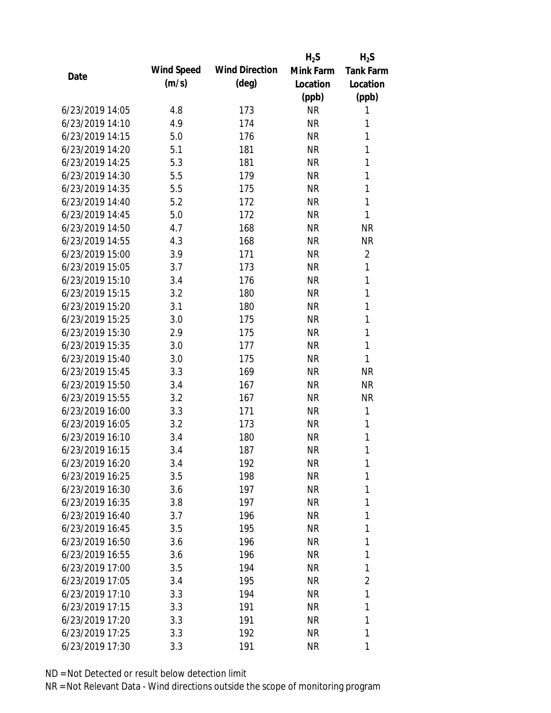|                 |            |                       | $H_2S$    | $H_2S$           |
|-----------------|------------|-----------------------|-----------|------------------|
|                 | Wind Speed | <b>Wind Direction</b> | Mink Farm | <b>Tank Farm</b> |
| Date            | (m/s)      | $(\text{deg})$        | Location  | Location         |
|                 |            |                       | (ppb)     | (ppb)            |
| 6/23/2019 14:05 | 4.8        | 173                   | <b>NR</b> | 1                |
| 6/23/2019 14:10 | 4.9        | 174                   | <b>NR</b> | 1                |
| 6/23/2019 14:15 | 5.0        | 176                   | <b>NR</b> | 1                |
| 6/23/2019 14:20 | 5.1        | 181                   | <b>NR</b> | $\mathbf{1}$     |
| 6/23/2019 14:25 | 5.3        | 181                   | <b>NR</b> | 1                |
| 6/23/2019 14:30 | 5.5        | 179                   | <b>NR</b> | 1                |
| 6/23/2019 14:35 | 5.5        | 175                   | <b>NR</b> | 1                |
| 6/23/2019 14:40 | 5.2        | 172                   | <b>NR</b> | 1                |
| 6/23/2019 14:45 | 5.0        | 172                   | <b>NR</b> | 1                |
| 6/23/2019 14:50 | 4.7        | 168                   | <b>NR</b> | <b>NR</b>        |
| 6/23/2019 14:55 | 4.3        | 168                   | <b>NR</b> | <b>NR</b>        |
| 6/23/2019 15:00 | 3.9        | 171                   | <b>NR</b> | $\overline{2}$   |
| 6/23/2019 15:05 | 3.7        | 173                   | <b>NR</b> | 1                |
| 6/23/2019 15:10 | 3.4        | 176                   | <b>NR</b> | 1                |
| 6/23/2019 15:15 | 3.2        | 180                   | <b>NR</b> | $\mathbf{1}$     |
| 6/23/2019 15:20 | 3.1        | 180                   | <b>NR</b> | 1                |
| 6/23/2019 15:25 | 3.0        | 175                   | <b>NR</b> | 1                |
| 6/23/2019 15:30 | 2.9        | 175                   | <b>NR</b> | 1                |
| 6/23/2019 15:35 | 3.0        | 177                   | <b>NR</b> | 1                |
| 6/23/2019 15:40 | 3.0        | 175                   | <b>NR</b> | 1                |
| 6/23/2019 15:45 | 3.3        | 169                   | <b>NR</b> | <b>NR</b>        |
| 6/23/2019 15:50 | 3.4        | 167                   | <b>NR</b> | <b>NR</b>        |
| 6/23/2019 15:55 | 3.2        | 167                   | <b>NR</b> | <b>NR</b>        |
| 6/23/2019 16:00 | 3.3        | 171                   | <b>NR</b> | 1                |
| 6/23/2019 16:05 | 3.2        | 173                   | <b>NR</b> | 1                |
| 6/23/2019 16:10 | 3.4        | 180                   | <b>NR</b> | 1                |
| 6/23/2019 16:15 | 3.4        | 187                   | <b>NR</b> | 1                |
| 6/23/2019 16:20 | 3.4        | 192                   | <b>NR</b> | 1                |
| 6/23/2019 16:25 | 3.5        | 198                   | <b>NR</b> | 1                |
| 6/23/2019 16:30 | 3.6        | 197                   | <b>NR</b> | 1                |
| 6/23/2019 16:35 | 3.8        | 197                   | <b>NR</b> | 1                |
| 6/23/2019 16:40 | 3.7        | 196                   | <b>NR</b> | 1                |
| 6/23/2019 16:45 | 3.5        | 195                   | <b>NR</b> | 1                |
| 6/23/2019 16:50 | 3.6        | 196                   | <b>NR</b> | 1                |
| 6/23/2019 16:55 | 3.6        | 196                   | <b>NR</b> | 1                |
| 6/23/2019 17:00 | 3.5        | 194                   | <b>NR</b> | 1                |
| 6/23/2019 17:05 | 3.4        | 195                   | <b>NR</b> | 2                |
| 6/23/2019 17:10 | 3.3        | 194                   | NR        | 1                |
| 6/23/2019 17:15 | 3.3        | 191                   | <b>NR</b> | 1                |
| 6/23/2019 17:20 | 3.3        | 191                   | <b>NR</b> | 1                |
| 6/23/2019 17:25 | 3.3        | 192                   | <b>NR</b> | 1                |
| 6/23/2019 17:30 | 3.3        | 191                   | <b>NR</b> | 1                |
|                 |            |                       |           |                  |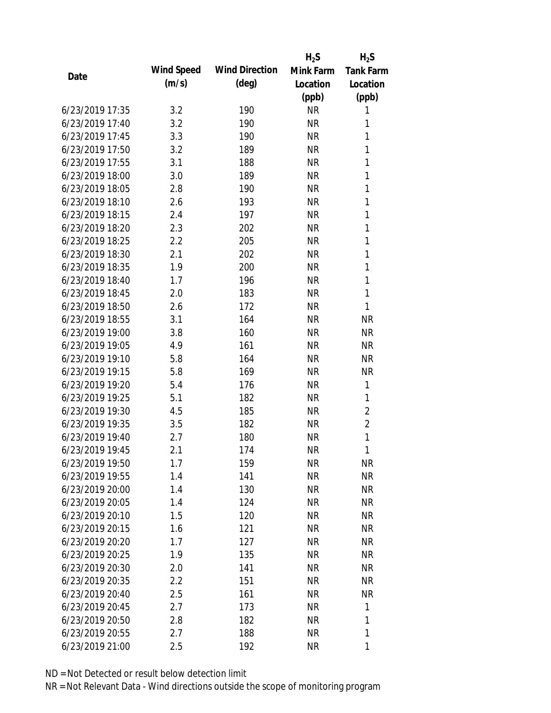|                 |            |                       | $H_2S$    | $H_2S$           |
|-----------------|------------|-----------------------|-----------|------------------|
|                 | Wind Speed | <b>Wind Direction</b> | Mink Farm | <b>Tank Farm</b> |
| Date            | (m/s)      | $(\text{deg})$        | Location  | Location         |
|                 |            |                       | (ppb)     | (ppb)            |
| 6/23/2019 17:35 | 3.2        | 190                   | <b>NR</b> | 1                |
| 6/23/2019 17:40 | 3.2        | 190                   | <b>NR</b> | 1                |
| 6/23/2019 17:45 | 3.3        | 190                   | <b>NR</b> | 1                |
| 6/23/2019 17:50 | 3.2        | 189                   | <b>NR</b> | 1                |
| 6/23/2019 17:55 | 3.1        | 188                   | <b>NR</b> | 1                |
| 6/23/2019 18:00 | 3.0        | 189                   | $\sf NR$  | 1                |
| 6/23/2019 18:05 | 2.8        | 190                   | <b>NR</b> | 1                |
| 6/23/2019 18:10 | 2.6        | 193                   | <b>NR</b> | 1                |
| 6/23/2019 18:15 | 2.4        | 197                   | <b>NR</b> | 1                |
| 6/23/2019 18:20 | 2.3        | 202                   | <b>NR</b> | 1                |
| 6/23/2019 18:25 | 2.2        | 205                   | <b>NR</b> | 1                |
| 6/23/2019 18:30 | 2.1        | 202                   | <b>NR</b> | 1                |
| 6/23/2019 18:35 | 1.9        | 200                   | <b>NR</b> | 1                |
| 6/23/2019 18:40 | 1.7        | 196                   | <b>NR</b> | $\mathbf{1}$     |
| 6/23/2019 18:45 | 2.0        | 183                   | <b>NR</b> | $\mathbf{1}$     |
| 6/23/2019 18:50 | 2.6        | 172                   | <b>NR</b> | 1                |
| 6/23/2019 18:55 | 3.1        | 164                   | <b>NR</b> | <b>NR</b>        |
| 6/23/2019 19:00 | 3.8        | 160                   | <b>NR</b> | <b>NR</b>        |
| 6/23/2019 19:05 | 4.9        | 161                   | <b>NR</b> | <b>NR</b>        |
| 6/23/2019 19:10 | 5.8        | 164                   | <b>NR</b> | <b>NR</b>        |
| 6/23/2019 19:15 | 5.8        | 169                   | <b>NR</b> | <b>NR</b>        |
| 6/23/2019 19:20 | 5.4        | 176                   | <b>NR</b> | 1                |
| 6/23/2019 19:25 | 5.1        | 182                   | <b>NR</b> | 1                |
| 6/23/2019 19:30 | 4.5        | 185                   | <b>NR</b> | $\overline{2}$   |
| 6/23/2019 19:35 | 3.5        | 182                   | <b>NR</b> | $\overline{2}$   |
| 6/23/2019 19:40 | 2.7        | 180                   | <b>NR</b> | 1                |
| 6/23/2019 19:45 | 2.1        | 174                   | <b>NR</b> | 1                |
| 6/23/2019 19:50 | 1.7        | 159                   | <b>NR</b> | <b>NR</b>        |
| 6/23/2019 19:55 | 1.4        | 141                   | <b>NR</b> | <b>NR</b>        |
| 6/23/2019 20:00 | 1.4        | 130                   | <b>NR</b> | <b>NR</b>        |
| 6/23/2019 20:05 | 1.4        | 124                   | <b>NR</b> | <b>NR</b>        |
| 6/23/2019 20:10 | 1.5        | 120                   | <b>NR</b> | <b>NR</b>        |
| 6/23/2019 20:15 | 1.6        | 121                   | <b>NR</b> | <b>NR</b>        |
| 6/23/2019 20:20 | 1.7        | 127                   | <b>NR</b> | <b>NR</b>        |
| 6/23/2019 20:25 | 1.9        | 135                   | <b>NR</b> | <b>NR</b>        |
| 6/23/2019 20:30 | 2.0        | 141                   | <b>NR</b> | <b>NR</b>        |
| 6/23/2019 20:35 | 2.2        | 151                   | <b>NR</b> | NR               |
| 6/23/2019 20:40 | 2.5        | 161                   | <b>NR</b> | <b>NR</b>        |
| 6/23/2019 20:45 | 2.7        | 173                   | <b>NR</b> | 1                |
| 6/23/2019 20:50 | 2.8        | 182                   | <b>NR</b> | 1                |
| 6/23/2019 20:55 | 2.7        | 188                   | <b>NR</b> | 1                |
| 6/23/2019 21:00 | 2.5        | 192                   | <b>NR</b> | 1                |
|                 |            |                       |           |                  |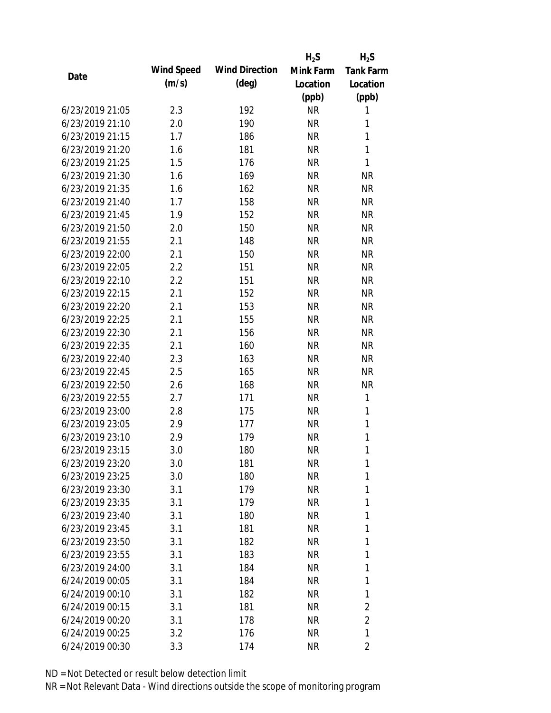|                 |            |                       | $H_2S$    | $H_2S$           |
|-----------------|------------|-----------------------|-----------|------------------|
| Date            | Wind Speed | <b>Wind Direction</b> | Mink Farm | <b>Tank Farm</b> |
|                 | (m/s)      | $(\text{deg})$        | Location  | Location         |
|                 |            |                       | (ppb)     | (ppb)            |
| 6/23/2019 21:05 | 2.3        | 192                   | <b>NR</b> | 1                |
| 6/23/2019 21:10 | 2.0        | 190                   | <b>NR</b> | 1                |
| 6/23/2019 21:15 | 1.7        | 186                   | <b>NR</b> | $\mathbf{1}$     |
| 6/23/2019 21:20 | 1.6        | 181                   | <b>NR</b> | 1                |
| 6/23/2019 21:25 | 1.5        | 176                   | <b>NR</b> | $\mathbf{1}$     |
| 6/23/2019 21:30 | 1.6        | 169                   | <b>NR</b> | <b>NR</b>        |
| 6/23/2019 21:35 | 1.6        | 162                   | <b>NR</b> | <b>NR</b>        |
| 6/23/2019 21:40 | 1.7        | 158                   | <b>NR</b> | <b>NR</b>        |
| 6/23/2019 21:45 | 1.9        | 152                   | <b>NR</b> | <b>NR</b>        |
| 6/23/2019 21:50 | 2.0        | 150                   | <b>NR</b> | <b>NR</b>        |
| 6/23/2019 21:55 | 2.1        | 148                   | <b>NR</b> | <b>NR</b>        |
| 6/23/2019 22:00 | 2.1        | 150                   | <b>NR</b> | <b>NR</b>        |
| 6/23/2019 22:05 | 2.2        | 151                   | <b>NR</b> | <b>NR</b>        |
| 6/23/2019 22:10 | 2.2        | 151                   | <b>NR</b> | <b>NR</b>        |
| 6/23/2019 22:15 | 2.1        | 152                   | <b>NR</b> | <b>NR</b>        |
| 6/23/2019 22:20 | 2.1        | 153                   | <b>NR</b> | <b>NR</b>        |
| 6/23/2019 22:25 | 2.1        | 155                   | <b>NR</b> | <b>NR</b>        |
| 6/23/2019 22:30 | 2.1        | 156                   | <b>NR</b> | <b>NR</b>        |
| 6/23/2019 22:35 | 2.1        | 160                   | <b>NR</b> | <b>NR</b>        |
| 6/23/2019 22:40 | 2.3        | 163                   | <b>NR</b> | <b>NR</b>        |
| 6/23/2019 22:45 | 2.5        | 165                   | <b>NR</b> | <b>NR</b>        |
| 6/23/2019 22:50 | 2.6        | 168                   | <b>NR</b> | <b>NR</b>        |
| 6/23/2019 22:55 | 2.7        | 171                   | <b>NR</b> | 1                |
| 6/23/2019 23:00 | 2.8        | 175                   | <b>NR</b> | 1                |
| 6/23/2019 23:05 | 2.9        | 177                   | <b>NR</b> | 1                |
| 6/23/2019 23:10 | 2.9        | 179                   | <b>NR</b> | 1                |
| 6/23/2019 23:15 | 3.0        | 180                   | <b>NR</b> | 1                |
| 6/23/2019 23:20 | 3.0        | 181                   | <b>NR</b> | 1                |
| 6/23/2019 23:25 | 3.0        | 180                   | <b>NR</b> | 1                |
| 6/23/2019 23:30 | 3.1        | 179                   | <b>NR</b> | 1                |
| 6/23/2019 23:35 | 3.1        | 179                   | <b>NR</b> | 1                |
| 6/23/2019 23:40 | 3.1        | 180                   | <b>NR</b> | 1                |
| 6/23/2019 23:45 | 3.1        | 181                   | <b>NR</b> | 1                |
| 6/23/2019 23:50 | 3.1        | 182                   | <b>NR</b> | 1                |
| 6/23/2019 23:55 | 3.1        | 183                   | <b>NR</b> | 1                |
| 6/23/2019 24:00 | 3.1        | 184                   | <b>NR</b> | 1                |
| 6/24/2019 00:05 | 3.1        | 184                   | <b>NR</b> | 1                |
| 6/24/2019 00:10 | 3.1        | 182                   | <b>NR</b> | 1                |
| 6/24/2019 00:15 | 3.1        | 181                   | <b>NR</b> | 2                |
| 6/24/2019 00:20 | 3.1        | 178                   | <b>NR</b> | $\overline{2}$   |
| 6/24/2019 00:25 | 3.2        | 176                   | <b>NR</b> | 1                |
| 6/24/2019 00:30 | 3.3        | 174                   | <b>NR</b> | 2                |
|                 |            |                       |           |                  |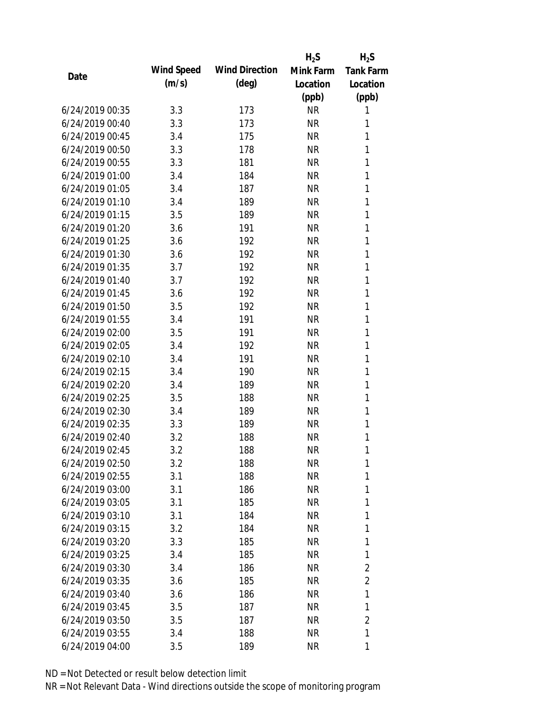|                 |            |                       | $H_2S$    | $H_2S$           |
|-----------------|------------|-----------------------|-----------|------------------|
| Date            | Wind Speed | <b>Wind Direction</b> | Mink Farm | <b>Tank Farm</b> |
|                 | (m/s)      | $(\text{deg})$        | Location  | Location         |
|                 |            |                       | (ppb)     | (ppb)            |
| 6/24/2019 00:35 | 3.3        | 173                   | <b>NR</b> | 1                |
| 6/24/2019 00:40 | 3.3        | 173                   | <b>NR</b> | 1                |
| 6/24/2019 00:45 | 3.4        | 175                   | <b>NR</b> | 1                |
| 6/24/2019 00:50 | 3.3        | 178                   | <b>NR</b> | 1                |
| 6/24/2019 00:55 | 3.3        | 181                   | <b>NR</b> | 1                |
| 6/24/2019 01:00 | 3.4        | 184                   | <b>NR</b> | 1                |
| 6/24/2019 01:05 | 3.4        | 187                   | <b>NR</b> | 1                |
| 6/24/2019 01:10 | 3.4        | 189                   | <b>NR</b> | 1                |
| 6/24/2019 01:15 | 3.5        | 189                   | <b>NR</b> | 1                |
| 6/24/2019 01:20 | 3.6        | 191                   | <b>NR</b> | 1                |
| 6/24/2019 01:25 | 3.6        | 192                   | <b>NR</b> | 1                |
| 6/24/2019 01:30 | 3.6        | 192                   | <b>NR</b> | 1                |
| 6/24/2019 01:35 | 3.7        | 192                   | <b>NR</b> | 1                |
| 6/24/2019 01:40 | 3.7        | 192                   | <b>NR</b> | 1                |
| 6/24/2019 01:45 | 3.6        | 192                   | <b>NR</b> | 1                |
| 6/24/2019 01:50 | 3.5        | 192                   | <b>NR</b> | 1                |
| 6/24/2019 01:55 | 3.4        | 191                   | <b>NR</b> | 1                |
| 6/24/2019 02:00 | 3.5        | 191                   | <b>NR</b> | 1                |
| 6/24/2019 02:05 | 3.4        | 192                   | <b>NR</b> | 1                |
| 6/24/2019 02:10 | 3.4        | 191                   | <b>NR</b> | 1                |
| 6/24/2019 02:15 | 3.4        | 190                   | <b>NR</b> | 1                |
| 6/24/2019 02:20 | 3.4        | 189                   | <b>NR</b> | 1                |
| 6/24/2019 02:25 | 3.5        | 188                   | <b>NR</b> | 1                |
| 6/24/2019 02:30 | 3.4        | 189                   | <b>NR</b> | 1                |
| 6/24/2019 02:35 | 3.3        | 189                   | <b>NR</b> | 1                |
| 6/24/2019 02:40 | 3.2        | 188                   | <b>NR</b> | 1                |
| 6/24/2019 02:45 | 3.2        | 188                   | <b>NR</b> | 1                |
| 6/24/2019 02:50 | 3.2        | 188                   | <b>NR</b> | 1                |
| 6/24/2019 02:55 | 3.1        | 188                   | <b>NR</b> | 1                |
| 6/24/2019 03:00 | 3.1        | 186                   | <b>NR</b> | 1                |
| 6/24/2019 03:05 | 3.1        | 185                   | <b>NR</b> | 1                |
| 6/24/2019 03:10 | 3.1        | 184                   | <b>NR</b> | 1                |
| 6/24/2019 03:15 | 3.2        | 184                   | <b>NR</b> | 1                |
| 6/24/2019 03:20 | 3.3        | 185                   | <b>NR</b> | 1                |
| 6/24/2019 03:25 | 3.4        | 185                   | <b>NR</b> | 1                |
| 6/24/2019 03:30 | 3.4        | 186                   | <b>NR</b> | $\overline{2}$   |
| 6/24/2019 03:35 | 3.6        | 185                   | <b>NR</b> | $\overline{2}$   |
| 6/24/2019 03:40 | 3.6        | 186                   | <b>NR</b> | 1                |
| 6/24/2019 03:45 | 3.5        | 187                   | <b>NR</b> | 1                |
| 6/24/2019 03:50 | 3.5        | 187                   | <b>NR</b> | $\overline{2}$   |
| 6/24/2019 03:55 | 3.4        | 188                   | <b>NR</b> | 1                |
| 6/24/2019 04:00 |            | 189                   | <b>NR</b> | 1                |
|                 | 3.5        |                       |           |                  |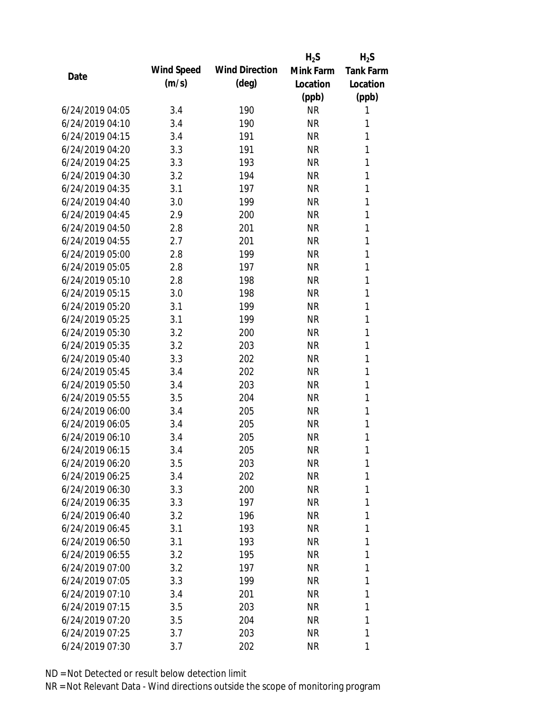|                 |            |                       | $H_2S$    | $H_2S$           |
|-----------------|------------|-----------------------|-----------|------------------|
|                 | Wind Speed | <b>Wind Direction</b> | Mink Farm | <b>Tank Farm</b> |
| Date            | (m/s)      | $(\text{deg})$        | Location  | Location         |
|                 |            |                       | (ppb)     | (ppb)            |
| 6/24/2019 04:05 | 3.4        | 190                   | <b>NR</b> | 1                |
| 6/24/2019 04:10 | 3.4        | 190                   | <b>NR</b> | 1                |
| 6/24/2019 04:15 | 3.4        | 191                   | <b>NR</b> | 1                |
| 6/24/2019 04:20 | 3.3        | 191                   | <b>NR</b> | 1                |
| 6/24/2019 04:25 | 3.3        | 193                   | <b>NR</b> | 1                |
| 6/24/2019 04:30 | 3.2        | 194                   | <b>NR</b> | 1                |
| 6/24/2019 04:35 | 3.1        | 197                   | <b>NR</b> | 1                |
| 6/24/2019 04:40 | 3.0        | 199                   | <b>NR</b> | 1                |
| 6/24/2019 04:45 | 2.9        | 200                   | <b>NR</b> | 1                |
| 6/24/2019 04:50 | 2.8        | 201                   | <b>NR</b> | 1                |
| 6/24/2019 04:55 | 2.7        | 201                   | <b>NR</b> | 1                |
| 6/24/2019 05:00 | 2.8        | 199                   | <b>NR</b> | 1                |
| 6/24/2019 05:05 | 2.8        | 197                   | <b>NR</b> | 1                |
| 6/24/2019 05:10 | 2.8        | 198                   | <b>NR</b> | 1                |
| 6/24/2019 05:15 | 3.0        | 198                   | <b>NR</b> | 1                |
| 6/24/2019 05:20 | 3.1        | 199                   | <b>NR</b> | 1                |
| 6/24/2019 05:25 | 3.1        | 199                   | <b>NR</b> | 1                |
| 6/24/2019 05:30 | 3.2        | 200                   | <b>NR</b> | $\mathbf{1}$     |
| 6/24/2019 05:35 | 3.2        | 203                   | <b>NR</b> | 1                |
| 6/24/2019 05:40 | 3.3        | 202                   | <b>NR</b> | 1                |
| 6/24/2019 05:45 | 3.4        | 202                   | <b>NR</b> | 1                |
| 6/24/2019 05:50 | 3.4        | 203                   | <b>NR</b> | 1                |
| 6/24/2019 05:55 | 3.5        | 204                   | <b>NR</b> | $\mathbf{1}$     |
| 6/24/2019 06:00 | 3.4        | 205                   | <b>NR</b> | 1                |
| 6/24/2019 06:05 | 3.4        | 205                   | <b>NR</b> | 1                |
| 6/24/2019 06:10 | 3.4        | 205                   | <b>NR</b> | 1                |
| 6/24/2019 06:15 | 3.4        | 205                   | <b>NR</b> | 1                |
| 6/24/2019 06:20 | 3.5        | 203                   | <b>NR</b> | 1                |
| 6/24/2019 06:25 | 3.4        | 202                   | <b>NR</b> | 1                |
| 6/24/2019 06:30 | 3.3        | 200                   | <b>NR</b> | 1                |
| 6/24/2019 06:35 | 3.3        | 197                   | <b>NR</b> | 1                |
| 6/24/2019 06:40 | 3.2        | 196                   | <b>NR</b> | 1                |
| 6/24/2019 06:45 | 3.1        | 193                   | <b>NR</b> | 1                |
| 6/24/2019 06:50 | 3.1        | 193                   | <b>NR</b> | 1                |
| 6/24/2019 06:55 | 3.2        | 195                   | <b>NR</b> | 1                |
| 6/24/2019 07:00 | 3.2        | 197                   | <b>NR</b> | 1                |
| 6/24/2019 07:05 | 3.3        | 199                   | <b>NR</b> | 1                |
| 6/24/2019 07:10 | 3.4        | 201                   | NR        | 1                |
| 6/24/2019 07:15 | 3.5        | 203                   | <b>NR</b> | 1                |
| 6/24/2019 07:20 | 3.5        | 204                   | <b>NR</b> | 1                |
| 6/24/2019 07:25 | 3.7        | 203                   | <b>NR</b> | 1                |
| 6/24/2019 07:30 | 3.7        | 202                   | <b>NR</b> | 1                |
|                 |            |                       |           |                  |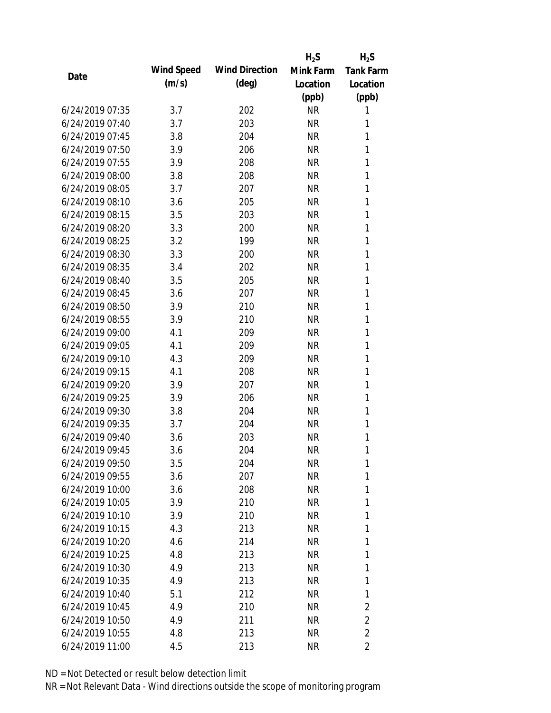|                 |            |                       | $H_2S$    | $H_2S$           |
|-----------------|------------|-----------------------|-----------|------------------|
| Date            | Wind Speed | <b>Wind Direction</b> | Mink Farm | <b>Tank Farm</b> |
|                 | (m/s)      | $(\text{deg})$        | Location  | Location         |
|                 |            |                       | (ppb)     | (ppb)            |
| 6/24/2019 07:35 | 3.7        | 202                   | <b>NR</b> | 1                |
| 6/24/2019 07:40 | 3.7        | 203                   | <b>NR</b> | 1                |
| 6/24/2019 07:45 | 3.8        | 204                   | <b>NR</b> | 1                |
| 6/24/2019 07:50 | 3.9        | 206                   | <b>NR</b> | 1                |
| 6/24/2019 07:55 | 3.9        | 208                   | <b>NR</b> | 1                |
| 6/24/2019 08:00 | 3.8        | 208                   | <b>NR</b> | 1                |
| 6/24/2019 08:05 | 3.7        | 207                   | <b>NR</b> | 1                |
| 6/24/2019 08:10 | 3.6        | 205                   | <b>NR</b> | 1                |
| 6/24/2019 08:15 | 3.5        | 203                   | <b>NR</b> | 1                |
| 6/24/2019 08:20 | 3.3        | 200                   | <b>NR</b> | 1                |
| 6/24/2019 08:25 | 3.2        | 199                   | <b>NR</b> | 1                |
| 6/24/2019 08:30 | 3.3        | 200                   | <b>NR</b> | 1                |
| 6/24/2019 08:35 | 3.4        | 202                   | <b>NR</b> | 1                |
| 6/24/2019 08:40 | 3.5        | 205                   | <b>NR</b> | 1                |
| 6/24/2019 08:45 | 3.6        | 207                   | <b>NR</b> | 1                |
| 6/24/2019 08:50 | 3.9        | 210                   | <b>NR</b> | 1                |
| 6/24/2019 08:55 | 3.9        | 210                   | <b>NR</b> | 1                |
| 6/24/2019 09:00 | 4.1        | 209                   | <b>NR</b> | 1                |
| 6/24/2019 09:05 | 4.1        | 209                   | <b>NR</b> | 1                |
| 6/24/2019 09:10 | 4.3        | 209                   | <b>NR</b> | 1                |
| 6/24/2019 09:15 | 4.1        | 208                   | <b>NR</b> | 1                |
| 6/24/2019 09:20 | 3.9        | 207                   | <b>NR</b> | 1                |
| 6/24/2019 09:25 | 3.9        | 206                   | <b>NR</b> | 1                |
| 6/24/2019 09:30 | 3.8        | 204                   | <b>NR</b> | 1                |
| 6/24/2019 09:35 | 3.7        | 204                   | <b>NR</b> | 1                |
| 6/24/2019 09:40 | 3.6        | 203                   | <b>NR</b> | 1                |
| 6/24/2019 09:45 | 3.6        | 204                   | <b>NR</b> | 1                |
| 6/24/2019 09:50 | 3.5        | 204                   | <b>NR</b> | 1                |
| 6/24/2019 09:55 | 3.6        | 207                   | <b>NR</b> | 1                |
| 6/24/2019 10:00 | 3.6        | 208                   | <b>NR</b> | 1                |
| 6/24/2019 10:05 | 3.9        | 210                   | <b>NR</b> | 1                |
| 6/24/2019 10:10 | 3.9        | 210                   | <b>NR</b> | 1                |
| 6/24/2019 10:15 | 4.3        | 213                   | <b>NR</b> | 1                |
| 6/24/2019 10:20 | 4.6        | 214                   | <b>NR</b> | 1                |
| 6/24/2019 10:25 | 4.8        | 213                   | <b>NR</b> | 1                |
| 6/24/2019 10:30 | 4.9        | 213                   | <b>NR</b> | 1                |
| 6/24/2019 10:35 | 4.9        | 213                   | <b>NR</b> | 1                |
| 6/24/2019 10:40 | 5.1        | 212                   | <b>NR</b> | 1                |
| 6/24/2019 10:45 | 4.9        | 210                   | <b>NR</b> | 2                |
| 6/24/2019 10:50 | 4.9        | 211                   | <b>NR</b> | $\overline{2}$   |
| 6/24/2019 10:55 | 4.8        | 213                   | <b>NR</b> | $\overline{2}$   |
| 6/24/2019 11:00 | 4.5        | 213                   | <b>NR</b> | 2                |
|                 |            |                       |           |                  |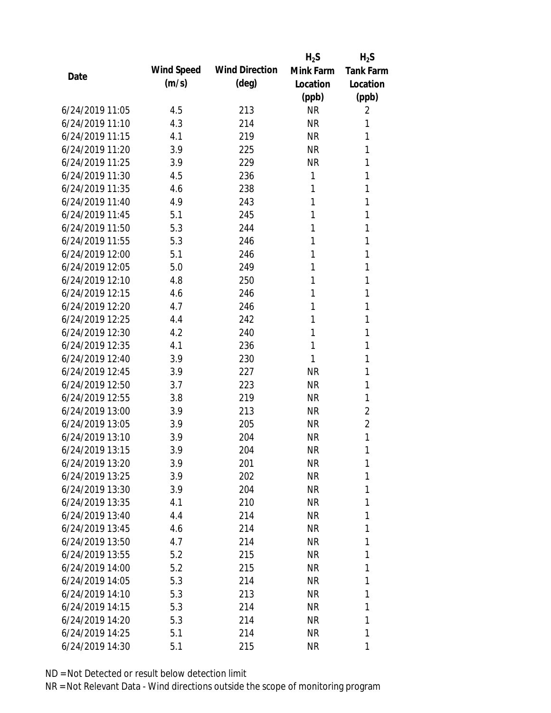|                 |            |                       | $H_2S$    | $H_2S$           |
|-----------------|------------|-----------------------|-----------|------------------|
| Date            | Wind Speed | <b>Wind Direction</b> | Mink Farm | <b>Tank Farm</b> |
|                 | (m/s)      | $(\text{deg})$        | Location  | Location         |
|                 |            |                       | (ppb)     | (ppb)            |
| 6/24/2019 11:05 | 4.5        | 213                   | <b>NR</b> | 2                |
| 6/24/2019 11:10 | 4.3        | 214                   | <b>NR</b> | 1                |
| 6/24/2019 11:15 | 4.1        | 219                   | <b>NR</b> | 1                |
| 6/24/2019 11:20 | 3.9        | 225                   | <b>NR</b> | 1                |
| 6/24/2019 11:25 | 3.9        | 229                   | <b>NR</b> | 1                |
| 6/24/2019 11:30 | 4.5        | 236                   | 1         | 1                |
| 6/24/2019 11:35 | 4.6        | 238                   | 1         | 1                |
| 6/24/2019 11:40 | 4.9        | 243                   | 1         | 1                |
| 6/24/2019 11:45 | 5.1        | 245                   | 1         | 1                |
| 6/24/2019 11:50 | 5.3        | 244                   | 1         | 1                |
| 6/24/2019 11:55 | 5.3        | 246                   | 1         | 1                |
| 6/24/2019 12:00 | 5.1        | 246                   | 1         | 1                |
| 6/24/2019 12:05 | 5.0        | 249                   | 1         | 1                |
| 6/24/2019 12:10 | 4.8        | 250                   | 1         | 1                |
| 6/24/2019 12:15 | 4.6        | 246                   | 1         | 1                |
| 6/24/2019 12:20 | 4.7        | 246                   | 1         | 1                |
| 6/24/2019 12:25 | 4.4        | 242                   | 1         | 1                |
| 6/24/2019 12:30 | 4.2        | 240                   | 1         | 1                |
| 6/24/2019 12:35 | 4.1        | 236                   | 1         | 1                |
| 6/24/2019 12:40 | 3.9        | 230                   | 1         | 1                |
| 6/24/2019 12:45 | 3.9        | 227                   | <b>NR</b> | 1                |
| 6/24/2019 12:50 | 3.7        | 223                   | <b>NR</b> | 1                |
| 6/24/2019 12:55 | 3.8        | 219                   | <b>NR</b> | 1                |
| 6/24/2019 13:00 | 3.9        | 213                   | <b>NR</b> | $\overline{2}$   |
| 6/24/2019 13:05 | 3.9        | 205                   | <b>NR</b> | $\overline{2}$   |
| 6/24/2019 13:10 | 3.9        | 204                   | <b>NR</b> | 1                |
| 6/24/2019 13:15 | 3.9        | 204                   | <b>NR</b> | 1                |
| 6/24/2019 13:20 | 3.9        | 201                   | <b>NR</b> | 1                |
| 6/24/2019 13:25 | 3.9        | 202                   | NR        | 1                |
| 6/24/2019 13:30 | 3.9        | 204                   | NR        | 1                |
| 6/24/2019 13:35 | 4.1        | 210                   | NR        | 1                |
| 6/24/2019 13:40 | 4.4        | 214                   | NR        | 1                |
| 6/24/2019 13:45 | 4.6        | 214                   | NR        | 1                |
| 6/24/2019 13:50 | 4.7        | 214                   | <b>NR</b> | 1                |
| 6/24/2019 13:55 | 5.2        | 215                   | NR        | 1                |
| 6/24/2019 14:00 | 5.2        | 215                   | <b>NR</b> | 1                |
| 6/24/2019 14:05 | 5.3        | 214                   | NR        | 1                |
| 6/24/2019 14:10 | 5.3        | 213                   | NR        | 1                |
| 6/24/2019 14:15 | 5.3        | 214                   | NR        | 1                |
| 6/24/2019 14:20 | 5.3        | 214                   | <b>NR</b> | 1                |
| 6/24/2019 14:25 | 5.1        | 214                   | <b>NR</b> | 1                |
| 6/24/2019 14:30 | 5.1        | 215                   | <b>NR</b> | 1                |
|                 |            |                       |           |                  |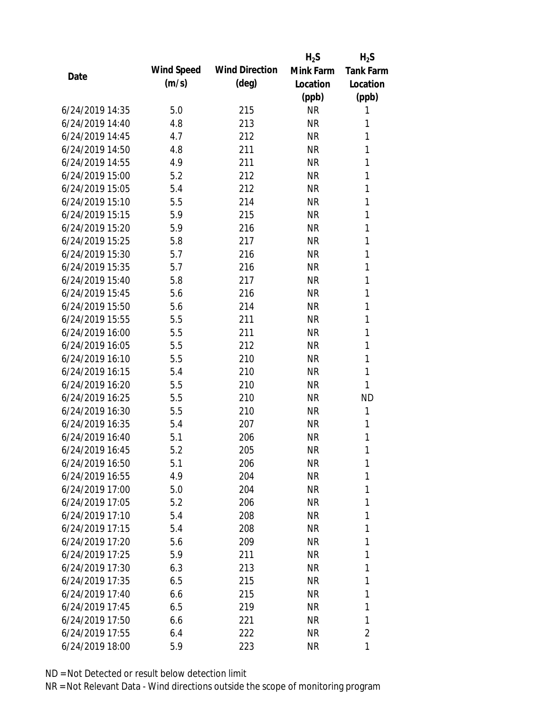|                 |            |                       | $H_2S$    | $H_2S$           |
|-----------------|------------|-----------------------|-----------|------------------|
|                 | Wind Speed | <b>Wind Direction</b> | Mink Farm | <b>Tank Farm</b> |
| Date            | (m/s)      | $(\text{deg})$        | Location  | Location         |
|                 |            |                       | (ppb)     | (ppb)            |
| 6/24/2019 14:35 | 5.0        | 215                   | <b>NR</b> | 1                |
| 6/24/2019 14:40 | 4.8        | 213                   | <b>NR</b> | 1                |
| 6/24/2019 14:45 | 4.7        | 212                   | <b>NR</b> | 1                |
| 6/24/2019 14:50 | 4.8        | 211                   | <b>NR</b> | 1                |
| 6/24/2019 14:55 | 4.9        | 211                   | <b>NR</b> | 1                |
| 6/24/2019 15:00 | 5.2        | 212                   | <b>NR</b> | 1                |
| 6/24/2019 15:05 | 5.4        | 212                   | <b>NR</b> | 1                |
| 6/24/2019 15:10 | 5.5        | 214                   | <b>NR</b> | 1                |
| 6/24/2019 15:15 | 5.9        | 215                   | <b>NR</b> | 1                |
| 6/24/2019 15:20 | 5.9        | 216                   | <b>NR</b> | 1                |
| 6/24/2019 15:25 | 5.8        | 217                   | <b>NR</b> | 1                |
| 6/24/2019 15:30 | 5.7        | 216                   | <b>NR</b> | 1                |
| 6/24/2019 15:35 | 5.7        | 216                   | <b>NR</b> | 1                |
| 6/24/2019 15:40 | 5.8        | 217                   | <b>NR</b> | 1                |
| 6/24/2019 15:45 | 5.6        | 216                   | <b>NR</b> | 1                |
| 6/24/2019 15:50 | 5.6        | 214                   | <b>NR</b> | 1                |
| 6/24/2019 15:55 | 5.5        | 211                   | <b>NR</b> | 1                |
| 6/24/2019 16:00 | 5.5        | 211                   | <b>NR</b> | 1                |
| 6/24/2019 16:05 | 5.5        | 212                   | <b>NR</b> | 1                |
| 6/24/2019 16:10 | 5.5        | 210                   | <b>NR</b> | 1                |
| 6/24/2019 16:15 | 5.4        | 210                   | <b>NR</b> | 1                |
| 6/24/2019 16:20 | 5.5        | 210                   | <b>NR</b> | 1                |
| 6/24/2019 16:25 | 5.5        | 210                   | <b>NR</b> | <b>ND</b>        |
| 6/24/2019 16:30 | 5.5        | 210                   | <b>NR</b> | 1                |
| 6/24/2019 16:35 | 5.4        | 207                   | <b>NR</b> | 1                |
| 6/24/2019 16:40 | 5.1        | 206                   | <b>NR</b> | 1                |
| 6/24/2019 16:45 | 5.2        | 205                   | <b>NR</b> | 1                |
| 6/24/2019 16:50 | 5.1        | 206                   | <b>NR</b> | 1                |
| 6/24/2019 16:55 | 4.9        | 204                   | <b>NR</b> | 1                |
| 6/24/2019 17:00 | 5.0        | 204                   | <b>NR</b> | 1                |
| 6/24/2019 17:05 | 5.2        | 206                   | <b>NR</b> | 1                |
| 6/24/2019 17:10 | 5.4        | 208                   | <b>NR</b> | 1                |
| 6/24/2019 17:15 | 5.4        | 208                   | <b>NR</b> | 1                |
| 6/24/2019 17:20 | 5.6        | 209                   | <b>NR</b> | 1                |
| 6/24/2019 17:25 | 5.9        | 211                   | <b>NR</b> | 1                |
| 6/24/2019 17:30 | 6.3        | 213                   | <b>NR</b> | 1                |
| 6/24/2019 17:35 | 6.5        | 215                   | NR        | 1                |
| 6/24/2019 17:40 | 6.6        | 215                   | <b>NR</b> | 1                |
| 6/24/2019 17:45 | 6.5        | 219                   | <b>NR</b> | 1                |
| 6/24/2019 17:50 | 6.6        | 221                   | <b>NR</b> | 1                |
| 6/24/2019 17:55 | 6.4        | 222                   | <b>NR</b> | $\overline{2}$   |
| 6/24/2019 18:00 | 5.9        | 223                   | <b>NR</b> | 1                |
|                 |            |                       |           |                  |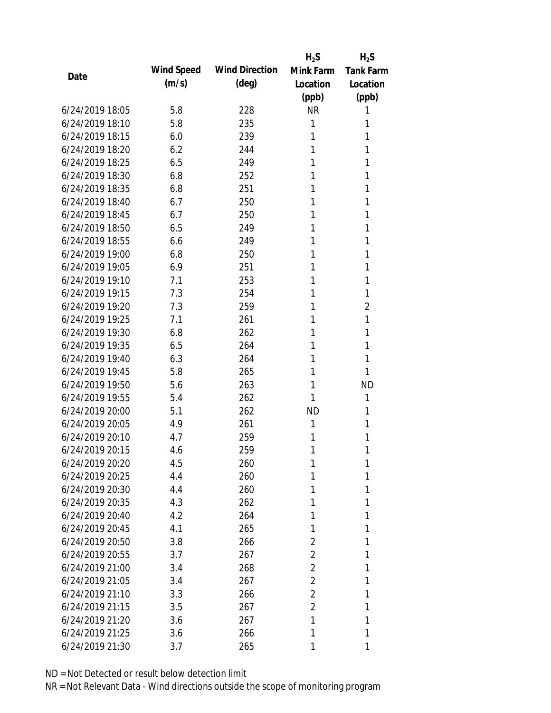|                 |            |                       | $H_2S$         | $H_2S$           |
|-----------------|------------|-----------------------|----------------|------------------|
| Date            | Wind Speed | <b>Wind Direction</b> | Mink Farm      | <b>Tank Farm</b> |
|                 | (m/s)      | $(\text{deg})$        | Location       | Location         |
|                 |            |                       | (ppb)          | (ppb)            |
| 6/24/2019 18:05 | 5.8        | 228                   | <b>NR</b>      | 1                |
| 6/24/2019 18:10 | 5.8        | 235                   | 1              | 1                |
| 6/24/2019 18:15 | 6.0        | 239                   | 1              | 1                |
| 6/24/2019 18:20 | 6.2        | 244                   | 1              | 1                |
| 6/24/2019 18:25 | 6.5        | 249                   | 1              | 1                |
| 6/24/2019 18:30 | 6.8        | 252                   | 1              | 1                |
| 6/24/2019 18:35 | 6.8        | 251                   | 1              | 1                |
| 6/24/2019 18:40 | 6.7        | 250                   | 1              | 1                |
| 6/24/2019 18:45 | 6.7        | 250                   | 1              | 1                |
| 6/24/2019 18:50 | 6.5        | 249                   | 1              | 1                |
| 6/24/2019 18:55 | 6.6        | 249                   | 1              | 1                |
| 6/24/2019 19:00 | 6.8        | 250                   | 1              | 1                |
| 6/24/2019 19:05 | 6.9        | 251                   | 1              | 1                |
| 6/24/2019 19:10 | 7.1        | 253                   | 1              | 1                |
| 6/24/2019 19:15 | 7.3        | 254                   | 1              | 1                |
| 6/24/2019 19:20 | 7.3        | 259                   | 1              | $\overline{2}$   |
| 6/24/2019 19:25 | 7.1        | 261                   | 1              | 1                |
| 6/24/2019 19:30 | 6.8        | 262                   | 1              | 1                |
| 6/24/2019 19:35 | 6.5        | 264                   | 1              | 1                |
| 6/24/2019 19:40 | 6.3        | 264                   | 1              | 1                |
| 6/24/2019 19:45 | 5.8        | 265                   | 1              | 1                |
| 6/24/2019 19:50 | 5.6        | 263                   | 1              | <b>ND</b>        |
| 6/24/2019 19:55 | 5.4        | 262                   | 1              | 1                |
| 6/24/2019 20:00 | 5.1        | 262                   | <b>ND</b>      | 1                |
| 6/24/2019 20:05 | 4.9        | 261                   | 1              | 1                |
| 6/24/2019 20:10 | 4.7        | 259                   | 1              | 1                |
| 6/24/2019 20:15 | 4.6        | 259                   | 1              | 1                |
| 6/24/2019 20:20 | 4.5        | 260                   | 1              | 1                |
| 6/24/2019 20:25 | 4.4        | 260                   | 1              | 1                |
| 6/24/2019 20:30 | 4.4        | 260                   | 1              | 1                |
| 6/24/2019 20:35 | 4.3        | 262                   | 1              | 1                |
| 6/24/2019 20:40 | 4.2        | 264                   | 1              | 1                |
| 6/24/2019 20:45 | 4.1        | 265                   | 1              | 1                |
| 6/24/2019 20:50 | 3.8        | 266                   | 2              | 1                |
| 6/24/2019 20:55 | 3.7        | 267                   | $\overline{2}$ | 1                |
| 6/24/2019 21:00 | 3.4        | 268                   | $\overline{2}$ | 1                |
| 6/24/2019 21:05 | 3.4        | 267                   | $\overline{2}$ | 1                |
| 6/24/2019 21:10 | 3.3        | 266                   | $\overline{2}$ | 1                |
| 6/24/2019 21:15 | 3.5        | 267                   | $\overline{2}$ | 1                |
| 6/24/2019 21:20 | 3.6        | 267                   | 1              | 1                |
| 6/24/2019 21:25 | 3.6        | 266                   | 1              | 1                |
| 6/24/2019 21:30 | 3.7        | 265                   | 1              | 1                |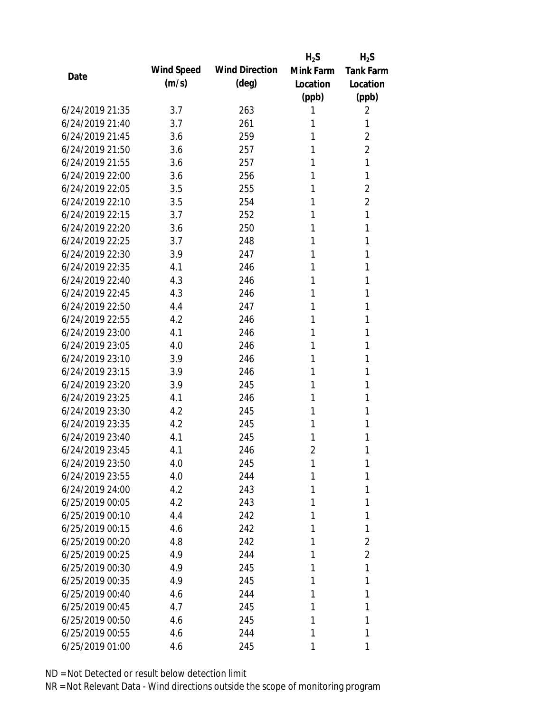|                 |            |                       | $H_2S$         | $H_2S$           |
|-----------------|------------|-----------------------|----------------|------------------|
| Date            | Wind Speed | <b>Wind Direction</b> | Mink Farm      | <b>Tank Farm</b> |
|                 | (m/s)      | $(\text{deg})$        | Location       | Location         |
|                 |            |                       | (ppb)          | (ppb)            |
| 6/24/2019 21:35 | 3.7        | 263                   | 1              | 2                |
| 6/24/2019 21:40 | 3.7        | 261                   | 1              | 1                |
| 6/24/2019 21:45 | 3.6        | 259                   | 1              | $\overline{2}$   |
| 6/24/2019 21:50 | 3.6        | 257                   | 1              | $\overline{2}$   |
| 6/24/2019 21:55 | 3.6        | 257                   | 1              | 1                |
| 6/24/2019 22:00 | 3.6        | 256                   | 1              | 1                |
| 6/24/2019 22:05 | 3.5        | 255                   | 1              | $\overline{2}$   |
| 6/24/2019 22:10 | 3.5        | 254                   | 1              | $\overline{2}$   |
| 6/24/2019 22:15 | 3.7        | 252                   | 1              | 1                |
| 6/24/2019 22:20 | 3.6        | 250                   | 1              | 1                |
| 6/24/2019 22:25 | 3.7        | 248                   | 1              | 1                |
| 6/24/2019 22:30 | 3.9        | 247                   | 1              | 1                |
| 6/24/2019 22:35 | 4.1        | 246                   | 1              | 1                |
| 6/24/2019 22:40 | 4.3        | 246                   | 1              | 1                |
| 6/24/2019 22:45 | 4.3        | 246                   | 1              | 1                |
| 6/24/2019 22:50 | 4.4        | 247                   | 1              | 1                |
| 6/24/2019 22:55 | 4.2        | 246                   | 1              | 1                |
| 6/24/2019 23:00 | 4.1        | 246                   | 1              | 1                |
| 6/24/2019 23:05 | 4.0        | 246                   | 1              | 1                |
| 6/24/2019 23:10 | 3.9        | 246                   | 1              | 1                |
| 6/24/2019 23:15 | 3.9        | 246                   | 1              | 1                |
| 6/24/2019 23:20 | 3.9        | 245                   | 1              | 1                |
| 6/24/2019 23:25 | 4.1        | 246                   | 1              | 1                |
| 6/24/2019 23:30 | 4.2        | 245                   | 1              | 1                |
| 6/24/2019 23:35 | 4.2        | 245                   | 1              | 1                |
| 6/24/2019 23:40 | 4.1        | 245                   | 1              | 1                |
| 6/24/2019 23:45 | 4.1        | 246                   | $\overline{2}$ | 1                |
| 6/24/2019 23:50 | 4.0        | 245                   | 1              | 1                |
| 6/24/2019 23:55 | 4.0        | 244                   | 1              | 1                |
| 6/24/2019 24:00 | 4.2        | 243                   | 1              | 1                |
| 6/25/2019 00:05 | 4.2        | 243                   | 1              | 1                |
| 6/25/2019 00:10 | 4.4        | 242                   | 1              | 1                |
| 6/25/2019 00:15 | 4.6        | 242                   | 1              | 1                |
| 6/25/2019 00:20 | 4.8        | 242                   | 1              | 2                |
| 6/25/2019 00:25 | 4.9        | 244                   | 1              | $\overline{2}$   |
| 6/25/2019 00:30 | 4.9        | 245                   | 1              | 1                |
| 6/25/2019 00:35 | 4.9        | 245                   | 1              | 1                |
| 6/25/2019 00:40 | 4.6        | 244                   | 1              | 1                |
| 6/25/2019 00:45 | 4.7        | 245                   | 1              | 1                |
| 6/25/2019 00:50 | 4.6        | 245                   | 1              | 1                |
| 6/25/2019 00:55 | 4.6        | 244                   | 1              | 1                |
| 6/25/2019 01:00 | 4.6        | 245                   | 1              | 1                |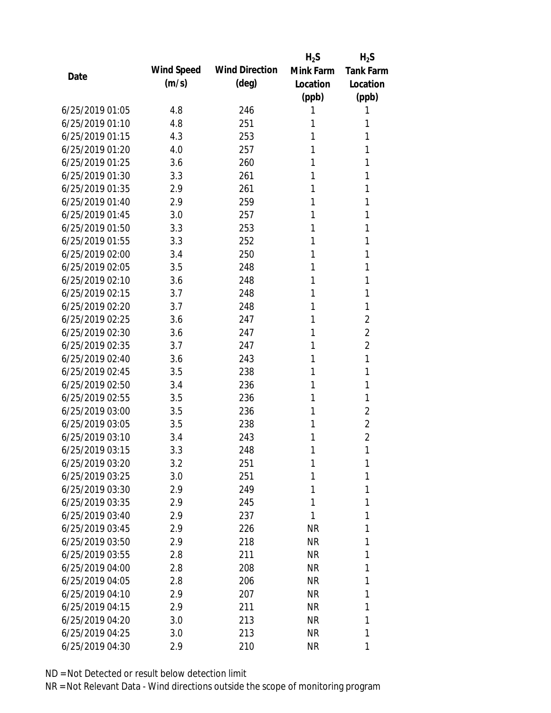|                 |            |                       | $H_2S$    | $H_2S$           |
|-----------------|------------|-----------------------|-----------|------------------|
| Date            | Wind Speed | <b>Wind Direction</b> | Mink Farm | <b>Tank Farm</b> |
|                 | (m/s)      | (deg)                 | Location  | Location         |
|                 |            |                       | (ppb)     | (ppb)            |
| 6/25/2019 01:05 | 4.8        | 246                   | 1         | 1                |
| 6/25/2019 01:10 | 4.8        | 251                   | 1         | 1                |
| 6/25/2019 01:15 | 4.3        | 253                   | 1         | 1                |
| 6/25/2019 01:20 | 4.0        | 257                   | 1         | 1                |
| 6/25/2019 01:25 | 3.6        | 260                   | 1         | 1                |
| 6/25/2019 01:30 | 3.3        | 261                   | 1         | 1                |
| 6/25/2019 01:35 | 2.9        | 261                   | 1         | 1                |
| 6/25/2019 01:40 | 2.9        | 259                   | 1         | 1                |
| 6/25/2019 01:45 | 3.0        | 257                   | 1         | 1                |
| 6/25/2019 01:50 | 3.3        | 253                   | 1         | 1                |
| 6/25/2019 01:55 | 3.3        | 252                   | 1         | 1                |
| 6/25/2019 02:00 | 3.4        | 250                   | 1         | 1                |
| 6/25/2019 02:05 | 3.5        | 248                   | 1         | 1                |
| 6/25/2019 02:10 | 3.6        | 248                   | 1         | 1                |
| 6/25/2019 02:15 | 3.7        | 248                   | 1         | 1                |
| 6/25/2019 02:20 | 3.7        | 248                   | 1         | 1                |
| 6/25/2019 02:25 | 3.6        | 247                   | 1         | $\overline{2}$   |
| 6/25/2019 02:30 | 3.6        | 247                   | 1         | $\overline{2}$   |
| 6/25/2019 02:35 | 3.7        | 247                   | 1         | $\overline{2}$   |
| 6/25/2019 02:40 | 3.6        | 243                   | 1         | 1                |
| 6/25/2019 02:45 | 3.5        | 238                   | 1         | 1                |
| 6/25/2019 02:50 | 3.4        | 236                   | 1         | 1                |
| 6/25/2019 02:55 | 3.5        | 236                   | 1         | 1                |
| 6/25/2019 03:00 | 3.5        | 236                   | 1         | $\overline{2}$   |
| 6/25/2019 03:05 | 3.5        | 238                   | 1         | $\overline{2}$   |
| 6/25/2019 03:10 | 3.4        | 243                   | 1         | $\overline{2}$   |
| 6/25/2019 03:15 | 3.3        | 248                   | 1         | 1                |
| 6/25/2019 03:20 | 3.2        | 251                   | 1         | 1                |
| 6/25/2019 03:25 | 3.0        | 251                   | 1         | 1                |
| 6/25/2019 03:30 | 2.9        | 249                   | 1         | 1                |
| 6/25/2019 03:35 | 2.9        | 245                   | 1         | 1                |
| 6/25/2019 03:40 | 2.9        | 237                   | 1         | 1                |
| 6/25/2019 03:45 | 2.9        | 226                   | <b>NR</b> | 1                |
| 6/25/2019 03:50 | 2.9        | 218                   | <b>NR</b> | 1                |
| 6/25/2019 03:55 | 2.8        | 211                   | NR        | 1                |
| 6/25/2019 04:00 | 2.8        | 208                   | <b>NR</b> | 1                |
| 6/25/2019 04:05 | 2.8        | 206                   | NR        | 1                |
| 6/25/2019 04:10 | 2.9        | 207                   | NR        | 1                |
| 6/25/2019 04:15 | 2.9        | 211                   | NR        | 1                |
| 6/25/2019 04:20 | 3.0        | 213                   | <b>NR</b> | 1                |
| 6/25/2019 04:25 | 3.0        | 213                   | <b>NR</b> | 1                |
| 6/25/2019 04:30 | 2.9        | 210                   | <b>NR</b> | 1                |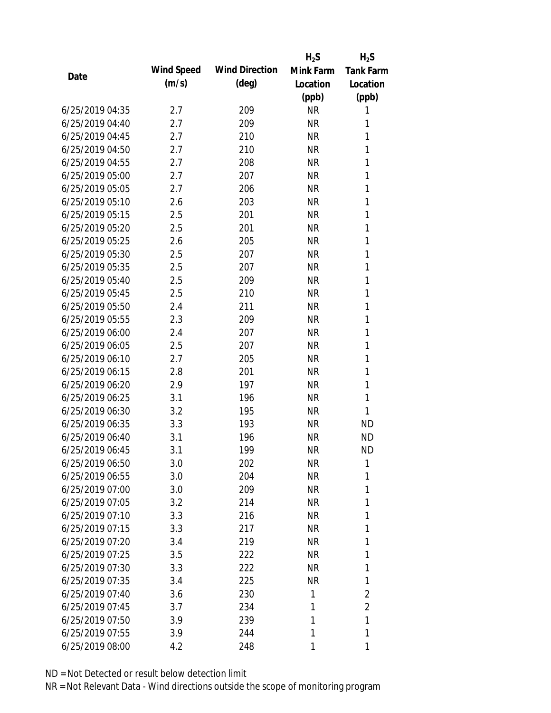|                 |            |                       | $H_2S$    | $H_2S$           |
|-----------------|------------|-----------------------|-----------|------------------|
| Date            | Wind Speed | <b>Wind Direction</b> | Mink Farm | <b>Tank Farm</b> |
|                 | (m/s)      | $(\text{deg})$        | Location  | Location         |
|                 |            |                       | (ppb)     | (ppb)            |
| 6/25/2019 04:35 | 2.7        | 209                   | <b>NR</b> | 1                |
| 6/25/2019 04:40 | 2.7        | 209                   | <b>NR</b> | 1                |
| 6/25/2019 04:45 | 2.7        | 210                   | <b>NR</b> | 1                |
| 6/25/2019 04:50 | 2.7        | 210                   | <b>NR</b> | 1                |
| 6/25/2019 04:55 | 2.7        | 208                   | <b>NR</b> | 1                |
| 6/25/2019 05:00 | 2.7        | 207                   | <b>NR</b> | 1                |
| 6/25/2019 05:05 | 2.7        | 206                   | <b>NR</b> | 1                |
| 6/25/2019 05:10 | 2.6        | 203                   | <b>NR</b> | 1                |
| 6/25/2019 05:15 | 2.5        | 201                   | <b>NR</b> | 1                |
| 6/25/2019 05:20 | 2.5        | 201                   | <b>NR</b> | 1                |
| 6/25/2019 05:25 | 2.6        | 205                   | <b>NR</b> | 1                |
| 6/25/2019 05:30 | 2.5        | 207                   | <b>NR</b> | 1                |
| 6/25/2019 05:35 | 2.5        | 207                   | <b>NR</b> | 1                |
| 6/25/2019 05:40 | 2.5        | 209                   | <b>NR</b> | 1                |
| 6/25/2019 05:45 | 2.5        | 210                   | <b>NR</b> | 1                |
| 6/25/2019 05:50 | 2.4        | 211                   | <b>NR</b> | 1                |
| 6/25/2019 05:55 | 2.3        | 209                   | <b>NR</b> | 1                |
| 6/25/2019 06:00 | 2.4        | 207                   | <b>NR</b> | 1                |
| 6/25/2019 06:05 | 2.5        | 207                   | <b>NR</b> | 1                |
| 6/25/2019 06:10 | 2.7        | 205                   | <b>NR</b> | 1                |
| 6/25/2019 06:15 | 2.8        | 201                   | <b>NR</b> | 1                |
| 6/25/2019 06:20 | 2.9        | 197                   | <b>NR</b> | 1                |
| 6/25/2019 06:25 | 3.1        | 196                   | <b>NR</b> | 1                |
| 6/25/2019 06:30 | 3.2        | 195                   | <b>NR</b> | 1                |
| 6/25/2019 06:35 | 3.3        | 193                   | <b>NR</b> | <b>ND</b>        |
| 6/25/2019 06:40 | 3.1        | 196                   | <b>NR</b> | <b>ND</b>        |
| 6/25/2019 06:45 | 3.1        | 199                   | <b>NR</b> | <b>ND</b>        |
| 6/25/2019 06:50 | 3.0        | 202                   | <b>NR</b> | 1                |
| 6/25/2019 06:55 | 3.0        | 204                   | <b>NR</b> | 1                |
| 6/25/2019 07:00 | 3.0        | 209                   | <b>NR</b> | 1                |
| 6/25/2019 07:05 | 3.2        | 214                   | <b>NR</b> | 1                |
| 6/25/2019 07:10 | 3.3        | 216                   | <b>NR</b> | 1                |
| 6/25/2019 07:15 | 3.3        | 217                   | <b>NR</b> | 1                |
| 6/25/2019 07:20 | 3.4        | 219                   | <b>NR</b> | 1                |
| 6/25/2019 07:25 | 3.5        | 222                   | <b>NR</b> | 1                |
| 6/25/2019 07:30 | 3.3        | 222                   | <b>NR</b> | 1                |
| 6/25/2019 07:35 | 3.4        | 225                   | <b>NR</b> | 1                |
| 6/25/2019 07:40 | 3.6        | 230                   | 1         | 2                |
| 6/25/2019 07:45 | 3.7        | 234                   | 1         | $\overline{2}$   |
| 6/25/2019 07:50 | 3.9        | 239                   | 1         | 1                |
| 6/25/2019 07:55 | 3.9        | 244                   | 1         | 1                |
| 6/25/2019 08:00 | 4.2        | 248                   | 1         | 1                |
|                 |            |                       |           |                  |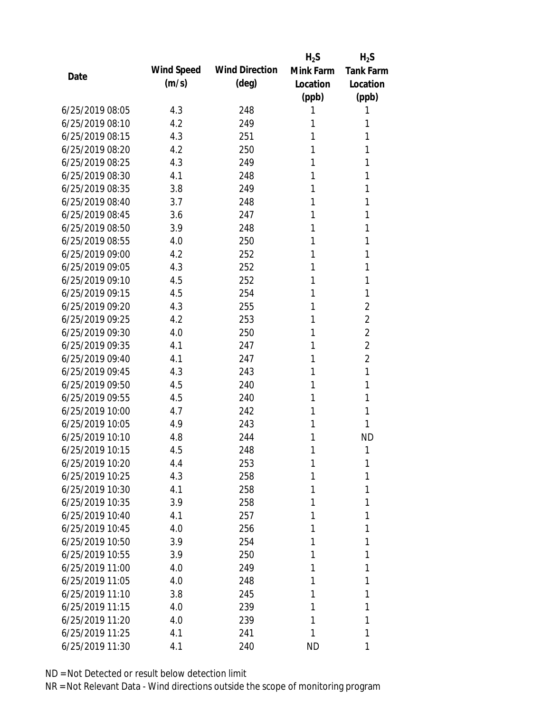|                 |            |                       | $H_2S$    | $H_2S$           |
|-----------------|------------|-----------------------|-----------|------------------|
| Date            | Wind Speed | <b>Wind Direction</b> | Mink Farm | <b>Tank Farm</b> |
|                 | (m/s)      | $(\text{deg})$        | Location  | Location         |
|                 |            |                       | (ppb)     | (ppb)            |
| 6/25/2019 08:05 | 4.3        | 248                   | 1         | 1                |
| 6/25/2019 08:10 | 4.2        | 249                   | 1         | 1                |
| 6/25/2019 08:15 | 4.3        | 251                   | 1         | 1                |
| 6/25/2019 08:20 | 4.2        | 250                   | 1         | 1                |
| 6/25/2019 08:25 | 4.3        | 249                   | 1         | 1                |
| 6/25/2019 08:30 | 4.1        | 248                   | 1         | 1                |
| 6/25/2019 08:35 | 3.8        | 249                   | 1         | 1                |
| 6/25/2019 08:40 | 3.7        | 248                   | 1         | 1                |
| 6/25/2019 08:45 | 3.6        | 247                   | 1         | 1                |
| 6/25/2019 08:50 | 3.9        | 248                   | 1         | 1                |
| 6/25/2019 08:55 | 4.0        | 250                   | 1         | 1                |
| 6/25/2019 09:00 | 4.2        | 252                   | 1         | 1                |
| 6/25/2019 09:05 | 4.3        | 252                   | 1         | 1                |
| 6/25/2019 09:10 | 4.5        | 252                   | 1         | 1                |
| 6/25/2019 09:15 | 4.5        | 254                   | 1         | 1                |
| 6/25/2019 09:20 | 4.3        | 255                   | 1         | $\overline{2}$   |
| 6/25/2019 09:25 | 4.2        | 253                   | 1         | 2                |
| 6/25/2019 09:30 | 4.0        | 250                   | 1         | $\overline{2}$   |
| 6/25/2019 09:35 | 4.1        | 247                   | 1         | $\overline{2}$   |
| 6/25/2019 09:40 | 4.1        | 247                   | 1         | $\overline{2}$   |
| 6/25/2019 09:45 | 4.3        | 243                   | 1         | 1                |
| 6/25/2019 09:50 | 4.5        | 240                   | 1         | 1                |
| 6/25/2019 09:55 | 4.5        | 240                   | 1         | 1                |
| 6/25/2019 10:00 | 4.7        | 242                   | 1         | 1                |
| 6/25/2019 10:05 | 4.9        | 243                   | 1         | 1                |
| 6/25/2019 10:10 | 4.8        | 244                   | 1         | <b>ND</b>        |
| 6/25/2019 10:15 | 4.5        | 248                   | 1         | 1                |
| 6/25/2019 10:20 | 4.4        | 253                   | 1         | 1                |
| 6/25/2019 10:25 | 4.3        | 258                   | 1         | 1                |
| 6/25/2019 10:30 | 4.1        | 258                   | 1         | 1                |
| 6/25/2019 10:35 | 3.9        | 258                   | 1         | 1                |
| 6/25/2019 10:40 | 4.1        | 257                   | 1         | 1                |
| 6/25/2019 10:45 | 4.0        | 256                   | 1         | 1                |
| 6/25/2019 10:50 | 3.9        | 254                   | 1         | 1                |
| 6/25/2019 10:55 | 3.9        | 250                   | 1         | 1                |
| 6/25/2019 11:00 | 4.0        | 249                   | 1         | 1                |
| 6/25/2019 11:05 | 4.0        | 248                   | 1         | 1                |
| 6/25/2019 11:10 | 3.8        | 245                   | 1         | 1                |
| 6/25/2019 11:15 | 4.0        | 239                   | 1         | 1                |
| 6/25/2019 11:20 | 4.0        | 239                   | 1         | 1                |
| 6/25/2019 11:25 | 4.1        | 241                   | 1         | 1                |
| 6/25/2019 11:30 | 4.1        | 240                   | <b>ND</b> | 1                |
|                 |            |                       |           |                  |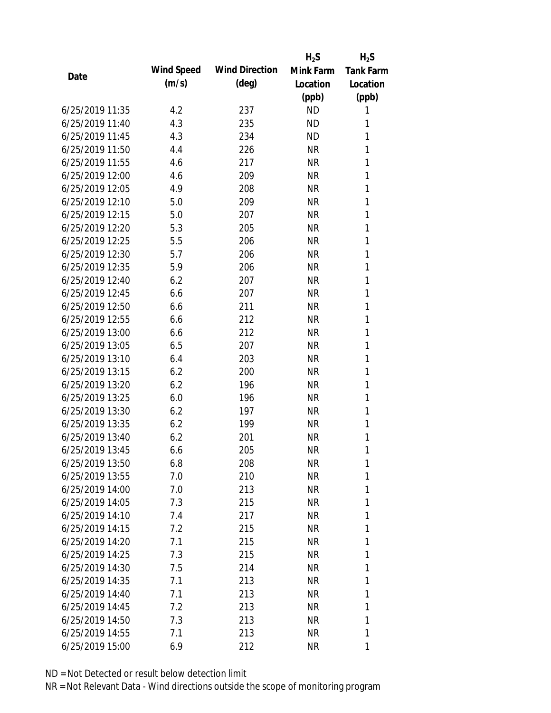|                 |            |                       | $H_2S$    | $H_2S$           |
|-----------------|------------|-----------------------|-----------|------------------|
| Date            | Wind Speed | <b>Wind Direction</b> | Mink Farm | <b>Tank Farm</b> |
|                 | (m/s)      | $(\text{deg})$        | Location  | Location         |
|                 |            |                       | (ppb)     | (ppb)            |
| 6/25/2019 11:35 | 4.2        | 237                   | <b>ND</b> | 1                |
| 6/25/2019 11:40 | 4.3        | 235                   | <b>ND</b> | 1                |
| 6/25/2019 11:45 | 4.3        | 234                   | <b>ND</b> | 1                |
| 6/25/2019 11:50 | 4.4        | 226                   | <b>NR</b> | 1                |
| 6/25/2019 11:55 | 4.6        | 217                   | <b>NR</b> | 1                |
| 6/25/2019 12:00 | 4.6        | 209                   | <b>NR</b> | 1                |
| 6/25/2019 12:05 | 4.9        | 208                   | <b>NR</b> | 1                |
| 6/25/2019 12:10 | 5.0        | 209                   | <b>NR</b> | 1                |
| 6/25/2019 12:15 | 5.0        | 207                   | <b>NR</b> | 1                |
| 6/25/2019 12:20 | 5.3        | 205                   | <b>NR</b> | 1                |
| 6/25/2019 12:25 | 5.5        | 206                   | <b>NR</b> | 1                |
| 6/25/2019 12:30 | 5.7        | 206                   | <b>NR</b> | 1                |
| 6/25/2019 12:35 | 5.9        | 206                   | <b>NR</b> | 1                |
| 6/25/2019 12:40 | 6.2        | 207                   | <b>NR</b> | 1                |
| 6/25/2019 12:45 | 6.6        | 207                   | <b>NR</b> | 1                |
| 6/25/2019 12:50 | 6.6        | 211                   | <b>NR</b> | 1                |
| 6/25/2019 12:55 | 6.6        | 212                   | <b>NR</b> | 1                |
| 6/25/2019 13:00 | 6.6        | 212                   | <b>NR</b> | $\mathbf{1}$     |
| 6/25/2019 13:05 | 6.5        | 207                   | <b>NR</b> | 1                |
| 6/25/2019 13:10 | 6.4        | 203                   | <b>NR</b> | 1                |
| 6/25/2019 13:15 | 6.2        | 200                   | <b>NR</b> | 1                |
| 6/25/2019 13:20 | 6.2        | 196                   | <b>NR</b> | 1                |
| 6/25/2019 13:25 | 6.0        | 196                   | <b>NR</b> | 1                |
| 6/25/2019 13:30 | 6.2        | 197                   | <b>NR</b> | 1                |
| 6/25/2019 13:35 | 6.2        | 199                   | <b>NR</b> | 1                |
| 6/25/2019 13:40 | 6.2        | 201                   | <b>NR</b> | 1                |
| 6/25/2019 13:45 | 6.6        | 205                   | <b>NR</b> | 1                |
| 6/25/2019 13:50 | 6.8        | 208                   | <b>NR</b> | 1                |
| 6/25/2019 13:55 | 7.0        | 210                   | <b>NR</b> | 1                |
| 6/25/2019 14:00 | 7.0        | 213                   | <b>NR</b> | 1                |
| 6/25/2019 14:05 | 7.3        | 215                   | NR        | 1                |
| 6/25/2019 14:10 | 7.4        | 217                   | <b>NR</b> | 1                |
| 6/25/2019 14:15 | 7.2        | 215                   | NR        | 1                |
| 6/25/2019 14:20 | 7.1        | 215                   | <b>NR</b> | 1                |
| 6/25/2019 14:25 | 7.3        | 215                   | <b>NR</b> | 1                |
| 6/25/2019 14:30 | 7.5        | 214                   | NR        | 1                |
| 6/25/2019 14:35 | 7.1        | 213                   | NR        | 1                |
| 6/25/2019 14:40 | 7.1        | 213                   | NR        | 1                |
| 6/25/2019 14:45 | 7.2        | 213                   | <b>NR</b> | 1                |
| 6/25/2019 14:50 | 7.3        | 213                   | <b>NR</b> | 1                |
| 6/25/2019 14:55 | 7.1        | 213                   | <b>NR</b> | 1                |
| 6/25/2019 15:00 | 6.9        | 212                   | <b>NR</b> | 1                |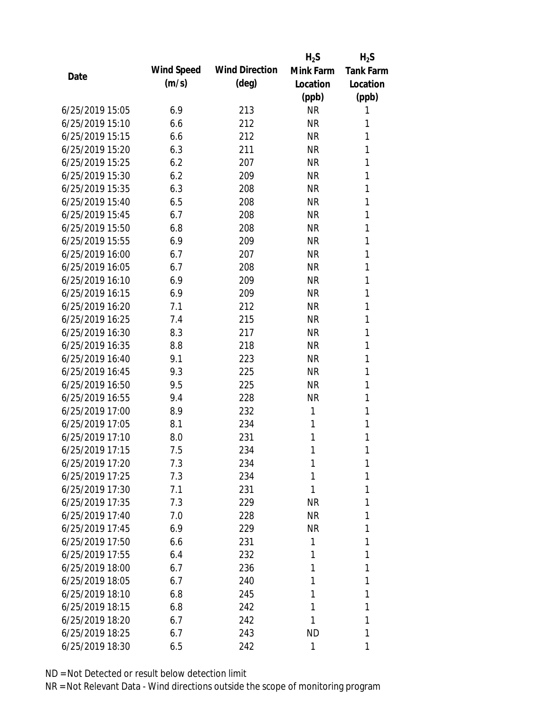|                 |            |                       | $H_2S$    | $H_2S$           |
|-----------------|------------|-----------------------|-----------|------------------|
| Date            | Wind Speed | <b>Wind Direction</b> | Mink Farm | <b>Tank Farm</b> |
|                 | (m/s)      | $(\text{deg})$        | Location  | Location         |
|                 |            |                       | (ppb)     | (ppb)            |
| 6/25/2019 15:05 | 6.9        | 213                   | <b>NR</b> | 1                |
| 6/25/2019 15:10 | 6.6        | 212                   | <b>NR</b> | 1                |
| 6/25/2019 15:15 | 6.6        | 212                   | <b>NR</b> | 1                |
| 6/25/2019 15:20 | 6.3        | 211                   | <b>NR</b> | 1                |
| 6/25/2019 15:25 | 6.2        | 207                   | <b>NR</b> | 1                |
| 6/25/2019 15:30 | 6.2        | 209                   | <b>NR</b> | 1                |
| 6/25/2019 15:35 | 6.3        | 208                   | <b>NR</b> | 1                |
| 6/25/2019 15:40 | 6.5        | 208                   | <b>NR</b> | 1                |
| 6/25/2019 15:45 | 6.7        | 208                   | <b>NR</b> | 1                |
| 6/25/2019 15:50 | 6.8        | 208                   | <b>NR</b> | 1                |
| 6/25/2019 15:55 | 6.9        | 209                   | <b>NR</b> | 1                |
| 6/25/2019 16:00 | 6.7        | 207                   | <b>NR</b> | 1                |
| 6/25/2019 16:05 | 6.7        | 208                   | <b>NR</b> | 1                |
| 6/25/2019 16:10 | 6.9        | 209                   | <b>NR</b> | 1                |
| 6/25/2019 16:15 | 6.9        | 209                   | <b>NR</b> | 1                |
| 6/25/2019 16:20 | 7.1        | 212                   | <b>NR</b> | 1                |
| 6/25/2019 16:25 | 7.4        | 215                   | <b>NR</b> | 1                |
| 6/25/2019 16:30 | 8.3        | 217                   | <b>NR</b> | 1                |
| 6/25/2019 16:35 | 8.8        | 218                   | <b>NR</b> | 1                |
| 6/25/2019 16:40 | 9.1        | 223                   | <b>NR</b> | 1                |
| 6/25/2019 16:45 | 9.3        | 225                   | <b>NR</b> | 1                |
| 6/25/2019 16:50 | 9.5        | 225                   | <b>NR</b> | 1                |
| 6/25/2019 16:55 | 9.4        | 228                   | <b>NR</b> | 1                |
| 6/25/2019 17:00 | 8.9        | 232                   | 1         | 1                |
| 6/25/2019 17:05 | 8.1        | 234                   | 1         | 1                |
| 6/25/2019 17:10 | 8.0        | 231                   | 1         | 1                |
| 6/25/2019 17:15 | 7.5        | 234                   | 1         | 1                |
| 6/25/2019 17:20 | 7.3        | 234                   | 1         | 1                |
| 6/25/2019 17:25 | 7.3        | 234                   | 1         | 1                |
| 6/25/2019 17:30 | 7.1        | 231                   | 1         | 1                |
| 6/25/2019 17:35 | 7.3        | 229                   | <b>NR</b> | 1                |
| 6/25/2019 17:40 | 7.0        | 228                   | <b>NR</b> | 1                |
| 6/25/2019 17:45 | 6.9        | 229                   | <b>NR</b> | 1                |
| 6/25/2019 17:50 | 6.6        | 231                   | 1         | 1                |
| 6/25/2019 17:55 | 6.4        | 232                   | 1         | 1                |
| 6/25/2019 18:00 | 6.7        | 236                   | 1         | 1                |
| 6/25/2019 18:05 | 6.7        | 240                   | 1         | 1                |
| 6/25/2019 18:10 | 6.8        | 245                   | 1         | 1                |
| 6/25/2019 18:15 | 6.8        | 242                   | 1         | 1                |
| 6/25/2019 18:20 | 6.7        | 242                   | 1         | 1                |
| 6/25/2019 18:25 | 6.7        | 243                   | <b>ND</b> | 1                |
| 6/25/2019 18:30 | 6.5        | 242                   | 1         | 1                |
|                 |            |                       |           |                  |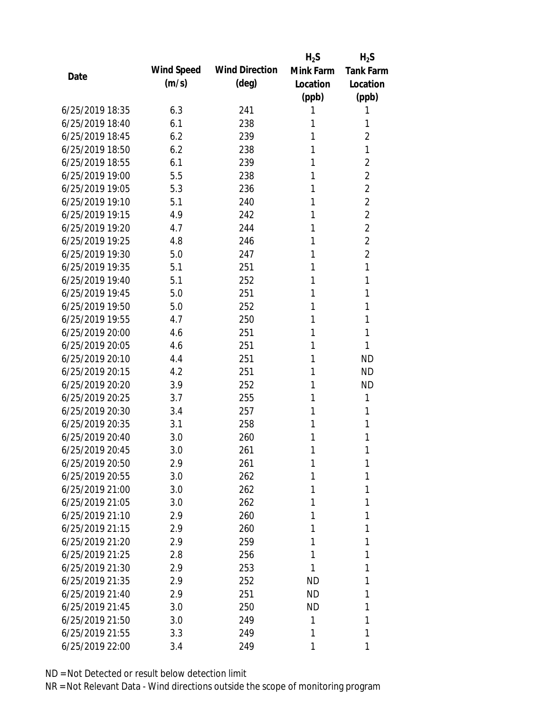|                 |            |                       | $H_2S$    | $H_2S$           |
|-----------------|------------|-----------------------|-----------|------------------|
| Date            | Wind Speed | <b>Wind Direction</b> | Mink Farm | <b>Tank Farm</b> |
|                 | (m/s)      | $(\text{deg})$        | Location  | Location         |
|                 |            |                       | (ppb)     | (ppb)            |
| 6/25/2019 18:35 | 6.3        | 241                   | 1         | 1                |
| 6/25/2019 18:40 | 6.1        | 238                   | 1         | 1                |
| 6/25/2019 18:45 | 6.2        | 239                   | 1         | $\overline{2}$   |
| 6/25/2019 18:50 | 6.2        | 238                   | 1         | 1                |
| 6/25/2019 18:55 | 6.1        | 239                   | 1         | $\overline{2}$   |
| 6/25/2019 19:00 | 5.5        | 238                   | 1         | $\overline{2}$   |
| 6/25/2019 19:05 | 5.3        | 236                   | 1         | $\overline{2}$   |
| 6/25/2019 19:10 | 5.1        | 240                   | 1         | $\overline{2}$   |
| 6/25/2019 19:15 | 4.9        | 242                   | 1         | $\overline{2}$   |
| 6/25/2019 19:20 | 4.7        | 244                   | 1         | $\overline{2}$   |
| 6/25/2019 19:25 | 4.8        | 246                   | 1         | $\overline{2}$   |
| 6/25/2019 19:30 | 5.0        | 247                   | 1         | $\overline{2}$   |
| 6/25/2019 19:35 | 5.1        | 251                   | 1         | 1                |
| 6/25/2019 19:40 | 5.1        | 252                   | 1         | 1                |
| 6/25/2019 19:45 | 5.0        | 251                   | 1         | 1                |
| 6/25/2019 19:50 | 5.0        | 252                   | 1         | 1                |
| 6/25/2019 19:55 | 4.7        | 250                   | 1         | 1                |
| 6/25/2019 20:00 | 4.6        | 251                   | 1         | 1                |
| 6/25/2019 20:05 | 4.6        | 251                   | 1         | 1                |
| 6/25/2019 20:10 | 4.4        | 251                   | 1         | <b>ND</b>        |
| 6/25/2019 20:15 | 4.2        | 251                   | 1         | <b>ND</b>        |
| 6/25/2019 20:20 | 3.9        | 252                   | 1         | <b>ND</b>        |
| 6/25/2019 20:25 | 3.7        | 255                   | 1         | 1                |
| 6/25/2019 20:30 | 3.4        | 257                   | 1         | 1                |
| 6/25/2019 20:35 | 3.1        | 258                   | 1         | 1                |
| 6/25/2019 20:40 | 3.0        | 260                   | 1         | 1                |
| 6/25/2019 20:45 | 3.0        | 261                   | 1         | 1                |
| 6/25/2019 20:50 | 2.9        | 261                   | 1         | 1                |
| 6/25/2019 20:55 | 3.0        | 262                   | 1         | 1                |
| 6/25/2019 21:00 | 3.0        | 262                   | 1         | 1                |
| 6/25/2019 21:05 | 3.0        | 262                   | 1         | 1                |
| 6/25/2019 21:10 | 2.9        | 260                   | 1         | 1                |
| 6/25/2019 21:15 | 2.9        | 260                   | 1         | 1                |
| 6/25/2019 21:20 | 2.9        | 259                   | 1         | 1                |
| 6/25/2019 21:25 | 2.8        | 256                   | 1         | 1                |
| 6/25/2019 21:30 | 2.9        | 253                   | 1         | 1                |
| 6/25/2019 21:35 | 2.9        | 252                   | <b>ND</b> | 1                |
| 6/25/2019 21:40 | 2.9        | 251                   | ND        | 1                |
| 6/25/2019 21:45 | 3.0        | 250                   | <b>ND</b> | 1                |
| 6/25/2019 21:50 | 3.0        | 249                   | 1         | 1                |
| 6/25/2019 21:55 | 3.3        | 249                   | 1         | 1                |
| 6/25/2019 22:00 | 3.4        | 249                   | 1         | 1                |
|                 |            |                       |           |                  |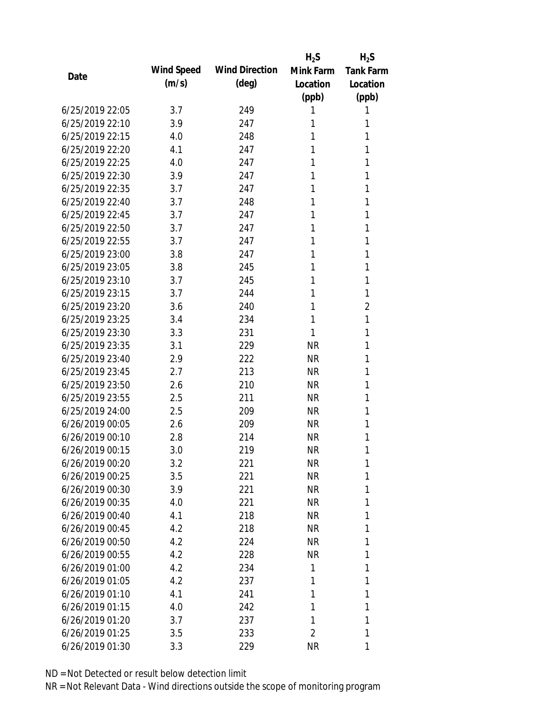|                 |            |                       | $H_2S$    | $H_2S$           |
|-----------------|------------|-----------------------|-----------|------------------|
| Date            | Wind Speed | <b>Wind Direction</b> | Mink Farm | <b>Tank Farm</b> |
|                 | (m/s)      | $(\text{deg})$        | Location  | Location         |
|                 |            |                       | (ppb)     | (ppb)            |
| 6/25/2019 22:05 | 3.7        | 249                   | 1         | 1                |
| 6/25/2019 22:10 | 3.9        | 247                   | 1         | 1                |
| 6/25/2019 22:15 | 4.0        | 248                   | 1         | 1                |
| 6/25/2019 22:20 | 4.1        | 247                   | 1         | 1                |
| 6/25/2019 22:25 | 4.0        | 247                   | 1         | 1                |
| 6/25/2019 22:30 | 3.9        | 247                   | 1         | 1                |
| 6/25/2019 22:35 | 3.7        | 247                   | 1         | 1                |
| 6/25/2019 22:40 | 3.7        | 248                   | 1         | 1                |
| 6/25/2019 22:45 | 3.7        | 247                   | 1         | 1                |
| 6/25/2019 22:50 | 3.7        | 247                   | 1         | 1                |
| 6/25/2019 22:55 | 3.7        | 247                   | 1         | 1                |
| 6/25/2019 23:00 | 3.8        | 247                   | 1         | 1                |
| 6/25/2019 23:05 | 3.8        | 245                   | 1         | 1                |
| 6/25/2019 23:10 | 3.7        | 245                   | 1         | 1                |
| 6/25/2019 23:15 | 3.7        | 244                   | 1         | 1                |
| 6/25/2019 23:20 | 3.6        | 240                   | 1         | $\overline{2}$   |
| 6/25/2019 23:25 | 3.4        | 234                   | 1         | 1                |
| 6/25/2019 23:30 | 3.3        | 231                   | 1         | 1                |
| 6/25/2019 23:35 | 3.1        | 229                   | <b>NR</b> | 1                |
| 6/25/2019 23:40 | 2.9        | 222                   | <b>NR</b> | 1                |
| 6/25/2019 23:45 | 2.7        | 213                   | <b>NR</b> | 1                |
| 6/25/2019 23:50 | 2.6        | 210                   | <b>NR</b> | 1                |
| 6/25/2019 23:55 | 2.5        | 211                   | <b>NR</b> | 1                |
| 6/25/2019 24:00 | 2.5        | 209                   | <b>NR</b> | 1                |
| 6/26/2019 00:05 | 2.6        | 209                   | <b>NR</b> | 1                |
| 6/26/2019 00:10 | 2.8        | 214                   | <b>NR</b> | 1                |
| 6/26/2019 00:15 | 3.0        | 219                   | <b>NR</b> | 1                |
| 6/26/2019 00:20 | 3.2        | 221                   | <b>NR</b> | 1                |
| 6/26/2019 00:25 | 3.5        | 221                   | <b>NR</b> | 1                |
| 6/26/2019 00:30 | 3.9        | 221                   | <b>NR</b> | 1                |
| 6/26/2019 00:35 | 4.0        | 221                   | <b>NR</b> | 1                |
| 6/26/2019 00:40 | 4.1        | 218                   | <b>NR</b> | 1                |
| 6/26/2019 00:45 | 4.2        | 218                   | NR        | 1                |
| 6/26/2019 00:50 | 4.2        | 224                   | <b>NR</b> | 1                |
| 6/26/2019 00:55 | 4.2        | 228                   | <b>NR</b> | 1                |
| 6/26/2019 01:00 | 4.2        | 234                   | 1         | 1                |
| 6/26/2019 01:05 | 4.2        | 237                   | 1         | 1                |
| 6/26/2019 01:10 | 4.1        | 241                   | 1         | 1                |
| 6/26/2019 01:15 | 4.0        | 242                   | 1         | 1                |
| 6/26/2019 01:20 | 3.7        | 237                   | 1         | 1                |
| 6/26/2019 01:25 | 3.5        | 233                   | 2         | 1                |
| 6/26/2019 01:30 | 3.3        | 229                   | <b>NR</b> | 1                |
|                 |            |                       |           |                  |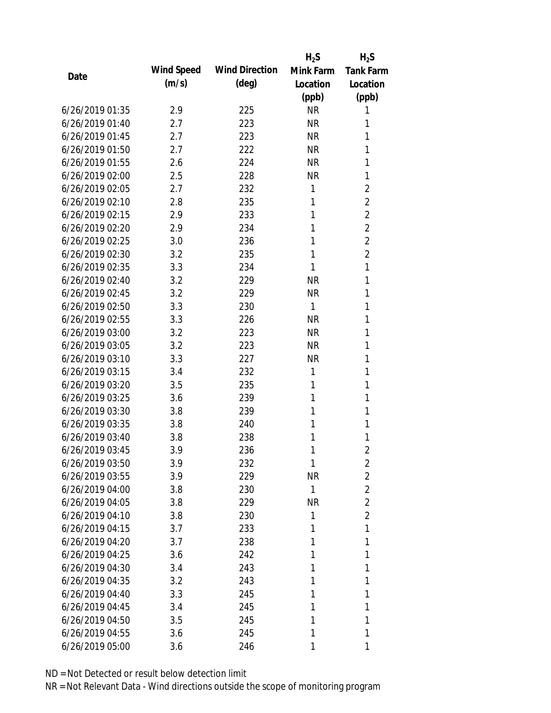|                 |            |                       | $H_2S$       | $H_2S$           |
|-----------------|------------|-----------------------|--------------|------------------|
| Date            | Wind Speed | <b>Wind Direction</b> | Mink Farm    | <b>Tank Farm</b> |
|                 | (m/s)      | $(\text{deg})$        | Location     | Location         |
|                 |            |                       | (ppb)        | (ppb)            |
| 6/26/2019 01:35 | 2.9        | 225                   | <b>NR</b>    | 1                |
| 6/26/2019 01:40 | 2.7        | 223                   | <b>NR</b>    | 1                |
| 6/26/2019 01:45 | 2.7        | 223                   | <b>NR</b>    | 1                |
| 6/26/2019 01:50 | 2.7        | 222                   | <b>NR</b>    | 1                |
| 6/26/2019 01:55 | 2.6        | 224                   | <b>NR</b>    | 1                |
| 6/26/2019 02:00 | 2.5        | 228                   | <b>NR</b>    | 1                |
| 6/26/2019 02:05 | 2.7        | 232                   | 1            | $\overline{2}$   |
| 6/26/2019 02:10 | 2.8        | 235                   | 1            | $\overline{2}$   |
| 6/26/2019 02:15 | 2.9        | 233                   | 1            | $\overline{2}$   |
| 6/26/2019 02:20 | 2.9        | 234                   | 1            | $\overline{2}$   |
| 6/26/2019 02:25 | 3.0        | 236                   | 1            | $\overline{2}$   |
| 6/26/2019 02:30 | 3.2        | 235                   | 1            | $\overline{2}$   |
| 6/26/2019 02:35 | 3.3        | 234                   | 1            | 1                |
| 6/26/2019 02:40 | 3.2        | 229                   | <b>NR</b>    | 1                |
| 6/26/2019 02:45 | 3.2        | 229                   | <b>NR</b>    | 1                |
| 6/26/2019 02:50 | 3.3        | 230                   | 1            | 1                |
| 6/26/2019 02:55 | 3.3        | 226                   | <b>NR</b>    | 1                |
| 6/26/2019 03:00 | 3.2        | 223                   | <b>NR</b>    | 1                |
| 6/26/2019 03:05 | 3.2        | 223                   | <b>NR</b>    | 1                |
| 6/26/2019 03:10 | 3.3        | 227                   | <b>NR</b>    | 1                |
| 6/26/2019 03:15 | 3.4        | 232                   | 1            | 1                |
| 6/26/2019 03:20 | 3.5        | 235                   | 1            | 1                |
| 6/26/2019 03:25 | 3.6        | 239                   | 1            | 1                |
| 6/26/2019 03:30 | 3.8        | 239                   | 1            | 1                |
| 6/26/2019 03:35 | 3.8        | 240                   | 1            | 1                |
| 6/26/2019 03:40 | 3.8        | 238                   | 1            | 1                |
| 6/26/2019 03:45 | 3.9        | 236                   | 1            | $\overline{2}$   |
| 6/26/2019 03:50 | 3.9        | 232                   | 1            | 2                |
| 6/26/2019 03:55 | 3.9        | 229                   | <b>NR</b>    | $\overline{2}$   |
| 6/26/2019 04:00 | 3.8        | 230                   | $\mathbf{1}$ | $\overline{2}$   |
| 6/26/2019 04:05 | 3.8        | 229                   | <b>NR</b>    | 2                |
| 6/26/2019 04:10 | 3.8        | 230                   | 1            | $\overline{2}$   |
| 6/26/2019 04:15 | 3.7        | 233                   | 1            | 1                |
| 6/26/2019 04:20 | 3.7        | 238                   | 1            | 1                |
| 6/26/2019 04:25 | 3.6        | 242                   | 1            | 1                |
| 6/26/2019 04:30 | 3.4        | 243                   | 1            | 1                |
| 6/26/2019 04:35 | 3.2        | 243                   | 1            | 1                |
| 6/26/2019 04:40 | 3.3        | 245                   | 1            | 1                |
| 6/26/2019 04:45 | 3.4        | 245                   | 1            | 1                |
| 6/26/2019 04:50 | 3.5        | 245                   | 1            | 1                |
| 6/26/2019 04:55 | 3.6        | 245                   | 1            | 1                |
| 6/26/2019 05:00 | 3.6        | 246                   | 1            | 1                |
|                 |            |                       |              |                  |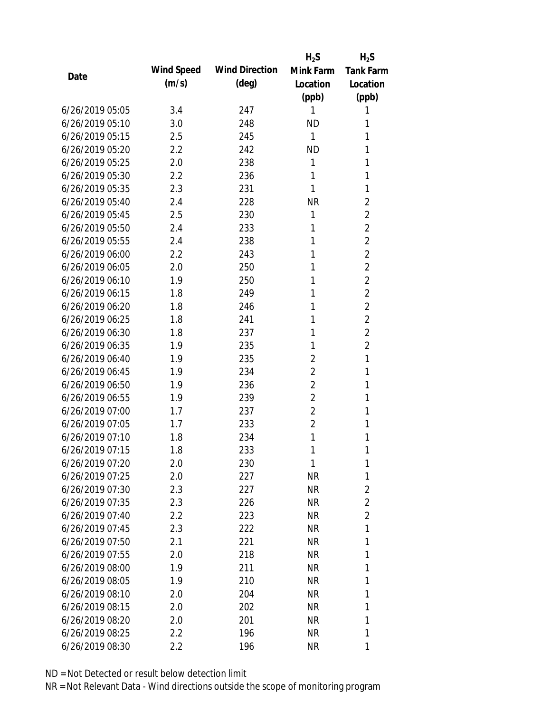|                 |            |                       | $H_2S$         | $H_2S$           |
|-----------------|------------|-----------------------|----------------|------------------|
| Date            | Wind Speed | <b>Wind Direction</b> | Mink Farm      | <b>Tank Farm</b> |
|                 | (m/s)      | $(\text{deg})$        | Location       | Location         |
|                 |            |                       | (ppb)          | (ppb)            |
| 6/26/2019 05:05 | 3.4        | 247                   | 1              | 1                |
| 6/26/2019 05:10 | 3.0        | 248                   | <b>ND</b>      | 1                |
| 6/26/2019 05:15 | 2.5        | 245                   | $\mathbf{1}$   | 1                |
| 6/26/2019 05:20 | 2.2        | 242                   | <b>ND</b>      | 1                |
| 6/26/2019 05:25 | 2.0        | 238                   | 1              | 1                |
| 6/26/2019 05:30 | 2.2        | 236                   | 1              | 1                |
| 6/26/2019 05:35 | 2.3        | 231                   | 1              | 1                |
| 6/26/2019 05:40 | 2.4        | 228                   | <b>NR</b>      | $\overline{2}$   |
| 6/26/2019 05:45 | 2.5        | 230                   | 1              | $\overline{2}$   |
| 6/26/2019 05:50 | 2.4        | 233                   | 1              | $\overline{2}$   |
| 6/26/2019 05:55 | 2.4        | 238                   | 1              | $\overline{2}$   |
| 6/26/2019 06:00 | 2.2        | 243                   | 1              | $\overline{2}$   |
| 6/26/2019 06:05 | 2.0        | 250                   | 1              | $\overline{2}$   |
| 6/26/2019 06:10 | 1.9        | 250                   | 1              | $\overline{2}$   |
| 6/26/2019 06:15 | 1.8        | 249                   | 1              | $\overline{2}$   |
| 6/26/2019 06:20 | 1.8        | 246                   | 1              | $\overline{2}$   |
| 6/26/2019 06:25 | 1.8        | 241                   | 1              | $\overline{2}$   |
| 6/26/2019 06:30 | 1.8        | 237                   | 1              | $\overline{2}$   |
| 6/26/2019 06:35 | 1.9        | 235                   | 1              | $\overline{2}$   |
| 6/26/2019 06:40 | 1.9        | 235                   | 2              | 1                |
| 6/26/2019 06:45 | 1.9        | 234                   | $\overline{2}$ | 1                |
| 6/26/2019 06:50 | 1.9        | 236                   | $\overline{2}$ | 1                |
| 6/26/2019 06:55 | 1.9        | 239                   | $\overline{2}$ | 1                |
| 6/26/2019 07:00 | 1.7        | 237                   | 2              | 1                |
| 6/26/2019 07:05 | 1.7        | 233                   | $\overline{2}$ | 1                |
| 6/26/2019 07:10 | 1.8        | 234                   | 1              | 1                |
| 6/26/2019 07:15 | 1.8        | 233                   | 1              | 1                |
| 6/26/2019 07:20 | 2.0        | 230                   | 1              | 1                |
| 6/26/2019 07:25 | 2.0        | 227                   | <b>NR</b>      | 1                |
| 6/26/2019 07:30 | 2.3        | 227                   | <b>NR</b>      | $\overline{2}$   |
| 6/26/2019 07:35 | 2.3        | 226                   | NR             | $\overline{2}$   |
| 6/26/2019 07:40 | 2.2        | 223                   | NR             | $\overline{2}$   |
| 6/26/2019 07:45 | 2.3        | 222                   | NR             | 1                |
| 6/26/2019 07:50 | 2.1        | 221                   | <b>NR</b>      | 1                |
| 6/26/2019 07:55 | 2.0        | 218                   | NR             | 1                |
| 6/26/2019 08:00 | 1.9        | 211                   | <b>NR</b>      | 1                |
| 6/26/2019 08:05 | 1.9        | 210                   | NR             | 1                |
| 6/26/2019 08:10 | 2.0        | 204                   | NR             | 1                |
| 6/26/2019 08:15 | 2.0        | 202                   | NR             | 1                |
| 6/26/2019 08:20 | 2.0        | 201                   | <b>NR</b>      | 1                |
| 6/26/2019 08:25 | 2.2        | 196                   | <b>NR</b>      | 1                |
| 6/26/2019 08:30 | 2.2        | 196                   | <b>NR</b>      | 1                |
|                 |            |                       |                |                  |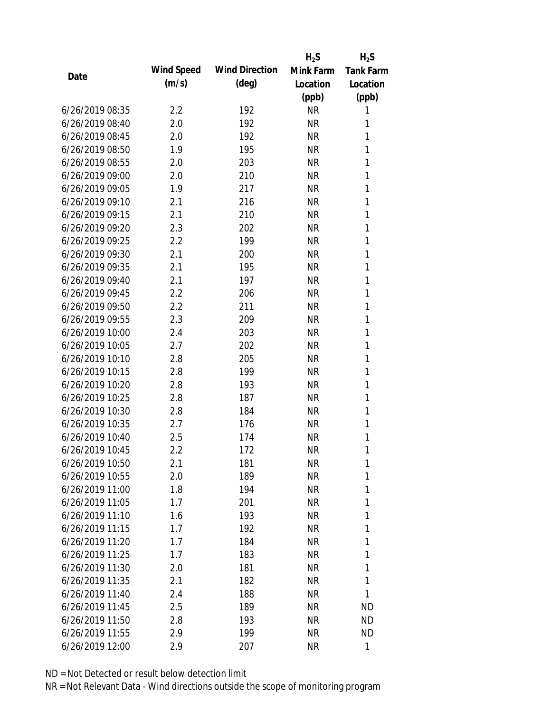|                 |            |                       | $H_2S$    | $H_2S$           |
|-----------------|------------|-----------------------|-----------|------------------|
| Date            | Wind Speed | <b>Wind Direction</b> | Mink Farm | <b>Tank Farm</b> |
|                 | (m/s)      | $(\text{deg})$        | Location  | Location         |
|                 |            |                       | (ppb)     | (ppb)            |
| 6/26/2019 08:35 | 2.2        | 192                   | <b>NR</b> | 1                |
| 6/26/2019 08:40 | 2.0        | 192                   | <b>NR</b> | 1                |
| 6/26/2019 08:45 | 2.0        | 192                   | <b>NR</b> | 1                |
| 6/26/2019 08:50 | 1.9        | 195                   | <b>NR</b> | 1                |
| 6/26/2019 08:55 | 2.0        | 203                   | <b>NR</b> | 1                |
| 6/26/2019 09:00 | 2.0        | 210                   | <b>NR</b> | 1                |
| 6/26/2019 09:05 | 1.9        | 217                   | <b>NR</b> | 1                |
| 6/26/2019 09:10 | 2.1        | 216                   | <b>NR</b> | 1                |
| 6/26/2019 09:15 | 2.1        | 210                   | <b>NR</b> | 1                |
| 6/26/2019 09:20 | 2.3        | 202                   | <b>NR</b> | 1                |
| 6/26/2019 09:25 | 2.2        | 199                   | <b>NR</b> | 1                |
| 6/26/2019 09:30 | 2.1        | 200                   | <b>NR</b> | 1                |
| 6/26/2019 09:35 | 2.1        | 195                   | <b>NR</b> | 1                |
| 6/26/2019 09:40 | 2.1        | 197                   | <b>NR</b> | 1                |
| 6/26/2019 09:45 | 2.2        | 206                   | <b>NR</b> | 1                |
| 6/26/2019 09:50 | 2.2        | 211                   | <b>NR</b> | 1                |
| 6/26/2019 09:55 | 2.3        | 209                   | <b>NR</b> | 1                |
| 6/26/2019 10:00 | 2.4        | 203                   | <b>NR</b> | 1                |
| 6/26/2019 10:05 | 2.7        | 202                   | <b>NR</b> | 1                |
| 6/26/2019 10:10 | 2.8        | 205                   | <b>NR</b> | 1                |
| 6/26/2019 10:15 | 2.8        | 199                   | <b>NR</b> | 1                |
| 6/26/2019 10:20 | 2.8        | 193                   | <b>NR</b> | 1                |
| 6/26/2019 10:25 | 2.8        | 187                   | <b>NR</b> | 1                |
| 6/26/2019 10:30 | 2.8        | 184                   | <b>NR</b> | 1                |
| 6/26/2019 10:35 | 2.7        | 176                   | <b>NR</b> | 1                |
| 6/26/2019 10:40 | 2.5        | 174                   | <b>NR</b> | 1                |
| 6/26/2019 10:45 | 2.2        | 172                   | <b>NR</b> | 1                |
| 6/26/2019 10:50 | 2.1        | 181                   | <b>NR</b> | 1                |
| 6/26/2019 10:55 | 2.0        | 189                   | <b>NR</b> | 1                |
| 6/26/2019 11:00 | 1.8        | 194                   | <b>NR</b> | 1                |
| 6/26/2019 11:05 | 1.7        | 201                   | <b>NR</b> | 1                |
| 6/26/2019 11:10 | 1.6        | 193                   | <b>NR</b> | 1                |
| 6/26/2019 11:15 | 1.7        | 192                   | <b>NR</b> | 1                |
| 6/26/2019 11:20 | 1.7        | 184                   | <b>NR</b> | 1                |
| 6/26/2019 11:25 | 1.7        | 183                   | <b>NR</b> | 1                |
| 6/26/2019 11:30 | 2.0        | 181                   | <b>NR</b> | 1                |
| 6/26/2019 11:35 | 2.1        | 182                   | <b>NR</b> | 1                |
| 6/26/2019 11:40 | 2.4        | 188                   | <b>NR</b> | 1                |
| 6/26/2019 11:45 | 2.5        | 189                   | <b>NR</b> | <b>ND</b>        |
| 6/26/2019 11:50 | 2.8        | 193                   | <b>NR</b> | <b>ND</b>        |
| 6/26/2019 11:55 | 2.9        | 199                   | <b>NR</b> | <b>ND</b>        |
| 6/26/2019 12:00 | 2.9        | 207                   | <b>NR</b> | 1                |
|                 |            |                       |           |                  |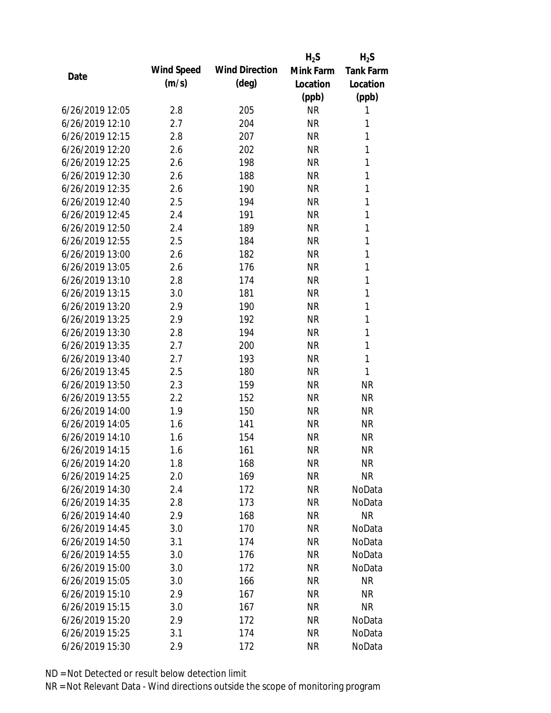|                 |            |                       | $H_2S$    | $H_2S$           |
|-----------------|------------|-----------------------|-----------|------------------|
| Date            | Wind Speed | <b>Wind Direction</b> | Mink Farm | <b>Tank Farm</b> |
|                 | (m/s)      | $(\text{deg})$        | Location  | Location         |
|                 |            |                       | (ppb)     | (ppb)            |
| 6/26/2019 12:05 | 2.8        | 205                   | <b>NR</b> | 1                |
| 6/26/2019 12:10 | 2.7        | 204                   | <b>NR</b> | 1                |
| 6/26/2019 12:15 | 2.8        | 207                   | <b>NR</b> | 1                |
| 6/26/2019 12:20 | 2.6        | 202                   | <b>NR</b> | 1                |
| 6/26/2019 12:25 | 2.6        | 198                   | <b>NR</b> | 1                |
| 6/26/2019 12:30 | 2.6        | 188                   | <b>NR</b> | 1                |
| 6/26/2019 12:35 | 2.6        | 190                   | <b>NR</b> | 1                |
| 6/26/2019 12:40 | 2.5        | 194                   | <b>NR</b> | 1                |
| 6/26/2019 12:45 | 2.4        | 191                   | <b>NR</b> | 1                |
| 6/26/2019 12:50 | 2.4        | 189                   | <b>NR</b> | 1                |
| 6/26/2019 12:55 | 2.5        | 184                   | <b>NR</b> | 1                |
| 6/26/2019 13:00 | 2.6        | 182                   | <b>NR</b> | 1                |
| 6/26/2019 13:05 | 2.6        | 176                   | <b>NR</b> | 1                |
| 6/26/2019 13:10 | 2.8        | 174                   | <b>NR</b> | 1                |
| 6/26/2019 13:15 | 3.0        | 181                   | <b>NR</b> | 1                |
| 6/26/2019 13:20 | 2.9        | 190                   | <b>NR</b> | 1                |
| 6/26/2019 13:25 | 2.9        | 192                   | <b>NR</b> | 1                |
| 6/26/2019 13:30 | 2.8        | 194                   | <b>NR</b> | $\mathbf{1}$     |
| 6/26/2019 13:35 | 2.7        | 200                   | <b>NR</b> | $\mathbf{1}$     |
| 6/26/2019 13:40 | 2.7        | 193                   | <b>NR</b> | 1                |
| 6/26/2019 13:45 | 2.5        | 180                   | <b>NR</b> | 1                |
| 6/26/2019 13:50 | 2.3        | 159                   | <b>NR</b> | <b>NR</b>        |
| 6/26/2019 13:55 | 2.2        | 152                   | <b>NR</b> | <b>NR</b>        |
| 6/26/2019 14:00 | 1.9        | 150                   | <b>NR</b> | <b>NR</b>        |
| 6/26/2019 14:05 | 1.6        | 141                   | <b>NR</b> | <b>NR</b>        |
| 6/26/2019 14:10 | 1.6        | 154                   | <b>NR</b> | <b>NR</b>        |
| 6/26/2019 14:15 | 1.6        | 161                   | <b>NR</b> | <b>NR</b>        |
| 6/26/2019 14:20 | 1.8        | 168                   | <b>NR</b> | <b>NR</b>        |
| 6/26/2019 14:25 | 2.0        | 169                   | <b>NR</b> | <b>NR</b>        |
| 6/26/2019 14:30 | 2.4        | 172                   | <b>NR</b> | NoData           |
| 6/26/2019 14:35 | 2.8        | 173                   | <b>NR</b> | NoData           |
| 6/26/2019 14:40 | 2.9        | 168                   | <b>NR</b> | <b>NR</b>        |
| 6/26/2019 14:45 | 3.0        | 170                   | <b>NR</b> | NoData           |
| 6/26/2019 14:50 | 3.1        | 174                   | <b>NR</b> | NoData           |
| 6/26/2019 14:55 | 3.0        | 176                   | <b>NR</b> | NoData           |
| 6/26/2019 15:00 | 3.0        | 172                   | <b>NR</b> | NoData           |
| 6/26/2019 15:05 | 3.0        | 166                   | <b>NR</b> | NR               |
| 6/26/2019 15:10 | 2.9        | 167                   | <b>NR</b> | NR               |
| 6/26/2019 15:15 | 3.0        | 167                   | <b>NR</b> | <b>NR</b>        |
| 6/26/2019 15:20 | 2.9        | 172                   | <b>NR</b> | NoData           |
| 6/26/2019 15:25 | 3.1        | 174                   | <b>NR</b> | NoData           |
| 6/26/2019 15:30 | 2.9        | 172                   | <b>NR</b> | NoData           |
|                 |            |                       |           |                  |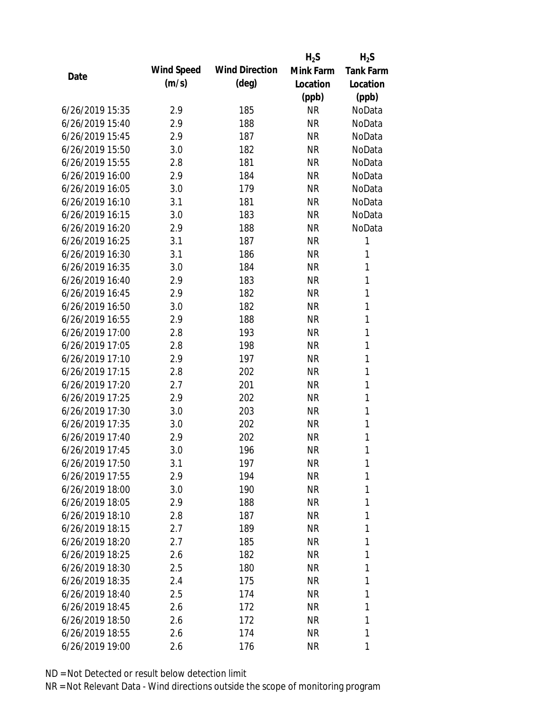|                 |            |                       | $H_2S$    | $H_2S$           |
|-----------------|------------|-----------------------|-----------|------------------|
|                 | Wind Speed | <b>Wind Direction</b> | Mink Farm | <b>Tank Farm</b> |
| Date            | (m/s)      | $(\text{deg})$        | Location  | Location         |
|                 |            |                       | (ppb)     | (ppb)            |
| 6/26/2019 15:35 | 2.9        | 185                   | <b>NR</b> | NoData           |
| 6/26/2019 15:40 | 2.9        | 188                   | <b>NR</b> | NoData           |
| 6/26/2019 15:45 | 2.9        | 187                   | <b>NR</b> | NoData           |
| 6/26/2019 15:50 | 3.0        | 182                   | <b>NR</b> | NoData           |
| 6/26/2019 15:55 | 2.8        | 181                   | <b>NR</b> | NoData           |
| 6/26/2019 16:00 | 2.9        | 184                   | <b>NR</b> | NoData           |
| 6/26/2019 16:05 | 3.0        | 179                   | <b>NR</b> | NoData           |
| 6/26/2019 16:10 | 3.1        | 181                   | <b>NR</b> | NoData           |
| 6/26/2019 16:15 | 3.0        | 183                   | <b>NR</b> | NoData           |
| 6/26/2019 16:20 | 2.9        | 188                   | <b>NR</b> | NoData           |
| 6/26/2019 16:25 | 3.1        | 187                   | <b>NR</b> | 1                |
| 6/26/2019 16:30 | 3.1        | 186                   | <b>NR</b> | 1                |
| 6/26/2019 16:35 | 3.0        | 184                   | <b>NR</b> | 1                |
| 6/26/2019 16:40 | 2.9        | 183                   | <b>NR</b> | $\mathbf{1}$     |
| 6/26/2019 16:45 | 2.9        | 182                   | <b>NR</b> | $\mathbf{1}$     |
| 6/26/2019 16:50 | 3.0        | 182                   | <b>NR</b> | 1                |
| 6/26/2019 16:55 | 2.9        | 188                   | <b>NR</b> | 1                |
| 6/26/2019 17:00 | 2.8        | 193                   | <b>NR</b> | $\mathbf{1}$     |
| 6/26/2019 17:05 | 2.8        | 198                   | <b>NR</b> | $\mathbf{1}$     |
| 6/26/2019 17:10 | 2.9        | 197                   | <b>NR</b> | $\mathbf{1}$     |
| 6/26/2019 17:15 | 2.8        | 202                   | <b>NR</b> | $\mathbf{1}$     |
| 6/26/2019 17:20 | 2.7        | 201                   | <b>NR</b> | $\mathbf{1}$     |
| 6/26/2019 17:25 | 2.9        | 202                   | <b>NR</b> | 1                |
| 6/26/2019 17:30 | 3.0        | 203                   | <b>NR</b> | $\mathbf{1}$     |
| 6/26/2019 17:35 | 3.0        | 202                   | <b>NR</b> | 1                |
| 6/26/2019 17:40 | 2.9        | 202                   | <b>NR</b> | $\mathbf{1}$     |
| 6/26/2019 17:45 | 3.0        | 196                   | <b>NR</b> | $\mathbf{1}$     |
| 6/26/2019 17:50 | 3.1        | 197                   | ΝR        | 1                |
| 6/26/2019 17:55 | 2.9        | 194                   | <b>NR</b> | 1                |
| 6/26/2019 18:00 | 3.0        | 190                   | NR        | 1                |
| 6/26/2019 18:05 | 2.9        | 188                   | NR        | 1                |
| 6/26/2019 18:10 | 2.8        | 187                   | NR        | 1                |
| 6/26/2019 18:15 | 2.7        | 189                   | NR        | 1                |
| 6/26/2019 18:20 | 2.7        | 185                   | <b>NR</b> | 1                |
| 6/26/2019 18:25 | 2.6        | 182                   | NR        | 1                |
| 6/26/2019 18:30 | 2.5        | 180                   | NR        | 1                |
| 6/26/2019 18:35 | 2.4        | 175                   | NR        | 1                |
| 6/26/2019 18:40 | 2.5        | 174                   | NR        | 1                |
| 6/26/2019 18:45 | 2.6        | 172                   | NR        | 1                |
| 6/26/2019 18:50 | 2.6        | 172                   | NR        | 1                |
| 6/26/2019 18:55 | 2.6        | 174                   | <b>NR</b> | 1                |
| 6/26/2019 19:00 | 2.6        | 176                   | <b>NR</b> | 1                |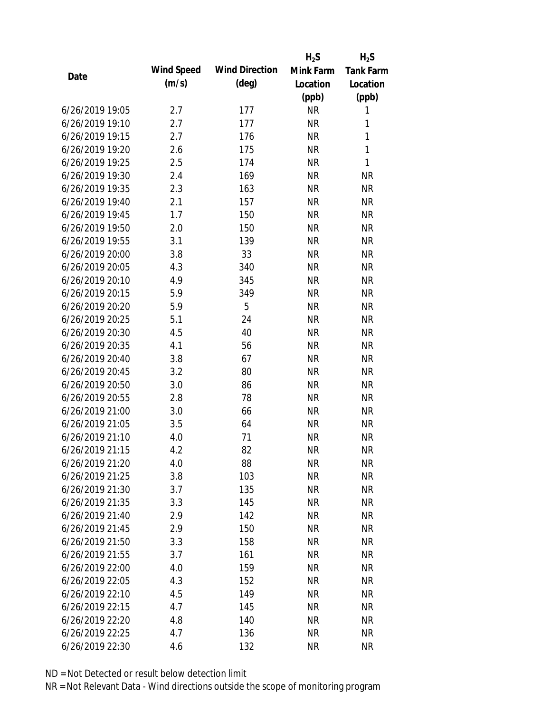|                 |            |                       | $H_2S$    | $H_2S$           |
|-----------------|------------|-----------------------|-----------|------------------|
| Date            | Wind Speed | <b>Wind Direction</b> | Mink Farm | <b>Tank Farm</b> |
|                 | (m/s)      | $(\text{deg})$        | Location  | Location         |
|                 |            |                       | (ppb)     | (ppb)            |
| 6/26/2019 19:05 | 2.7        | 177                   | <b>NR</b> | 1                |
| 6/26/2019 19:10 | 2.7        | 177                   | <b>NR</b> | 1                |
| 6/26/2019 19:15 | 2.7        | 176                   | <b>NR</b> | 1                |
| 6/26/2019 19:20 | 2.6        | 175                   | <b>NR</b> | 1                |
| 6/26/2019 19:25 | 2.5        | 174                   | <b>NR</b> | 1                |
| 6/26/2019 19:30 | 2.4        | 169                   | <b>NR</b> | <b>NR</b>        |
| 6/26/2019 19:35 | 2.3        | 163                   | <b>NR</b> | <b>NR</b>        |
| 6/26/2019 19:40 | 2.1        | 157                   | <b>NR</b> | <b>NR</b>        |
| 6/26/2019 19:45 | 1.7        | 150                   | <b>NR</b> | <b>NR</b>        |
| 6/26/2019 19:50 | 2.0        | 150                   | <b>NR</b> | <b>NR</b>        |
| 6/26/2019 19:55 | 3.1        | 139                   | <b>NR</b> | <b>NR</b>        |
| 6/26/2019 20:00 | 3.8        | 33                    | <b>NR</b> | <b>NR</b>        |
| 6/26/2019 20:05 | 4.3        | 340                   | <b>NR</b> | <b>NR</b>        |
| 6/26/2019 20:10 | 4.9        | 345                   | <b>NR</b> | <b>NR</b>        |
| 6/26/2019 20:15 | 5.9        | 349                   | <b>NR</b> | <b>NR</b>        |
| 6/26/2019 20:20 | 5.9        | 5                     | <b>NR</b> | <b>NR</b>        |
| 6/26/2019 20:25 | 5.1        | 24                    | <b>NR</b> | <b>NR</b>        |
| 6/26/2019 20:30 | 4.5        | 40                    | <b>NR</b> | <b>NR</b>        |
| 6/26/2019 20:35 | 4.1        | 56                    | <b>NR</b> | <b>NR</b>        |
| 6/26/2019 20:40 | 3.8        | 67                    | <b>NR</b> | <b>NR</b>        |
| 6/26/2019 20:45 | 3.2        | 80                    | <b>NR</b> | <b>NR</b>        |
| 6/26/2019 20:50 | 3.0        | 86                    | <b>NR</b> | <b>NR</b>        |
| 6/26/2019 20:55 | 2.8        | 78                    | <b>NR</b> | <b>NR</b>        |
| 6/26/2019 21:00 | 3.0        | 66                    | <b>NR</b> | <b>NR</b>        |
| 6/26/2019 21:05 | 3.5        | 64                    | <b>NR</b> | <b>NR</b>        |
| 6/26/2019 21:10 | 4.0        | 71                    | <b>NR</b> | <b>NR</b>        |
| 6/26/2019 21:15 | 4.2        | 82                    | <b>NR</b> | <b>NR</b>        |
| 6/26/2019 21:20 | 4.0        | 88                    | <b>NR</b> | <b>NR</b>        |
| 6/26/2019 21:25 | 3.8        | 103                   | <b>NR</b> | <b>NR</b>        |
| 6/26/2019 21:30 | 3.7        | 135                   | <b>NR</b> | <b>NR</b>        |
| 6/26/2019 21:35 | 3.3        | 145                   | <b>NR</b> | <b>NR</b>        |
| 6/26/2019 21:40 | 2.9        | 142                   | <b>NR</b> | <b>NR</b>        |
| 6/26/2019 21:45 | 2.9        | 150                   | <b>NR</b> | <b>NR</b>        |
| 6/26/2019 21:50 | 3.3        | 158                   | <b>NR</b> | <b>NR</b>        |
| 6/26/2019 21:55 | 3.7        | 161                   | <b>NR</b> | <b>NR</b>        |
| 6/26/2019 22:00 | 4.0        | 159                   | <b>NR</b> | <b>NR</b>        |
| 6/26/2019 22:05 | 4.3        | 152                   | <b>NR</b> | <b>NR</b>        |
| 6/26/2019 22:10 | 4.5        | 149                   | <b>NR</b> | <b>NR</b>        |
| 6/26/2019 22:15 | 4.7        | 145                   | <b>NR</b> | <b>NR</b>        |
| 6/26/2019 22:20 | 4.8        | 140                   | <b>NR</b> | <b>NR</b>        |
| 6/26/2019 22:25 | 4.7        | 136                   | <b>NR</b> | <b>NR</b>        |
| 6/26/2019 22:30 | 4.6        | 132                   | <b>NR</b> | <b>NR</b>        |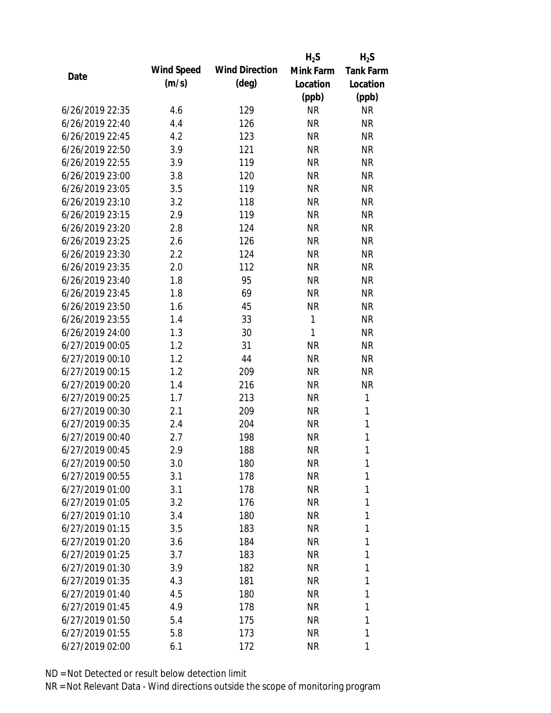|                 |            |                       | $H_2S$       | $H_2S$           |
|-----------------|------------|-----------------------|--------------|------------------|
| Date            | Wind Speed | <b>Wind Direction</b> | Mink Farm    | <b>Tank Farm</b> |
|                 | (m/s)      | $(\text{deg})$        | Location     | Location         |
|                 |            |                       | (ppb)        | (ppb)            |
| 6/26/2019 22:35 | 4.6        | 129                   | <b>NR</b>    | <b>NR</b>        |
| 6/26/2019 22:40 | 4.4        | 126                   | <b>NR</b>    | <b>NR</b>        |
| 6/26/2019 22:45 | 4.2        | 123                   | <b>NR</b>    | <b>NR</b>        |
| 6/26/2019 22:50 | 3.9        | 121                   | <b>NR</b>    | <b>NR</b>        |
| 6/26/2019 22:55 | 3.9        | 119                   | <b>NR</b>    | <b>NR</b>        |
| 6/26/2019 23:00 | 3.8        | 120                   | <b>NR</b>    | <b>NR</b>        |
| 6/26/2019 23:05 | 3.5        | 119                   | <b>NR</b>    | <b>NR</b>        |
| 6/26/2019 23:10 | 3.2        | 118                   | <b>NR</b>    | <b>NR</b>        |
| 6/26/2019 23:15 | 2.9        | 119                   | <b>NR</b>    | <b>NR</b>        |
| 6/26/2019 23:20 | 2.8        | 124                   | <b>NR</b>    | <b>NR</b>        |
| 6/26/2019 23:25 | 2.6        | 126                   | <b>NR</b>    | <b>NR</b>        |
| 6/26/2019 23:30 | 2.2        | 124                   | <b>NR</b>    | <b>NR</b>        |
| 6/26/2019 23:35 | 2.0        | 112                   | <b>NR</b>    | <b>NR</b>        |
| 6/26/2019 23:40 | 1.8        | 95                    | <b>NR</b>    | <b>NR</b>        |
| 6/26/2019 23:45 | 1.8        | 69                    | <b>NR</b>    | <b>NR</b>        |
| 6/26/2019 23:50 | 1.6        | 45                    | <b>NR</b>    | <b>NR</b>        |
| 6/26/2019 23:55 | 1.4        | 33                    | 1            | <b>NR</b>        |
| 6/26/2019 24:00 | 1.3        | 30                    | $\mathbf{1}$ | <b>NR</b>        |
| 6/27/2019 00:05 | 1.2        | 31                    | <b>NR</b>    | <b>NR</b>        |
| 6/27/2019 00:10 | 1.2        | 44                    | <b>NR</b>    | <b>NR</b>        |
| 6/27/2019 00:15 | 1.2        | 209                   | <b>NR</b>    | <b>NR</b>        |
| 6/27/2019 00:20 | 1.4        | 216                   | <b>NR</b>    | <b>NR</b>        |
| 6/27/2019 00:25 | 1.7        | 213                   | <b>NR</b>    | $\mathbf{1}$     |
| 6/27/2019 00:30 | 2.1        | 209                   | <b>NR</b>    | 1                |
| 6/27/2019 00:35 | 2.4        | 204                   | <b>NR</b>    | $\mathbf{1}$     |
| 6/27/2019 00:40 | 2.7        | 198                   | <b>NR</b>    | $\mathbf{1}$     |
| 6/27/2019 00:45 | 2.9        | 188                   | <b>NR</b>    | 1                |
| 6/27/2019 00:50 | 3.0        | 180                   | <b>NR</b>    | 1                |
| 6/27/2019 00:55 | 3.1        | 178                   | <b>NR</b>    | 1                |
| 6/27/2019 01:00 | 3.1        | 178                   | NR           | 1                |
| 6/27/2019 01:05 | 3.2        | 176                   | <b>NR</b>    | 1                |
| 6/27/2019 01:10 | 3.4        | 180                   | NR           | 1                |
| 6/27/2019 01:15 | 3.5        | 183                   | NR           | 1                |
| 6/27/2019 01:20 | 3.6        | 184                   | <b>NR</b>    | 1                |
| 6/27/2019 01:25 | 3.7        | 183                   | NR           | 1                |
| 6/27/2019 01:30 | 3.9        | 182                   | <b>NR</b>    | 1                |
| 6/27/2019 01:35 | 4.3        | 181                   | NR           | 1                |
| 6/27/2019 01:40 | 4.5        | 180                   | NR           | 1                |
| 6/27/2019 01:45 | 4.9        | 178                   | NR           | 1                |
| 6/27/2019 01:50 | 5.4        | 175                   | <b>NR</b>    | 1                |
| 6/27/2019 01:55 | 5.8        | 173                   | <b>NR</b>    | 1                |
| 6/27/2019 02:00 | 6.1        | 172                   | <b>NR</b>    | 1                |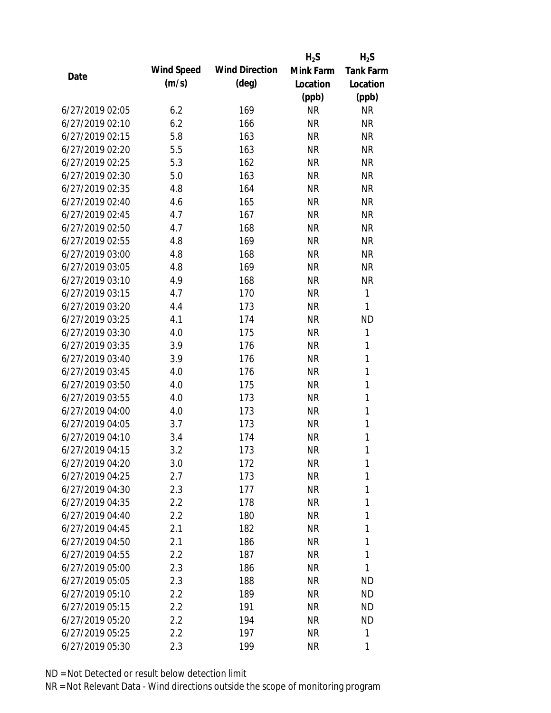|                 |            |                       | $H_2S$    | $H_2S$           |
|-----------------|------------|-----------------------|-----------|------------------|
| Date            | Wind Speed | <b>Wind Direction</b> | Mink Farm | <b>Tank Farm</b> |
|                 | (m/s)      | $(\text{deg})$        | Location  | Location         |
|                 |            |                       | (ppb)     | (ppb)            |
| 6/27/2019 02:05 | 6.2        | 169                   | <b>NR</b> | <b>NR</b>        |
| 6/27/2019 02:10 | 6.2        | 166                   | <b>NR</b> | <b>NR</b>        |
| 6/27/2019 02:15 | 5.8        | 163                   | <b>NR</b> | <b>NR</b>        |
| 6/27/2019 02:20 | 5.5        | 163                   | <b>NR</b> | <b>NR</b>        |
| 6/27/2019 02:25 | 5.3        | 162                   | <b>NR</b> | <b>NR</b>        |
| 6/27/2019 02:30 | 5.0        | 163                   | <b>NR</b> | <b>NR</b>        |
| 6/27/2019 02:35 | 4.8        | 164                   | <b>NR</b> | <b>NR</b>        |
| 6/27/2019 02:40 | 4.6        | 165                   | <b>NR</b> | <b>NR</b>        |
| 6/27/2019 02:45 | 4.7        | 167                   | <b>NR</b> | <b>NR</b>        |
| 6/27/2019 02:50 | 4.7        | 168                   | <b>NR</b> | <b>NR</b>        |
| 6/27/2019 02:55 | 4.8        | 169                   | <b>NR</b> | <b>NR</b>        |
| 6/27/2019 03:00 | 4.8        | 168                   | <b>NR</b> | <b>NR</b>        |
| 6/27/2019 03:05 | 4.8        | 169                   | <b>NR</b> | <b>NR</b>        |
| 6/27/2019 03:10 | 4.9        | 168                   | <b>NR</b> | <b>NR</b>        |
| 6/27/2019 03:15 | 4.7        | 170                   | <b>NR</b> | 1                |
| 6/27/2019 03:20 | 4.4        | 173                   | <b>NR</b> | 1                |
| 6/27/2019 03:25 | 4.1        | 174                   | <b>NR</b> | <b>ND</b>        |
| 6/27/2019 03:30 | 4.0        | 175                   | <b>NR</b> | 1                |
| 6/27/2019 03:35 | 3.9        | 176                   | <b>NR</b> | 1                |
| 6/27/2019 03:40 | 3.9        | 176                   | <b>NR</b> | 1                |
| 6/27/2019 03:45 | 4.0        | 176                   | <b>NR</b> | $\mathbf{1}$     |
| 6/27/2019 03:50 | 4.0        | 175                   | <b>NR</b> | $\mathbf{1}$     |
| 6/27/2019 03:55 | 4.0        | 173                   | <b>NR</b> | 1                |
| 6/27/2019 04:00 | 4.0        | 173                   | <b>NR</b> | $\mathbf{1}$     |
| 6/27/2019 04:05 | 3.7        | 173                   | <b>NR</b> | 1                |
| 6/27/2019 04:10 | 3.4        | 174                   | <b>NR</b> | $\mathbf{1}$     |
| 6/27/2019 04:15 | 3.2        | 173                   | <b>NR</b> | 1                |
| 6/27/2019 04:20 | 3.0        | 172                   | <b>NR</b> | 1                |
| 6/27/2019 04:25 | 2.7        | 173                   | <b>NR</b> | 1                |
| 6/27/2019 04:30 | 2.3        | 177                   | NR        | 1                |
| 6/27/2019 04:35 | 2.2        | 178                   | <b>NR</b> | 1                |
| 6/27/2019 04:40 | 2.2        | 180                   | NR        | 1                |
| 6/27/2019 04:45 | 2.1        | 182                   | NR        | 1                |
| 6/27/2019 04:50 | 2.1        | 186                   | <b>NR</b> | 1                |
| 6/27/2019 04:55 | 2.2        | 187                   | <b>NR</b> | 1                |
| 6/27/2019 05:00 | 2.3        | 186                   | <b>NR</b> | 1                |
| 6/27/2019 05:05 | 2.3        | 188                   | <b>NR</b> | ND               |
| 6/27/2019 05:10 | 2.2        | 189                   | NR        | <b>ND</b>        |
| 6/27/2019 05:15 | 2.2        | 191                   | NR        | <b>ND</b>        |
| 6/27/2019 05:20 | 2.2        | 194                   | NR        | <b>ND</b>        |
| 6/27/2019 05:25 | 2.2        | 197                   | <b>NR</b> | 1                |
| 6/27/2019 05:30 | 2.3        | 199                   | <b>NR</b> | 1                |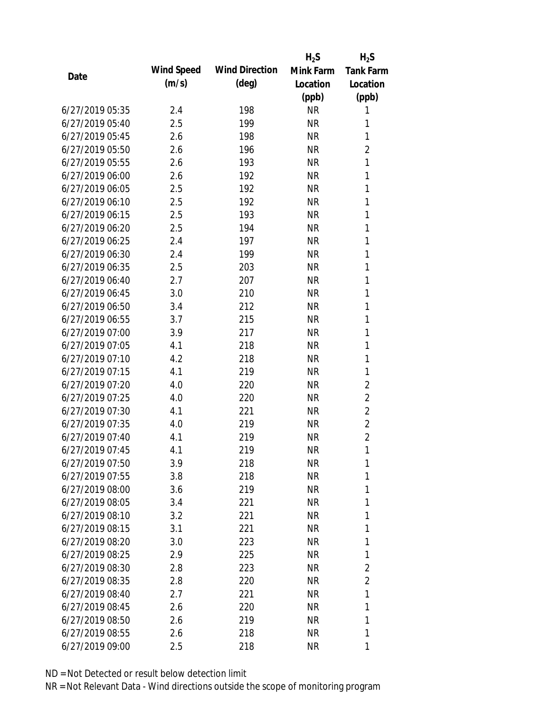|                 |            |                       | $H_2S$    | $H_2S$           |
|-----------------|------------|-----------------------|-----------|------------------|
|                 | Wind Speed | <b>Wind Direction</b> | Mink Farm | <b>Tank Farm</b> |
| Date            | (m/s)      | $(\text{deg})$        | Location  | Location         |
|                 |            |                       | (ppb)     | (ppb)            |
| 6/27/2019 05:35 | 2.4        | 198                   | <b>NR</b> | 1                |
| 6/27/2019 05:40 | 2.5        | 199                   | <b>NR</b> | 1                |
| 6/27/2019 05:45 | 2.6        | 198                   | <b>NR</b> | 1                |
| 6/27/2019 05:50 | 2.6        | 196                   | <b>NR</b> | $\overline{2}$   |
| 6/27/2019 05:55 | 2.6        | 193                   | <b>NR</b> | 1                |
| 6/27/2019 06:00 | 2.6        | 192                   | <b>NR</b> | 1                |
| 6/27/2019 06:05 | 2.5        | 192                   | <b>NR</b> | 1                |
| 6/27/2019 06:10 | 2.5        | 192                   | <b>NR</b> | 1                |
| 6/27/2019 06:15 | 2.5        | 193                   | <b>NR</b> | 1                |
| 6/27/2019 06:20 | 2.5        | 194                   | <b>NR</b> | 1                |
| 6/27/2019 06:25 | 2.4        | 197                   | <b>NR</b> | 1                |
| 6/27/2019 06:30 | 2.4        | 199                   | <b>NR</b> | 1                |
| 6/27/2019 06:35 | 2.5        | 203                   | <b>NR</b> | 1                |
| 6/27/2019 06:40 | 2.7        | 207                   | <b>NR</b> | 1                |
| 6/27/2019 06:45 | 3.0        | 210                   | <b>NR</b> | 1                |
| 6/27/2019 06:50 | 3.4        | 212                   | <b>NR</b> | 1                |
| 6/27/2019 06:55 | 3.7        | 215                   | <b>NR</b> | 1                |
| 6/27/2019 07:00 | 3.9        | 217                   | <b>NR</b> | $\mathbf{1}$     |
| 6/27/2019 07:05 | 4.1        | 218                   | <b>NR</b> | 1                |
| 6/27/2019 07:10 | 4.2        | 218                   | <b>NR</b> | 1                |
| 6/27/2019 07:15 | 4.1        | 219                   | <b>NR</b> | 1                |
| 6/27/2019 07:20 | 4.0        | 220                   | <b>NR</b> | $\overline{2}$   |
| 6/27/2019 07:25 | 4.0        | 220                   | <b>NR</b> | $\overline{2}$   |
| 6/27/2019 07:30 | 4.1        | 221                   | <b>NR</b> | $\overline{2}$   |
| 6/27/2019 07:35 | 4.0        | 219                   | <b>NR</b> | $\overline{2}$   |
| 6/27/2019 07:40 | 4.1        | 219                   | <b>NR</b> | $\overline{2}$   |
| 6/27/2019 07:45 | 4.1        | 219                   | <b>NR</b> | 1                |
| 6/27/2019 07:50 | 3.9        | 218                   | <b>NR</b> | 1                |
| 6/27/2019 07:55 | 3.8        | 218                   | <b>NR</b> | 1                |
| 6/27/2019 08:00 | 3.6        | 219                   | <b>NR</b> | 1                |
| 6/27/2019 08:05 | 3.4        | 221                   | <b>NR</b> | 1                |
| 6/27/2019 08:10 | 3.2        | 221                   | <b>NR</b> | 1                |
| 6/27/2019 08:15 | 3.1        | 221                   | <b>NR</b> | 1                |
| 6/27/2019 08:20 | 3.0        | 223                   | <b>NR</b> | 1                |
| 6/27/2019 08:25 | 2.9        | 225                   | <b>NR</b> | 1                |
| 6/27/2019 08:30 | 2.8        | 223                   | NR        | $\overline{2}$   |
| 6/27/2019 08:35 | 2.8        | 220                   | <b>NR</b> | $\overline{2}$   |
| 6/27/2019 08:40 | 2.7        | 221                   | NR        | 1                |
| 6/27/2019 08:45 | 2.6        | 220                   | <b>NR</b> | 1                |
| 6/27/2019 08:50 | 2.6        | 219                   | <b>NR</b> | 1                |
| 6/27/2019 08:55 | 2.6        | 218                   | <b>NR</b> | 1                |
|                 |            |                       |           |                  |
| 6/27/2019 09:00 | 2.5        | 218                   | <b>NR</b> | 1                |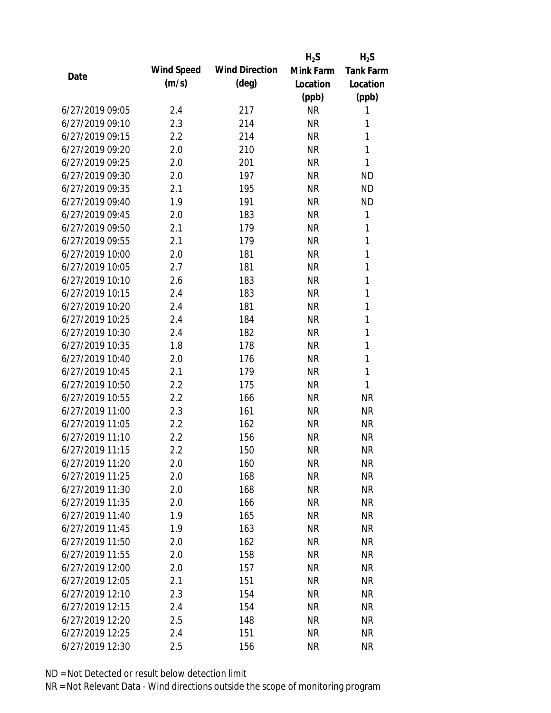|                 |            |                       | $H_2S$    | $H_2S$           |
|-----------------|------------|-----------------------|-----------|------------------|
| Date            | Wind Speed | <b>Wind Direction</b> | Mink Farm | <b>Tank Farm</b> |
|                 | (m/s)      | $(\text{deg})$        | Location  | Location         |
|                 |            |                       | (ppb)     | (ppb)            |
| 6/27/2019 09:05 | 2.4        | 217                   | <b>NR</b> | 1                |
| 6/27/2019 09:10 | 2.3        | 214                   | <b>NR</b> | 1                |
| 6/27/2019 09:15 | 2.2        | 214                   | <b>NR</b> | 1                |
| 6/27/2019 09:20 | 2.0        | 210                   | <b>NR</b> | 1                |
| 6/27/2019 09:25 | 2.0        | 201                   | <b>NR</b> | 1                |
| 6/27/2019 09:30 | 2.0        | 197                   | <b>NR</b> | <b>ND</b>        |
| 6/27/2019 09:35 | 2.1        | 195                   | <b>NR</b> | <b>ND</b>        |
| 6/27/2019 09:40 | 1.9        | 191                   | <b>NR</b> | <b>ND</b>        |
| 6/27/2019 09:45 | 2.0        | 183                   | <b>NR</b> | 1                |
| 6/27/2019 09:50 | 2.1        | 179                   | <b>NR</b> | 1                |
| 6/27/2019 09:55 | 2.1        | 179                   | <b>NR</b> | 1                |
| 6/27/2019 10:00 | 2.0        | 181                   | <b>NR</b> | 1                |
| 6/27/2019 10:05 | 2.7        | 181                   | <b>NR</b> | 1                |
| 6/27/2019 10:10 | 2.6        | 183                   | <b>NR</b> | 1                |
| 6/27/2019 10:15 | 2.4        | 183                   | <b>NR</b> | 1                |
| 6/27/2019 10:20 | 2.4        | 181                   | <b>NR</b> | 1                |
| 6/27/2019 10:25 | 2.4        | 184                   | <b>NR</b> | 1                |
| 6/27/2019 10:30 | 2.4        | 182                   | <b>NR</b> | 1                |
| 6/27/2019 10:35 | 1.8        | 178                   | <b>NR</b> | 1                |
| 6/27/2019 10:40 | 2.0        | 176                   | <b>NR</b> | 1                |
| 6/27/2019 10:45 | 2.1        | 179                   | <b>NR</b> | 1                |
| 6/27/2019 10:50 | 2.2        | 175                   | <b>NR</b> | 1                |
| 6/27/2019 10:55 | 2.2        | 166                   | <b>NR</b> | <b>NR</b>        |
| 6/27/2019 11:00 | 2.3        | 161                   | <b>NR</b> | <b>NR</b>        |
| 6/27/2019 11:05 | 2.2        | 162                   | <b>NR</b> | <b>NR</b>        |
| 6/27/2019 11:10 | 2.2        | 156                   | <b>NR</b> | <b>NR</b>        |
| 6/27/2019 11:15 | 2.2        | 150                   | <b>NR</b> | <b>NR</b>        |
| 6/27/2019 11:20 | 2.0        | 160                   | <b>NR</b> | <b>NR</b>        |
| 6/27/2019 11:25 | 2.0        | 168                   | <b>NR</b> | <b>NR</b>        |
| 6/27/2019 11:30 | 2.0        | 168                   | NR        | <b>NR</b>        |
| 6/27/2019 11:35 | 2.0        | 166                   | <b>NR</b> | <b>NR</b>        |
| 6/27/2019 11:40 | 1.9        | 165                   | <b>NR</b> | <b>NR</b>        |
| 6/27/2019 11:45 | 1.9        | 163                   | <b>NR</b> | <b>NR</b>        |
| 6/27/2019 11:50 | 2.0        | 162                   | <b>NR</b> | <b>NR</b>        |
| 6/27/2019 11:55 | 2.0        | 158                   | <b>NR</b> | <b>NR</b>        |
| 6/27/2019 12:00 | 2.0        | 157                   | <b>NR</b> | <b>NR</b>        |
| 6/27/2019 12:05 | 2.1        | 151                   | <b>NR</b> | <b>NR</b>        |
| 6/27/2019 12:10 | 2.3        | 154                   | <b>NR</b> | <b>NR</b>        |
| 6/27/2019 12:15 | 2.4        | 154                   | <b>NR</b> | <b>NR</b>        |
| 6/27/2019 12:20 | 2.5        | 148                   | <b>NR</b> | <b>NR</b>        |
| 6/27/2019 12:25 | 2.4        | 151                   | <b>NR</b> | <b>NR</b>        |
| 6/27/2019 12:30 | 2.5        | 156                   | <b>NR</b> | <b>NR</b>        |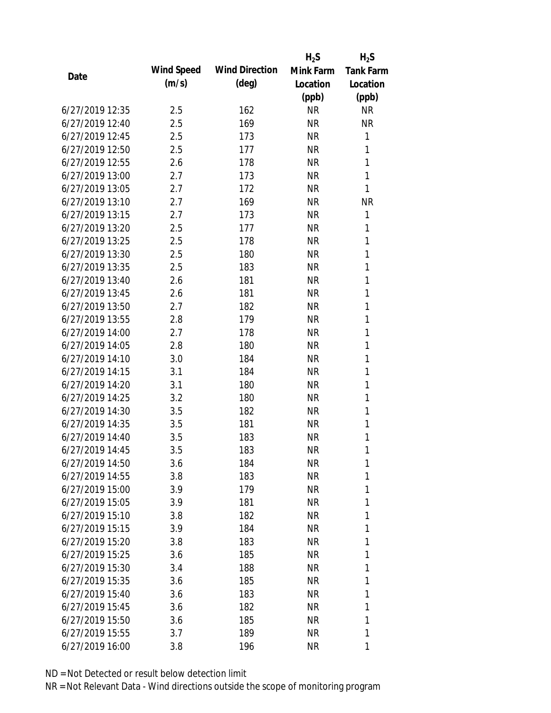|                 |            |                       | $H_2S$    | $H_2S$           |
|-----------------|------------|-----------------------|-----------|------------------|
| Date            | Wind Speed | <b>Wind Direction</b> | Mink Farm | <b>Tank Farm</b> |
|                 | (m/s)      | $(\text{deg})$        | Location  | Location         |
|                 |            |                       | (ppb)     | (ppb)            |
| 6/27/2019 12:35 | 2.5        | 162                   | <b>NR</b> | <b>NR</b>        |
| 6/27/2019 12:40 | 2.5        | 169                   | <b>NR</b> | <b>NR</b>        |
| 6/27/2019 12:45 | 2.5        | 173                   | <b>NR</b> | 1                |
| 6/27/2019 12:50 | 2.5        | 177                   | <b>NR</b> | 1                |
| 6/27/2019 12:55 | 2.6        | 178                   | <b>NR</b> | 1                |
| 6/27/2019 13:00 | 2.7        | 173                   | <b>NR</b> | 1                |
| 6/27/2019 13:05 | 2.7        | 172                   | <b>NR</b> | 1                |
| 6/27/2019 13:10 | 2.7        | 169                   | <b>NR</b> | <b>NR</b>        |
| 6/27/2019 13:15 | 2.7        | 173                   | <b>NR</b> | 1                |
| 6/27/2019 13:20 | 2.5        | 177                   | <b>NR</b> | 1                |
| 6/27/2019 13:25 | 2.5        | 178                   | <b>NR</b> | 1                |
| 6/27/2019 13:30 | 2.5        | 180                   | <b>NR</b> | 1                |
| 6/27/2019 13:35 | 2.5        | 183                   | <b>NR</b> | 1                |
| 6/27/2019 13:40 | 2.6        | 181                   | <b>NR</b> | 1                |
| 6/27/2019 13:45 | 2.6        | 181                   | <b>NR</b> | 1                |
| 6/27/2019 13:50 | 2.7        | 182                   | <b>NR</b> | 1                |
| 6/27/2019 13:55 | 2.8        | 179                   | <b>NR</b> | 1                |
| 6/27/2019 14:00 | 2.7        | 178                   | <b>NR</b> | 1                |
| 6/27/2019 14:05 | 2.8        | 180                   | <b>NR</b> | 1                |
| 6/27/2019 14:10 | 3.0        | 184                   | <b>NR</b> | 1                |
| 6/27/2019 14:15 | 3.1        | 184                   | <b>NR</b> | 1                |
| 6/27/2019 14:20 | 3.1        | 180                   | <b>NR</b> | 1                |
| 6/27/2019 14:25 | 3.2        | 180                   | <b>NR</b> | 1                |
| 6/27/2019 14:30 | 3.5        | 182                   | <b>NR</b> | 1                |
| 6/27/2019 14:35 | 3.5        | 181                   | <b>NR</b> | 1                |
| 6/27/2019 14:40 | 3.5        | 183                   | <b>NR</b> | 1                |
| 6/27/2019 14:45 | 3.5        | 183                   | <b>NR</b> | 1                |
| 6/27/2019 14:50 | 3.6        | 184                   | <b>NR</b> | 1                |
| 6/27/2019 14:55 | 3.8        | 183                   | NR        | 1                |
| 6/27/2019 15:00 | 3.9        | 179                   | NR        | 1                |
| 6/27/2019 15:05 | 3.9        | 181                   | <b>NR</b> | 1                |
| 6/27/2019 15:10 | 3.8        | 182                   | NR        | 1                |
| 6/27/2019 15:15 | 3.9        | 184                   | NR        | 1                |
| 6/27/2019 15:20 | 3.8        | 183                   | <b>NR</b> | 1                |
| 6/27/2019 15:25 | 3.6        | 185                   | NR        | 1                |
| 6/27/2019 15:30 | 3.4        | 188                   | <b>NR</b> | 1                |
| 6/27/2019 15:35 | 3.6        | 185                   | NR        | 1                |
| 6/27/2019 15:40 | 3.6        | 183                   | NR        | 1                |
| 6/27/2019 15:45 | 3.6        | 182                   | NR        | 1                |
| 6/27/2019 15:50 | 3.6        | 185                   | <b>NR</b> | 1                |
| 6/27/2019 15:55 | 3.7        | 189                   | <b>NR</b> | 1                |
| 6/27/2019 16:00 | 3.8        | 196                   | <b>NR</b> | 1                |
|                 |            |                       |           |                  |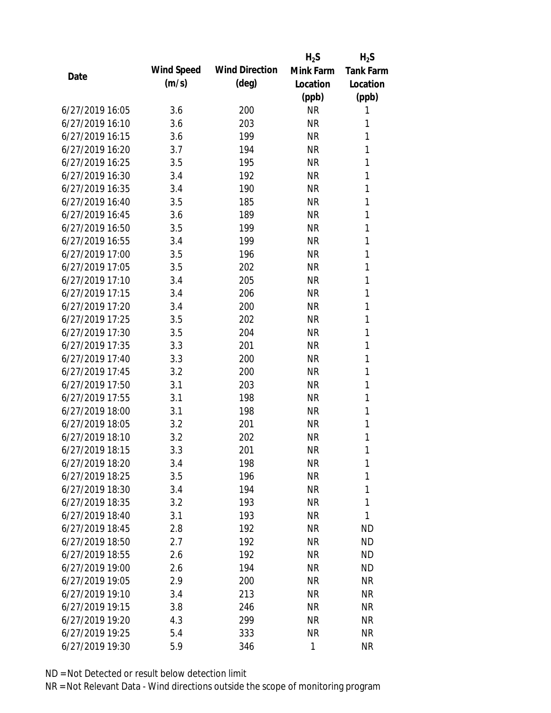|                 |            |                       | $H_2S$       | $H_2S$           |
|-----------------|------------|-----------------------|--------------|------------------|
| Date            | Wind Speed | <b>Wind Direction</b> | Mink Farm    | <b>Tank Farm</b> |
|                 | (m/s)      | $(\text{deg})$        | Location     | Location         |
|                 |            |                       | (ppb)        | (ppb)            |
| 6/27/2019 16:05 | 3.6        | 200                   | <b>NR</b>    | 1                |
| 6/27/2019 16:10 | 3.6        | 203                   | <b>NR</b>    | 1                |
| 6/27/2019 16:15 | 3.6        | 199                   | <b>NR</b>    | 1                |
| 6/27/2019 16:20 | 3.7        | 194                   | <b>NR</b>    | 1                |
| 6/27/2019 16:25 | 3.5        | 195                   | <b>NR</b>    | 1                |
| 6/27/2019 16:30 | 3.4        | 192                   | <b>NR</b>    | 1                |
| 6/27/2019 16:35 | 3.4        | 190                   | <b>NR</b>    | 1                |
| 6/27/2019 16:40 | 3.5        | 185                   | <b>NR</b>    | 1                |
| 6/27/2019 16:45 | 3.6        | 189                   | <b>NR</b>    | 1                |
| 6/27/2019 16:50 | 3.5        | 199                   | <b>NR</b>    | 1                |
| 6/27/2019 16:55 | 3.4        | 199                   | <b>NR</b>    | 1                |
| 6/27/2019 17:00 | 3.5        | 196                   | <b>NR</b>    | 1                |
| 6/27/2019 17:05 | 3.5        | 202                   | <b>NR</b>    | 1                |
| 6/27/2019 17:10 | 3.4        | 205                   | <b>NR</b>    | 1                |
| 6/27/2019 17:15 | 3.4        | 206                   | <b>NR</b>    | 1                |
| 6/27/2019 17:20 | 3.4        | 200                   | <b>NR</b>    | 1                |
| 6/27/2019 17:25 | 3.5        | 202                   | <b>NR</b>    | 1                |
| 6/27/2019 17:30 | 3.5        | 204                   | <b>NR</b>    | 1                |
| 6/27/2019 17:35 | 3.3        | 201                   | <b>NR</b>    | 1                |
| 6/27/2019 17:40 | 3.3        | 200                   | <b>NR</b>    | 1                |
| 6/27/2019 17:45 | 3.2        | 200                   | <b>NR</b>    | 1                |
| 6/27/2019 17:50 | 3.1        | 203                   | <b>NR</b>    | 1                |
| 6/27/2019 17:55 | 3.1        | 198                   | <b>NR</b>    | 1                |
| 6/27/2019 18:00 | 3.1        | 198                   | <b>NR</b>    | 1                |
| 6/27/2019 18:05 | 3.2        | 201                   | <b>NR</b>    | 1                |
| 6/27/2019 18:10 | 3.2        | 202                   | <b>NR</b>    | 1                |
| 6/27/2019 18:15 | 3.3        | 201                   | <b>NR</b>    | 1                |
| 6/27/2019 18:20 | 3.4        | 198                   | <b>NR</b>    | 1                |
| 6/27/2019 18:25 | 3.5        | 196                   | <b>NR</b>    | 1                |
| 6/27/2019 18:30 | 3.4        | 194                   | <b>NR</b>    | 1                |
| 6/27/2019 18:35 | 3.2        | 193                   | <b>NR</b>    | 1                |
| 6/27/2019 18:40 | 3.1        | 193                   | <b>NR</b>    | 1                |
| 6/27/2019 18:45 | 2.8        | 192                   | <b>NR</b>    | <b>ND</b>        |
| 6/27/2019 18:50 | 2.7        | 192                   | <b>NR</b>    | <b>ND</b>        |
| 6/27/2019 18:55 | 2.6        | 192                   | <b>NR</b>    | <b>ND</b>        |
| 6/27/2019 19:00 | 2.6        | 194                   | <b>NR</b>    | <b>ND</b>        |
| 6/27/2019 19:05 | 2.9        | 200                   | <b>NR</b>    | <b>NR</b>        |
| 6/27/2019 19:10 | 3.4        | 213                   | NR           | <b>NR</b>        |
| 6/27/2019 19:15 | 3.8        | 246                   | <b>NR</b>    | <b>NR</b>        |
| 6/27/2019 19:20 | 4.3        | 299                   | <b>NR</b>    | <b>NR</b>        |
| 6/27/2019 19:25 | 5.4        | 333                   | <b>NR</b>    | <b>NR</b>        |
| 6/27/2019 19:30 | 5.9        | 346                   | $\mathbf{1}$ | <b>NR</b>        |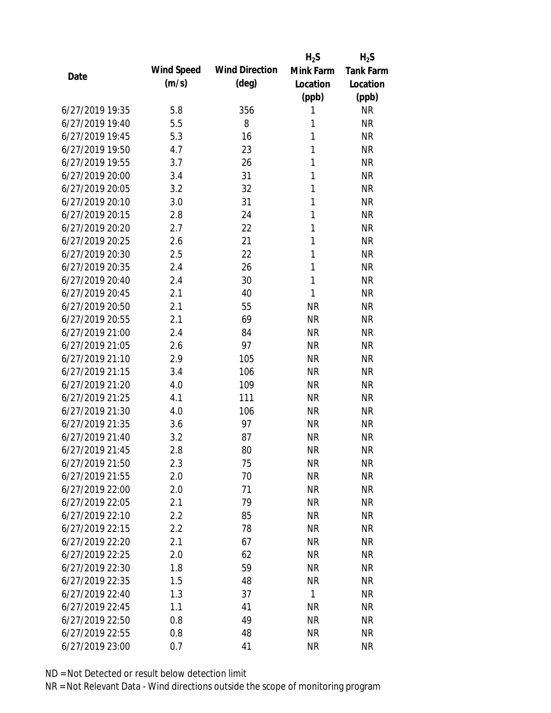|                                    |            |                       | $H_2S$       | $H_2S$           |
|------------------------------------|------------|-----------------------|--------------|------------------|
| Date                               | Wind Speed | <b>Wind Direction</b> | Mink Farm    | <b>Tank Farm</b> |
|                                    | (m/s)      | $(\text{deg})$        | Location     | Location         |
|                                    |            |                       | (ppb)        | (ppb)            |
| 6/27/2019 19:35                    | 5.8        | 356                   | 1            | <b>NR</b>        |
| 6/27/2019 19:40                    | 5.5        | 8                     | 1            | <b>NR</b>        |
| 6/27/2019 19:45                    | 5.3        | 16                    | 1            | <b>NR</b>        |
| 6/27/2019 19:50                    | 4.7        | 23                    | 1            | <b>NR</b>        |
| 6/27/2019 19:55                    | 3.7        | 26                    | 1            | <b>NR</b>        |
| 6/27/2019 20:00                    | 3.4        | 31                    | 1            | <b>NR</b>        |
| 6/27/2019 20:05                    | 3.2        | 32                    | 1            | <b>NR</b>        |
| 6/27/2019 20:10                    | 3.0        | 31                    | 1            | <b>NR</b>        |
| 6/27/2019 20:15                    | 2.8        | 24                    | 1            | <b>NR</b>        |
| 6/27/2019 20:20                    | 2.7        | 22                    | 1            | <b>NR</b>        |
| 6/27/2019 20:25                    | 2.6        | 21                    | 1            | <b>NR</b>        |
| 6/27/2019 20:30                    | 2.5        | 22                    | 1            | <b>NR</b>        |
| 6/27/2019 20:35                    | 2.4        | 26                    | 1            | <b>NR</b>        |
| 6/27/2019 20:40                    | 2.4        | 30                    | 1            | <b>NR</b>        |
| 6/27/2019 20:45                    | 2.1        | 40                    | 1            | <b>NR</b>        |
| 6/27/2019 20:50                    | 2.1        | 55                    | <b>NR</b>    | <b>NR</b>        |
| 6/27/2019 20:55                    | 2.1        | 69                    | <b>NR</b>    | <b>NR</b>        |
| 6/27/2019 21:00                    | 2.4        | 84                    | <b>NR</b>    | <b>NR</b>        |
| 6/27/2019 21:05                    | 2.6        | 97                    | <b>NR</b>    | <b>NR</b>        |
| 6/27/2019 21:10                    | 2.9        | 105                   | <b>NR</b>    | <b>NR</b>        |
| 6/27/2019 21:15                    | 3.4        | 106                   | <b>NR</b>    | <b>NR</b>        |
| 6/27/2019 21:20                    | 4.0        | 109                   | <b>NR</b>    | <b>NR</b>        |
| 6/27/2019 21:25                    | 4.1        | 111                   | <b>NR</b>    | <b>NR</b>        |
| 6/27/2019 21:30                    | 4.0        | 106                   | <b>NR</b>    | <b>NR</b>        |
| 6/27/2019 21:35                    | 3.6        | 97                    | <b>NR</b>    | <b>NR</b>        |
| 6/27/2019 21:40                    | 3.2        | 87                    | <b>NR</b>    | <b>NR</b>        |
| 6/27/2019 21:45                    | 2.8        | 80                    | <b>NR</b>    | <b>NR</b>        |
| 6/27/2019 21:50                    | 2.3        | 75                    | <b>NR</b>    | <b>NR</b>        |
| 6/27/2019 21:55                    | 2.0        | 70                    | <b>NR</b>    | <b>NR</b>        |
| 6/27/2019 22:00                    | 2.0        | 71                    | <b>NR</b>    | <b>NR</b>        |
| 6/27/2019 22:05                    | 2.1        | 79                    | <b>NR</b>    | <b>NR</b>        |
| 6/27/2019 22:10                    | 2.2        | 85                    | <b>NR</b>    | <b>NR</b>        |
| 6/27/2019 22:15                    | 2.2        | 78                    | <b>NR</b>    | <b>NR</b>        |
| 6/27/2019 22:20                    | 2.1        | 67                    | <b>NR</b>    | <b>NR</b>        |
| 6/27/2019 22:25                    | 2.0        | 62                    | <b>NR</b>    | <b>NR</b>        |
| 6/27/2019 22:30                    | 1.8        | 59                    | <b>NR</b>    | <b>NR</b>        |
| 6/27/2019 22:35                    | 1.5        | 48                    | <b>NR</b>    | <b>NR</b>        |
| 6/27/2019 22:40                    | 1.3        | 37                    | $\mathbf{1}$ | <b>NR</b>        |
|                                    |            |                       |              |                  |
| 6/27/2019 22:45<br>6/27/2019 22:50 | 1.1        | 41                    | <b>NR</b>    | <b>NR</b>        |
|                                    | 0.8        | 49                    | <b>NR</b>    | <b>NR</b>        |
| 6/27/2019 22:55                    | 0.8        | 48                    | <b>NR</b>    | <b>NR</b>        |
| 6/27/2019 23:00                    | 0.7        | 41                    | <b>NR</b>    | <b>NR</b>        |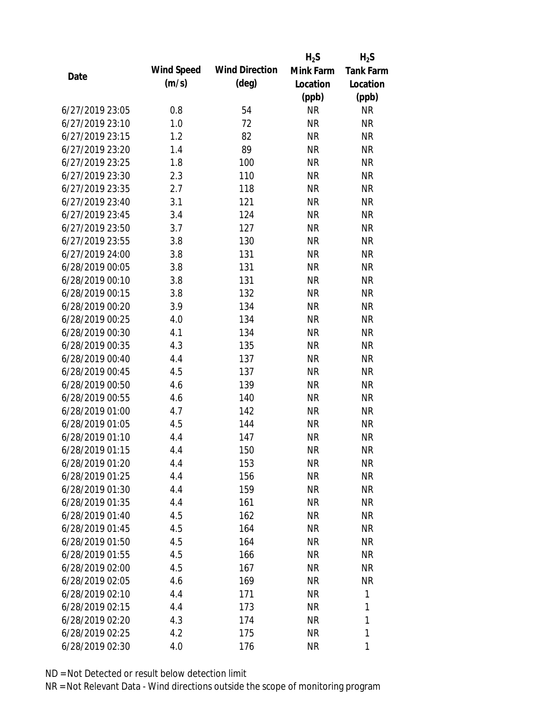|                 |            |                       | $H_2S$    | $H_2S$           |
|-----------------|------------|-----------------------|-----------|------------------|
|                 | Wind Speed | <b>Wind Direction</b> | Mink Farm | <b>Tank Farm</b> |
| Date            | (m/s)      | $(\text{deg})$        | Location  | Location         |
|                 |            |                       | (ppb)     | (ppb)            |
| 6/27/2019 23:05 | 0.8        | 54                    | <b>NR</b> | <b>NR</b>        |
| 6/27/2019 23:10 | 1.0        | 72                    | <b>NR</b> | <b>NR</b>        |
| 6/27/2019 23:15 | 1.2        | 82                    | <b>NR</b> | <b>NR</b>        |
| 6/27/2019 23:20 | 1.4        | 89                    | <b>NR</b> | <b>NR</b>        |
| 6/27/2019 23:25 | 1.8        | 100                   | <b>NR</b> | <b>NR</b>        |
| 6/27/2019 23:30 | 2.3        | 110                   | <b>NR</b> | <b>NR</b>        |
| 6/27/2019 23:35 | 2.7        | 118                   | <b>NR</b> | <b>NR</b>        |
| 6/27/2019 23:40 | 3.1        | 121                   | <b>NR</b> | <b>NR</b>        |
| 6/27/2019 23:45 | 3.4        | 124                   | <b>NR</b> | <b>NR</b>        |
| 6/27/2019 23:50 | 3.7        | 127                   | <b>NR</b> | <b>NR</b>        |
| 6/27/2019 23:55 | 3.8        | 130                   | <b>NR</b> | <b>NR</b>        |
| 6/27/2019 24:00 | 3.8        | 131                   | <b>NR</b> | <b>NR</b>        |
| 6/28/2019 00:05 | 3.8        | 131                   | <b>NR</b> | <b>NR</b>        |
| 6/28/2019 00:10 | 3.8        | 131                   | <b>NR</b> | <b>NR</b>        |
| 6/28/2019 00:15 | 3.8        | 132                   | <b>NR</b> | <b>NR</b>        |
| 6/28/2019 00:20 | 3.9        | 134                   | <b>NR</b> | <b>NR</b>        |
| 6/28/2019 00:25 | 4.0        | 134                   | <b>NR</b> | <b>NR</b>        |
| 6/28/2019 00:30 | 4.1        | 134                   | <b>NR</b> | <b>NR</b>        |
| 6/28/2019 00:35 | 4.3        | 135                   | <b>NR</b> | <b>NR</b>        |
| 6/28/2019 00:40 | 4.4        | 137                   | <b>NR</b> | <b>NR</b>        |
| 6/28/2019 00:45 | 4.5        | 137                   | <b>NR</b> | <b>NR</b>        |
| 6/28/2019 00:50 | 4.6        | 139                   | <b>NR</b> | <b>NR</b>        |
| 6/28/2019 00:55 | 4.6        | 140                   | <b>NR</b> | <b>NR</b>        |
| 6/28/2019 01:00 | 4.7        | 142                   | <b>NR</b> | <b>NR</b>        |
| 6/28/2019 01:05 | 4.5        | 144                   | <b>NR</b> | <b>NR</b>        |
| 6/28/2019 01:10 | 4.4        | 147                   | <b>NR</b> | <b>NR</b>        |
| 6/28/2019 01:15 | 4.4        | 150                   | <b>NR</b> | <b>NR</b>        |
| 6/28/2019 01:20 | 4.4        | 153                   | <b>NR</b> | <b>NR</b>        |
| 6/28/2019 01:25 | 4.4        | 156                   | <b>NR</b> | <b>NR</b>        |
| 6/28/2019 01:30 | 4.4        | 159                   | <b>NR</b> | <b>NR</b>        |
| 6/28/2019 01:35 | 4.4        | 161                   | <b>NR</b> | <b>NR</b>        |
| 6/28/2019 01:40 | 4.5        | 162                   | <b>NR</b> | NR               |
| 6/28/2019 01:45 | 4.5        | 164                   | <b>NR</b> | NR               |
| 6/28/2019 01:50 | 4.5        | 164                   | <b>NR</b> | <b>NR</b>        |
| 6/28/2019 01:55 | 4.5        | 166                   | <b>NR</b> | <b>NR</b>        |
| 6/28/2019 02:00 | 4.5        | 167                   | <b>NR</b> | <b>NR</b>        |
| 6/28/2019 02:05 | 4.6        | 169                   | <b>NR</b> | <b>NR</b>        |
| 6/28/2019 02:10 | 4.4        | 171                   | <b>NR</b> | 1                |
| 6/28/2019 02:15 | 4.4        | 173                   | <b>NR</b> | 1                |
| 6/28/2019 02:20 | 4.3        | 174                   | <b>NR</b> | 1                |
| 6/28/2019 02:25 | 4.2        | 175                   | <b>NR</b> | 1                |
|                 |            |                       |           |                  |
| 6/28/2019 02:30 | 4.0        | 176                   | <b>NR</b> | 1                |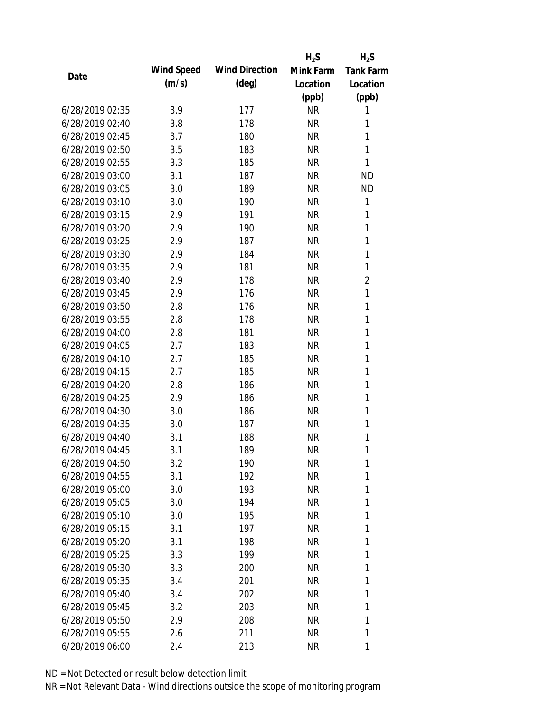|                 |            |                       | $H_2S$    | $H_2S$           |
|-----------------|------------|-----------------------|-----------|------------------|
| Date            | Wind Speed | <b>Wind Direction</b> | Mink Farm | <b>Tank Farm</b> |
|                 | (m/s)      | $(\text{deg})$        | Location  | Location         |
|                 |            |                       | (ppb)     | (ppb)            |
| 6/28/2019 02:35 | 3.9        | 177                   | <b>NR</b> | 1                |
| 6/28/2019 02:40 | 3.8        | 178                   | <b>NR</b> | 1                |
| 6/28/2019 02:45 | 3.7        | 180                   | <b>NR</b> | 1                |
| 6/28/2019 02:50 | 3.5        | 183                   | <b>NR</b> | 1                |
| 6/28/2019 02:55 | 3.3        | 185                   | <b>NR</b> | 1                |
| 6/28/2019 03:00 | 3.1        | 187                   | <b>NR</b> | <b>ND</b>        |
| 6/28/2019 03:05 | 3.0        | 189                   | <b>NR</b> | <b>ND</b>        |
| 6/28/2019 03:10 | 3.0        | 190                   | <b>NR</b> | 1                |
| 6/28/2019 03:15 | 2.9        | 191                   | <b>NR</b> | 1                |
| 6/28/2019 03:20 | 2.9        | 190                   | <b>NR</b> | 1                |
| 6/28/2019 03:25 | 2.9        | 187                   | <b>NR</b> | $\mathbf{1}$     |
| 6/28/2019 03:30 | 2.9        | 184                   | <b>NR</b> | 1                |
| 6/28/2019 03:35 | 2.9        | 181                   | <b>NR</b> | 1                |
| 6/28/2019 03:40 | 2.9        | 178                   | <b>NR</b> | $\overline{2}$   |
| 6/28/2019 03:45 | 2.9        | 176                   | <b>NR</b> | 1                |
| 6/28/2019 03:50 | 2.8        | 176                   | <b>NR</b> | 1                |
| 6/28/2019 03:55 | 2.8        | 178                   | <b>NR</b> | 1                |
| 6/28/2019 04:00 | 2.8        | 181                   | <b>NR</b> | $\mathbf{1}$     |
| 6/28/2019 04:05 | 2.7        | 183                   | <b>NR</b> | 1                |
| 6/28/2019 04:10 | 2.7        | 185                   | <b>NR</b> | 1                |
| 6/28/2019 04:15 | 2.7        | 185                   | <b>NR</b> | 1                |
| 6/28/2019 04:20 | 2.8        | 186                   | <b>NR</b> | 1                |
| 6/28/2019 04:25 | 2.9        | 186                   | <b>NR</b> | 1                |
| 6/28/2019 04:30 | 3.0        | 186                   | <b>NR</b> | 1                |
| 6/28/2019 04:35 | 3.0        | 187                   | <b>NR</b> | 1                |
| 6/28/2019 04:40 | 3.1        | 188                   | <b>NR</b> | 1                |
| 6/28/2019 04:45 | 3.1        | 189                   | <b>NR</b> | 1                |
| 6/28/2019 04:50 | 3.2        | 190                   | <b>NR</b> | 1                |
| 6/28/2019 04:55 | 3.1        | 192                   | <b>NR</b> | 1                |
| 6/28/2019 05:00 | 3.0        | 193                   | <b>NR</b> | 1                |
| 6/28/2019 05:05 | 3.0        | 194                   | <b>NR</b> | 1                |
| 6/28/2019 05:10 | 3.0        | 195                   | <b>NR</b> | 1                |
| 6/28/2019 05:15 | 3.1        | 197                   | <b>NR</b> | 1                |
| 6/28/2019 05:20 | 3.1        | 198                   | <b>NR</b> | 1                |
| 6/28/2019 05:25 | 3.3        | 199                   | <b>NR</b> | 1                |
| 6/28/2019 05:30 | 3.3        | 200                   | <b>NR</b> | 1                |
| 6/28/2019 05:35 | 3.4        | 201                   | <b>NR</b> | 1                |
| 6/28/2019 05:40 | 3.4        | 202                   | NR        | 1                |
| 6/28/2019 05:45 | 3.2        | 203                   | <b>NR</b> | 1                |
| 6/28/2019 05:50 | 2.9        | 208                   | <b>NR</b> | 1                |
| 6/28/2019 05:55 | 2.6        | 211                   | <b>NR</b> | 1                |
| 6/28/2019 06:00 | 2.4        | 213                   | <b>NR</b> | 1                |
|                 |            |                       |           |                  |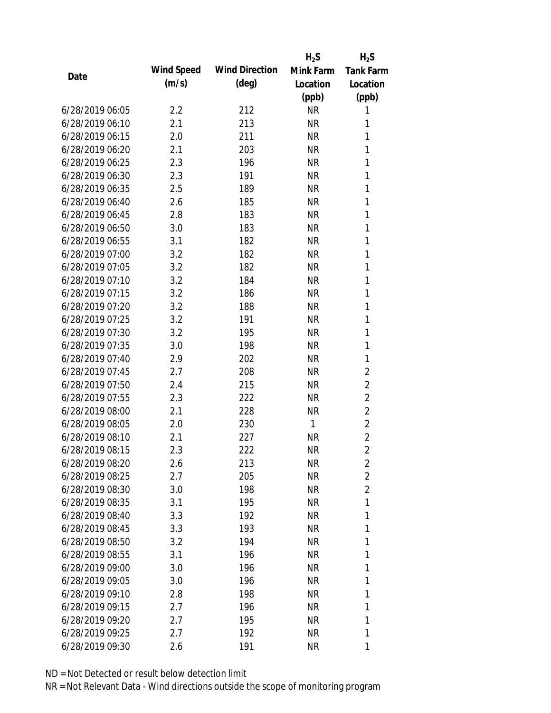|                 |            |                       | $H_2S$    | $H_2S$           |
|-----------------|------------|-----------------------|-----------|------------------|
| Date            | Wind Speed | <b>Wind Direction</b> | Mink Farm | <b>Tank Farm</b> |
|                 | (m/s)      | $(\text{deg})$        | Location  | Location         |
|                 |            |                       | (ppb)     | (ppb)            |
| 6/28/2019 06:05 | 2.2        | 212                   | <b>NR</b> | 1                |
| 6/28/2019 06:10 | 2.1        | 213                   | <b>NR</b> | 1                |
| 6/28/2019 06:15 | 2.0        | 211                   | <b>NR</b> | 1                |
| 6/28/2019 06:20 | 2.1        | 203                   | <b>NR</b> | 1                |
| 6/28/2019 06:25 | 2.3        | 196                   | <b>NR</b> | 1                |
| 6/28/2019 06:30 | 2.3        | 191                   | <b>NR</b> | 1                |
| 6/28/2019 06:35 | 2.5        | 189                   | <b>NR</b> | 1                |
| 6/28/2019 06:40 | 2.6        | 185                   | <b>NR</b> | 1                |
| 6/28/2019 06:45 | 2.8        | 183                   | <b>NR</b> | 1                |
| 6/28/2019 06:50 | 3.0        | 183                   | <b>NR</b> | 1                |
| 6/28/2019 06:55 | 3.1        | 182                   | <b>NR</b> | 1                |
| 6/28/2019 07:00 | 3.2        | 182                   | <b>NR</b> | 1                |
| 6/28/2019 07:05 | 3.2        | 182                   | <b>NR</b> | 1                |
| 6/28/2019 07:10 | 3.2        | 184                   | <b>NR</b> | 1                |
| 6/28/2019 07:15 | 3.2        | 186                   | <b>NR</b> | 1                |
| 6/28/2019 07:20 | 3.2        | 188                   | <b>NR</b> | 1                |
| 6/28/2019 07:25 | 3.2        | 191                   | <b>NR</b> | 1                |
| 6/28/2019 07:30 | 3.2        | 195                   | <b>NR</b> | 1                |
| 6/28/2019 07:35 | 3.0        | 198                   | <b>NR</b> | 1                |
| 6/28/2019 07:40 | 2.9        | 202                   | <b>NR</b> | 1                |
| 6/28/2019 07:45 | 2.7        | 208                   | <b>NR</b> | 2                |
| 6/28/2019 07:50 | 2.4        | 215                   | <b>NR</b> | $\overline{2}$   |
| 6/28/2019 07:55 | 2.3        | 222                   | <b>NR</b> | $\overline{2}$   |
| 6/28/2019 08:00 | 2.1        | 228                   | <b>NR</b> | $\overline{2}$   |
| 6/28/2019 08:05 | 2.0        | 230                   | 1         | $\overline{2}$   |
| 6/28/2019 08:10 | 2.1        | 227                   | <b>NR</b> | $\overline{2}$   |
| 6/28/2019 08:15 | 2.3        | 222                   | <b>NR</b> | $\overline{2}$   |
| 6/28/2019 08:20 | 2.6        | 213                   | <b>NR</b> | 2                |
| 6/28/2019 08:25 | 2.7        | 205                   | <b>NR</b> | $\overline{2}$   |
| 6/28/2019 08:30 | 3.0        | 198                   | <b>NR</b> | $\overline{2}$   |
| 6/28/2019 08:35 | 3.1        | 195                   | <b>NR</b> | 1                |
| 6/28/2019 08:40 | 3.3        | 192                   | <b>NR</b> | 1                |
| 6/28/2019 08:45 | 3.3        | 193                   | <b>NR</b> | 1                |
| 6/28/2019 08:50 | 3.2        | 194                   | <b>NR</b> | 1                |
| 6/28/2019 08:55 | 3.1        | 196                   | <b>NR</b> | 1                |
| 6/28/2019 09:00 | 3.0        | 196                   | <b>NR</b> | 1                |
| 6/28/2019 09:05 | 3.0        | 196                   | <b>NR</b> | 1                |
| 6/28/2019 09:10 | 2.8        | 198                   | <b>NR</b> | 1                |
| 6/28/2019 09:15 | 2.7        | 196                   | <b>NR</b> | 1                |
| 6/28/2019 09:20 | 2.7        | 195                   | <b>NR</b> | 1                |
| 6/28/2019 09:25 | 2.7        | 192                   | <b>NR</b> | 1                |
| 6/28/2019 09:30 | 2.6        | 191                   | <b>NR</b> | 1                |
|                 |            |                       |           |                  |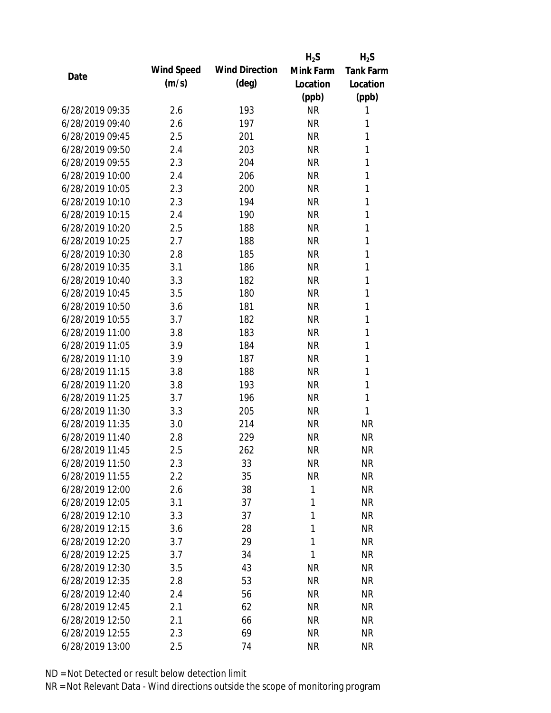|                 |            |                       | $H_2S$    | $H_2S$           |
|-----------------|------------|-----------------------|-----------|------------------|
| Date            | Wind Speed | <b>Wind Direction</b> | Mink Farm | <b>Tank Farm</b> |
|                 | (m/s)      | $(\text{deg})$        | Location  | Location         |
|                 |            |                       | (ppb)     | (ppb)            |
| 6/28/2019 09:35 | 2.6        | 193                   | <b>NR</b> | 1                |
| 6/28/2019 09:40 | 2.6        | 197                   | <b>NR</b> | 1                |
| 6/28/2019 09:45 | 2.5        | 201                   | <b>NR</b> | 1                |
| 6/28/2019 09:50 | 2.4        | 203                   | <b>NR</b> | 1                |
| 6/28/2019 09:55 | 2.3        | 204                   | <b>NR</b> | 1                |
| 6/28/2019 10:00 | 2.4        | 206                   | <b>NR</b> | 1                |
| 6/28/2019 10:05 | 2.3        | 200                   | <b>NR</b> | 1                |
| 6/28/2019 10:10 | 2.3        | 194                   | <b>NR</b> | 1                |
| 6/28/2019 10:15 | 2.4        | 190                   | <b>NR</b> | 1                |
| 6/28/2019 10:20 | 2.5        | 188                   | <b>NR</b> | 1                |
| 6/28/2019 10:25 | 2.7        | 188                   | <b>NR</b> | 1                |
| 6/28/2019 10:30 | 2.8        | 185                   | <b>NR</b> | 1                |
| 6/28/2019 10:35 | 3.1        | 186                   | <b>NR</b> | 1                |
| 6/28/2019 10:40 | 3.3        | 182                   | <b>NR</b> | 1                |
| 6/28/2019 10:45 | 3.5        | 180                   | <b>NR</b> | 1                |
| 6/28/2019 10:50 | 3.6        | 181                   | <b>NR</b> | 1                |
| 6/28/2019 10:55 | 3.7        | 182                   | <b>NR</b> | 1                |
| 6/28/2019 11:00 | 3.8        | 183                   | <b>NR</b> | 1                |
| 6/28/2019 11:05 | 3.9        | 184                   | <b>NR</b> | 1                |
| 6/28/2019 11:10 | 3.9        | 187                   | <b>NR</b> | 1                |
| 6/28/2019 11:15 | 3.8        | 188                   | <b>NR</b> | 1                |
| 6/28/2019 11:20 | 3.8        | 193                   | <b>NR</b> | 1                |
| 6/28/2019 11:25 | 3.7        | 196                   | <b>NR</b> | 1                |
| 6/28/2019 11:30 | 3.3        | 205                   | <b>NR</b> | 1                |
| 6/28/2019 11:35 | 3.0        | 214                   | <b>NR</b> | <b>NR</b>        |
| 6/28/2019 11:40 | 2.8        | 229                   | <b>NR</b> | <b>NR</b>        |
| 6/28/2019 11:45 | 2.5        | 262                   | <b>NR</b> | <b>NR</b>        |
| 6/28/2019 11:50 | 2.3        | 33                    | <b>NR</b> | <b>NR</b>        |
| 6/28/2019 11:55 | 2.2        | 35                    | <b>NR</b> | <b>NR</b>        |
| 6/28/2019 12:00 | 2.6        | 38                    | 1         | <b>NR</b>        |
| 6/28/2019 12:05 | 3.1        | 37                    | 1         | <b>NR</b>        |
| 6/28/2019 12:10 | 3.3        | 37                    | 1         | <b>NR</b>        |
| 6/28/2019 12:15 | 3.6        | 28                    | 1         | <b>NR</b>        |
| 6/28/2019 12:20 | 3.7        | 29                    | 1         | <b>NR</b>        |
| 6/28/2019 12:25 | 3.7        | 34                    | 1         | <b>NR</b>        |
| 6/28/2019 12:30 | 3.5        | 43                    | <b>NR</b> | <b>NR</b>        |
| 6/28/2019 12:35 | 2.8        | 53                    | <b>NR</b> | <b>NR</b>        |
| 6/28/2019 12:40 | 2.4        | 56                    | <b>NR</b> | <b>NR</b>        |
| 6/28/2019 12:45 | 2.1        | 62                    | <b>NR</b> | <b>NR</b>        |
| 6/28/2019 12:50 | 2.1        | 66                    | <b>NR</b> | <b>NR</b>        |
| 6/28/2019 12:55 | 2.3        | 69                    | <b>NR</b> | <b>NR</b>        |
| 6/28/2019 13:00 | 2.5        | 74                    | <b>NR</b> | <b>NR</b>        |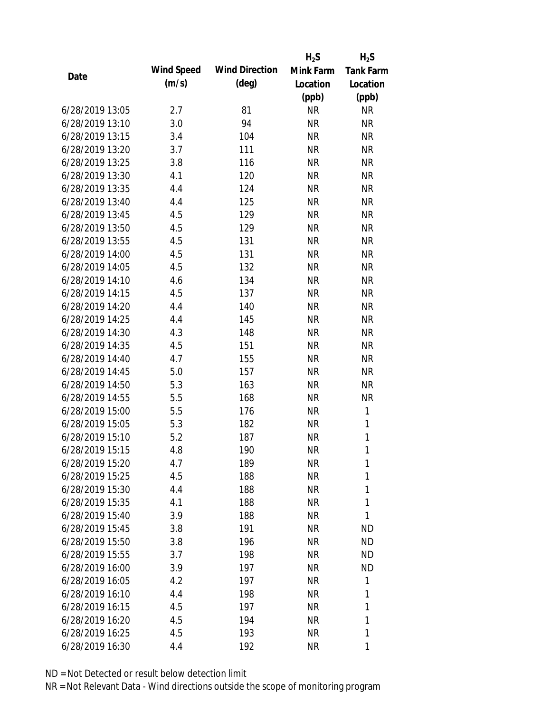|                 |            |                       | $H_2S$    | $H_2S$           |
|-----------------|------------|-----------------------|-----------|------------------|
|                 | Wind Speed | <b>Wind Direction</b> | Mink Farm | <b>Tank Farm</b> |
| Date            | (m/s)      | (deg)                 | Location  | Location         |
|                 |            |                       | (ppb)     | (ppb)            |
| 6/28/2019 13:05 | 2.7        | 81                    | <b>NR</b> | <b>NR</b>        |
| 6/28/2019 13:10 | 3.0        | 94                    | <b>NR</b> | <b>NR</b>        |
| 6/28/2019 13:15 | 3.4        | 104                   | <b>NR</b> | <b>NR</b>        |
| 6/28/2019 13:20 | 3.7        | 111                   | <b>NR</b> | <b>NR</b>        |
| 6/28/2019 13:25 | 3.8        | 116                   | <b>NR</b> | <b>NR</b>        |
| 6/28/2019 13:30 | 4.1        | 120                   | <b>NR</b> | <b>NR</b>        |
| 6/28/2019 13:35 | 4.4        | 124                   | <b>NR</b> | <b>NR</b>        |
| 6/28/2019 13:40 | 4.4        | 125                   | <b>NR</b> | <b>NR</b>        |
| 6/28/2019 13:45 | 4.5        | 129                   | <b>NR</b> | <b>NR</b>        |
| 6/28/2019 13:50 | 4.5        | 129                   | <b>NR</b> | <b>NR</b>        |
| 6/28/2019 13:55 | 4.5        | 131                   | <b>NR</b> | <b>NR</b>        |
| 6/28/2019 14:00 | 4.5        | 131                   | <b>NR</b> | <b>NR</b>        |
| 6/28/2019 14:05 | 4.5        | 132                   | <b>NR</b> | <b>NR</b>        |
| 6/28/2019 14:10 | 4.6        | 134                   | <b>NR</b> | <b>NR</b>        |
| 6/28/2019 14:15 | 4.5        | 137                   | <b>NR</b> | <b>NR</b>        |
| 6/28/2019 14:20 | 4.4        | 140                   | <b>NR</b> | <b>NR</b>        |
| 6/28/2019 14:25 | 4.4        | 145                   | <b>NR</b> | <b>NR</b>        |
| 6/28/2019 14:30 | 4.3        | 148                   | <b>NR</b> | <b>NR</b>        |
| 6/28/2019 14:35 | 4.5        | 151                   | <b>NR</b> | <b>NR</b>        |
| 6/28/2019 14:40 | 4.7        | 155                   | <b>NR</b> | <b>NR</b>        |
| 6/28/2019 14:45 | 5.0        | 157                   | <b>NR</b> | <b>NR</b>        |
| 6/28/2019 14:50 | 5.3        | 163                   | <b>NR</b> | <b>NR</b>        |
| 6/28/2019 14:55 | 5.5        | 168                   | <b>NR</b> | <b>NR</b>        |
| 6/28/2019 15:00 | 5.5        | 176                   | <b>NR</b> | 1                |
| 6/28/2019 15:05 | 5.3        | 182                   | <b>NR</b> | 1                |
| 6/28/2019 15:10 | 5.2        | 187                   | <b>NR</b> | $\mathbf{1}$     |
| 6/28/2019 15:15 | 4.8        | 190                   | <b>NR</b> | 1                |
| 6/28/2019 15:20 | 4.7        | 189                   | <b>NR</b> | 1                |
| 6/28/2019 15:25 | 4.5        | 188                   | <b>NR</b> | 1                |
| 6/28/2019 15:30 | 4.4        | 188                   | <b>NR</b> | 1                |
| 6/28/2019 15:35 | 4.1        | 188                   | <b>NR</b> | 1                |
| 6/28/2019 15:40 | 3.9        | 188                   | <b>NR</b> | 1                |
| 6/28/2019 15:45 | 3.8        | 191                   | NR        | <b>ND</b>        |
| 6/28/2019 15:50 | 3.8        | 196                   | NR        | <b>ND</b>        |
| 6/28/2019 15:55 | 3.7        | 198                   | <b>NR</b> | <b>ND</b>        |
| 6/28/2019 16:00 | 3.9        | 197                   | <b>NR</b> | <b>ND</b>        |
| 6/28/2019 16:05 | 4.2        | 197                   | <b>NR</b> | 1                |
| 6/28/2019 16:10 | 4.4        | 198                   | NR        | 1                |
| 6/28/2019 16:15 | 4.5        | 197                   | NR        | 1                |
| 6/28/2019 16:20 | 4.5        | 194                   | <b>NR</b> | 1                |
| 6/28/2019 16:25 | 4.5        | 193                   | <b>NR</b> | 1                |
| 6/28/2019 16:30 | 4.4        | 192                   | <b>NR</b> | 1                |
|                 |            |                       |           |                  |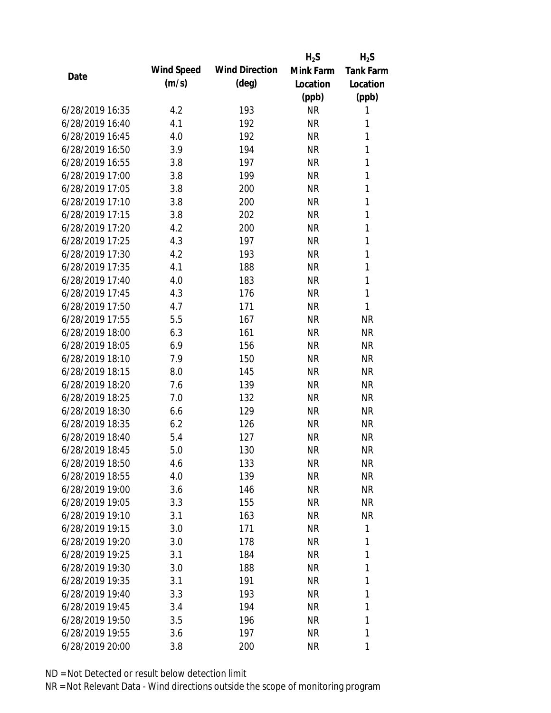|                 |            |                       | $H_2S$    | $H_2S$           |
|-----------------|------------|-----------------------|-----------|------------------|
| Date            | Wind Speed | <b>Wind Direction</b> | Mink Farm | <b>Tank Farm</b> |
|                 | (m/s)      | $(\text{deg})$        | Location  | Location         |
|                 |            |                       | (ppb)     | (ppb)            |
| 6/28/2019 16:35 | 4.2        | 193                   | <b>NR</b> | 1                |
| 6/28/2019 16:40 | 4.1        | 192                   | <b>NR</b> | 1                |
| 6/28/2019 16:45 | 4.0        | 192                   | <b>NR</b> | 1                |
| 6/28/2019 16:50 | 3.9        | 194                   | <b>NR</b> | $\mathbf{1}$     |
| 6/28/2019 16:55 | 3.8        | 197                   | <b>NR</b> | 1                |
| 6/28/2019 17:00 | 3.8        | 199                   | <b>NR</b> | $\mathbf{1}$     |
| 6/28/2019 17:05 | 3.8        | 200                   | <b>NR</b> | $\mathbf{1}$     |
| 6/28/2019 17:10 | 3.8        | 200                   | <b>NR</b> | $\mathbf{1}$     |
| 6/28/2019 17:15 | 3.8        | 202                   | <b>NR</b> | $\mathbf{1}$     |
| 6/28/2019 17:20 | 4.2        | 200                   | <b>NR</b> | $\mathbf{1}$     |
| 6/28/2019 17:25 | 4.3        | 197                   | <b>NR</b> | $\mathbf{1}$     |
| 6/28/2019 17:30 | 4.2        | 193                   | <b>NR</b> | 1                |
| 6/28/2019 17:35 | 4.1        | 188                   | <b>NR</b> | $\mathbf{1}$     |
| 6/28/2019 17:40 | 4.0        | 183                   | <b>NR</b> | 1                |
| 6/28/2019 17:45 | 4.3        | 176                   | <b>NR</b> | $\mathbf{1}$     |
| 6/28/2019 17:50 | 4.7        | 171                   | <b>NR</b> | 1                |
| 6/28/2019 17:55 | 5.5        | 167                   | <b>NR</b> | <b>NR</b>        |
| 6/28/2019 18:00 | 6.3        | 161                   | <b>NR</b> | <b>NR</b>        |
| 6/28/2019 18:05 | 6.9        | 156                   | <b>NR</b> | <b>NR</b>        |
| 6/28/2019 18:10 | 7.9        | 150                   | <b>NR</b> | <b>NR</b>        |
| 6/28/2019 18:15 | 8.0        | 145                   | <b>NR</b> | <b>NR</b>        |
| 6/28/2019 18:20 | 7.6        | 139                   | <b>NR</b> | <b>NR</b>        |
| 6/28/2019 18:25 | 7.0        | 132                   | <b>NR</b> | <b>NR</b>        |
| 6/28/2019 18:30 | 6.6        | 129                   | <b>NR</b> | <b>NR</b>        |
| 6/28/2019 18:35 | 6.2        | 126                   | <b>NR</b> | <b>NR</b>        |
| 6/28/2019 18:40 | 5.4        | 127                   | <b>NR</b> | <b>NR</b>        |
| 6/28/2019 18:45 | 5.0        | 130                   | <b>NR</b> | <b>NR</b>        |
| 6/28/2019 18:50 | 4.6        | 133                   | <b>NR</b> | <b>NR</b>        |
| 6/28/2019 18:55 | 4.0        | 139                   | <b>NR</b> | <b>NR</b>        |
| 6/28/2019 19:00 | 3.6        | 146                   | <b>NR</b> | <b>NR</b>        |
| 6/28/2019 19:05 | 3.3        | 155                   | <b>NR</b> | <b>NR</b>        |
| 6/28/2019 19:10 | 3.1        | 163                   | <b>NR</b> | NR               |
| 6/28/2019 19:15 | 3.0        | 171                   | <b>NR</b> | 1                |
| 6/28/2019 19:20 | 3.0        | 178                   | <b>NR</b> | 1                |
| 6/28/2019 19:25 | 3.1        | 184                   | <b>NR</b> | 1                |
| 6/28/2019 19:30 | 3.0        | 188                   | <b>NR</b> | 1                |
| 6/28/2019 19:35 | 3.1        | 191                   | <b>NR</b> | 1                |
| 6/28/2019 19:40 | 3.3        | 193                   | NR        | 1                |
| 6/28/2019 19:45 | 3.4        | 194                   | <b>NR</b> | 1                |
| 6/28/2019 19:50 | 3.5        | 196                   | <b>NR</b> | 1                |
| 6/28/2019 19:55 | 3.6        | 197                   | <b>NR</b> | 1                |
| 6/28/2019 20:00 | 3.8        | 200                   | <b>NR</b> | 1                |
|                 |            |                       |           |                  |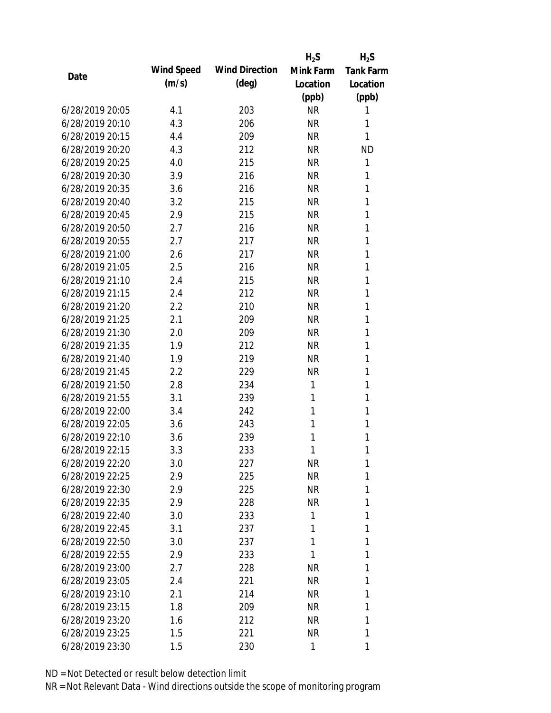|                 |            |                       | $H_2S$    | $H_2S$           |
|-----------------|------------|-----------------------|-----------|------------------|
|                 | Wind Speed | <b>Wind Direction</b> | Mink Farm | <b>Tank Farm</b> |
| Date            | (m/s)      | $(\text{deg})$        | Location  | Location         |
|                 |            |                       | (ppb)     | (ppb)            |
| 6/28/2019 20:05 | 4.1        | 203                   | <b>NR</b> | 1                |
| 6/28/2019 20:10 | 4.3        | 206                   | <b>NR</b> | 1                |
| 6/28/2019 20:15 | 4.4        | 209                   | <b>NR</b> | 1                |
| 6/28/2019 20:20 | 4.3        | 212                   | <b>NR</b> | <b>ND</b>        |
| 6/28/2019 20:25 | 4.0        | 215                   | <b>NR</b> | 1                |
| 6/28/2019 20:30 | 3.9        | 216                   | <b>NR</b> | 1                |
| 6/28/2019 20:35 | 3.6        | 216                   | <b>NR</b> | 1                |
| 6/28/2019 20:40 | 3.2        | 215                   | <b>NR</b> | 1                |
| 6/28/2019 20:45 | 2.9        | 215                   | <b>NR</b> | 1                |
| 6/28/2019 20:50 | 2.7        | 216                   | <b>NR</b> | 1                |
| 6/28/2019 20:55 | 2.7        | 217                   | <b>NR</b> | 1                |
| 6/28/2019 21:00 | 2.6        | 217                   | <b>NR</b> | 1                |
| 6/28/2019 21:05 | 2.5        | 216                   | <b>NR</b> | 1                |
| 6/28/2019 21:10 | 2.4        | 215                   | <b>NR</b> | 1                |
| 6/28/2019 21:15 | 2.4        | 212                   | <b>NR</b> | 1                |
| 6/28/2019 21:20 | 2.2        | 210                   | <b>NR</b> | 1                |
| 6/28/2019 21:25 | 2.1        | 209                   | <b>NR</b> | 1                |
| 6/28/2019 21:30 | 2.0        | 209                   | <b>NR</b> | 1                |
| 6/28/2019 21:35 | 1.9        | 212                   | <b>NR</b> | 1                |
| 6/28/2019 21:40 | 1.9        | 219                   | <b>NR</b> | 1                |
| 6/28/2019 21:45 | 2.2        | 229                   | <b>NR</b> | 1                |
| 6/28/2019 21:50 | 2.8        | 234                   | 1         | 1                |
| 6/28/2019 21:55 | 3.1        | 239                   | 1         | 1                |
| 6/28/2019 22:00 | 3.4        | 242                   | 1         | 1                |
| 6/28/2019 22:05 | 3.6        | 243                   | 1         | 1                |
| 6/28/2019 22:10 | 3.6        | 239                   | 1         | 1                |
| 6/28/2019 22:15 | 3.3        | 233                   | 1         | 1                |
| 6/28/2019 22:20 | 3.0        | 227                   | <b>NR</b> | 1                |
| 6/28/2019 22:25 | 2.9        | 225                   | <b>NR</b> | 1                |
| 6/28/2019 22:30 | 2.9        | 225                   | <b>NR</b> | 1                |
| 6/28/2019 22:35 | 2.9        | 228                   | <b>NR</b> | 1                |
| 6/28/2019 22:40 | 3.0        | 233                   | 1         | 1                |
| 6/28/2019 22:45 | 3.1        | 237                   | 1         | 1                |
| 6/28/2019 22:50 | 3.0        | 237                   | 1         | 1                |
| 6/28/2019 22:55 | 2.9        | 233                   | 1         | 1                |
| 6/28/2019 23:00 | 2.7        | 228                   | <b>NR</b> | 1                |
| 6/28/2019 23:05 | 2.4        | 221                   | <b>NR</b> | 1                |
| 6/28/2019 23:10 | 2.1        | 214                   | <b>NR</b> | 1                |
| 6/28/2019 23:15 | 1.8        | 209                   | <b>NR</b> | 1                |
| 6/28/2019 23:20 | 1.6        | 212                   | <b>NR</b> | 1                |
| 6/28/2019 23:25 | 1.5        | 221                   | <b>NR</b> | 1                |
| 6/28/2019 23:30 | 1.5        | 230                   | 1         | 1                |
|                 |            |                       |           |                  |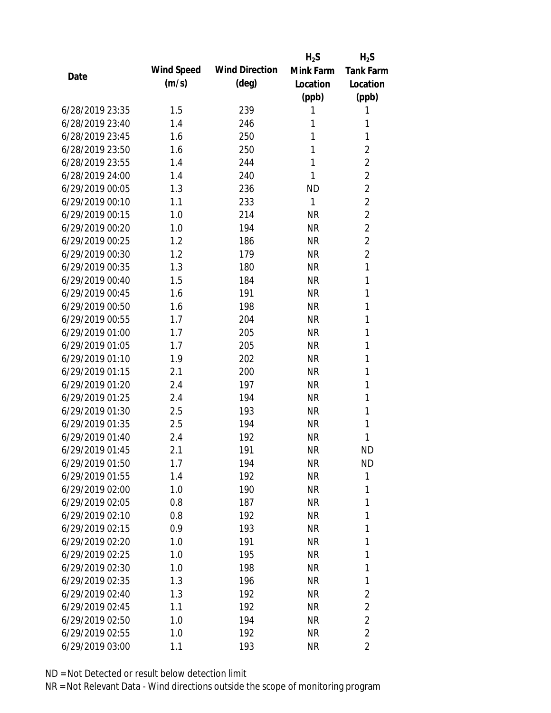|                 |            |                       | $H_2S$       | $H_2S$           |
|-----------------|------------|-----------------------|--------------|------------------|
| Date            | Wind Speed | <b>Wind Direction</b> | Mink Farm    | <b>Tank Farm</b> |
|                 | (m/s)      | $(\text{deg})$        | Location     | Location         |
|                 |            |                       | (ppb)        | (ppb)            |
| 6/28/2019 23:35 | 1.5        | 239                   | 1            | 1                |
| 6/28/2019 23:40 | 1.4        | 246                   | 1            | 1                |
| 6/28/2019 23:45 | 1.6        | 250                   | 1            | 1                |
| 6/28/2019 23:50 | 1.6        | 250                   | 1            | 2                |
| 6/28/2019 23:55 | 1.4        | 244                   | 1            | $\overline{2}$   |
| 6/28/2019 24:00 | 1.4        | 240                   | 1            | $\overline{2}$   |
| 6/29/2019 00:05 | 1.3        | 236                   | <b>ND</b>    | $\overline{2}$   |
| 6/29/2019 00:10 | 1.1        | 233                   | $\mathbf{1}$ | $\overline{2}$   |
| 6/29/2019 00:15 | 1.0        | 214                   | <b>NR</b>    | $\overline{2}$   |
| 6/29/2019 00:20 | 1.0        | 194                   | <b>NR</b>    | $\overline{2}$   |
| 6/29/2019 00:25 | 1.2        | 186                   | <b>NR</b>    | $\overline{2}$   |
| 6/29/2019 00:30 | 1.2        | 179                   | <b>NR</b>    | $\overline{2}$   |
| 6/29/2019 00:35 | 1.3        | 180                   | <b>NR</b>    | $\mathbf{1}$     |
| 6/29/2019 00:40 | 1.5        | 184                   | <b>NR</b>    | 1                |
| 6/29/2019 00:45 | 1.6        | 191                   | <b>NR</b>    | 1                |
| 6/29/2019 00:50 | 1.6        | 198                   | <b>NR</b>    | 1                |
| 6/29/2019 00:55 | 1.7        | 204                   | <b>NR</b>    | 1                |
| 6/29/2019 01:00 | 1.7        | 205                   | <b>NR</b>    | 1                |
| 6/29/2019 01:05 | 1.7        | 205                   | <b>NR</b>    | 1                |
| 6/29/2019 01:10 | 1.9        | 202                   | <b>NR</b>    | 1                |
| 6/29/2019 01:15 | 2.1        | 200                   | <b>NR</b>    | 1                |
| 6/29/2019 01:20 | 2.4        | 197                   | <b>NR</b>    | 1                |
| 6/29/2019 01:25 | 2.4        | 194                   | <b>NR</b>    | 1                |
| 6/29/2019 01:30 | 2.5        | 193                   | <b>NR</b>    | 1                |
| 6/29/2019 01:35 | 2.5        | 194                   | <b>NR</b>    | 1                |
| 6/29/2019 01:40 | 2.4        | 192                   | <b>NR</b>    | 1                |
| 6/29/2019 01:45 | 2.1        | 191                   | <b>NR</b>    | <b>ND</b>        |
| 6/29/2019 01:50 | 1.7        | 194                   | <b>NR</b>    | <b>ND</b>        |
| 6/29/2019 01:55 | 1.4        | 192                   | <b>NR</b>    | 1                |
| 6/29/2019 02:00 | 1.0        | 190                   | <b>NR</b>    | 1                |
| 6/29/2019 02:05 | 0.8        | 187                   | <b>NR</b>    | 1                |
| 6/29/2019 02:10 | 0.8        | 192                   | <b>NR</b>    | 1                |
| 6/29/2019 02:15 | 0.9        | 193                   | <b>NR</b>    | 1                |
| 6/29/2019 02:20 | 1.0        | 191                   | <b>NR</b>    | 1                |
| 6/29/2019 02:25 | 1.0        | 195                   | <b>NR</b>    | 1                |
| 6/29/2019 02:30 | 1.0        | 198                   | <b>NR</b>    | 1                |
| 6/29/2019 02:35 | 1.3        | 196                   | <b>NR</b>    | 1                |
| 6/29/2019 02:40 | 1.3        | 192                   | NR           | 2                |
| 6/29/2019 02:45 | 1.1        | 192                   | <b>NR</b>    | 2                |
| 6/29/2019 02:50 | 1.0        | 194                   | <b>NR</b>    | 2                |
| 6/29/2019 02:55 | 1.0        | 192                   | <b>NR</b>    | $\overline{2}$   |
| 6/29/2019 03:00 | 1.1        | 193                   | <b>NR</b>    | $\overline{2}$   |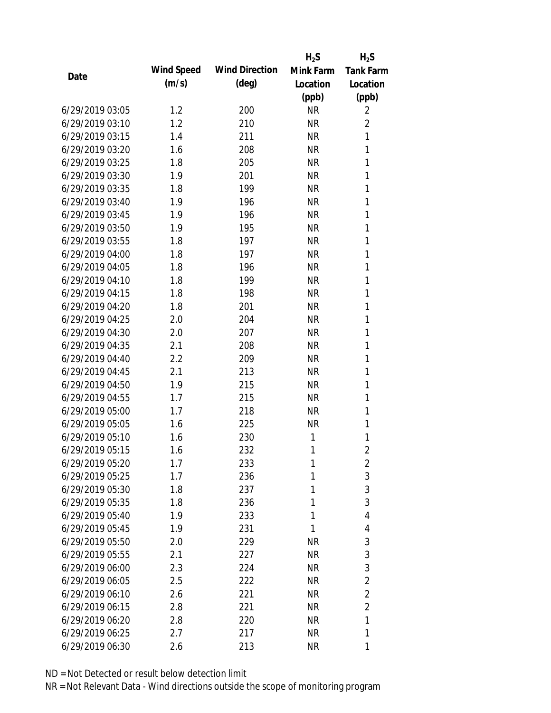|                 |            |                       | $H_2S$    | $H_2S$           |
|-----------------|------------|-----------------------|-----------|------------------|
| Date            | Wind Speed | <b>Wind Direction</b> | Mink Farm | <b>Tank Farm</b> |
|                 | (m/s)      | $(\text{deg})$        | Location  | Location         |
|                 |            |                       | (ppb)     | (ppb)            |
| 6/29/2019 03:05 | 1.2        | 200                   | <b>NR</b> | 2                |
| 6/29/2019 03:10 | 1.2        | 210                   | <b>NR</b> | $\overline{2}$   |
| 6/29/2019 03:15 | 1.4        | 211                   | <b>NR</b> | 1                |
| 6/29/2019 03:20 | 1.6        | 208                   | <b>NR</b> | 1                |
| 6/29/2019 03:25 | 1.8        | 205                   | <b>NR</b> | 1                |
| 6/29/2019 03:30 | 1.9        | 201                   | <b>NR</b> | 1                |
| 6/29/2019 03:35 | 1.8        | 199                   | <b>NR</b> | 1                |
| 6/29/2019 03:40 | 1.9        | 196                   | <b>NR</b> | 1                |
| 6/29/2019 03:45 | 1.9        | 196                   | <b>NR</b> | 1                |
| 6/29/2019 03:50 | 1.9        | 195                   | <b>NR</b> | 1                |
| 6/29/2019 03:55 | 1.8        | 197                   | <b>NR</b> | 1                |
| 6/29/2019 04:00 | 1.8        | 197                   | <b>NR</b> | 1                |
| 6/29/2019 04:05 | 1.8        | 196                   | <b>NR</b> | 1                |
| 6/29/2019 04:10 | 1.8        | 199                   | <b>NR</b> | 1                |
| 6/29/2019 04:15 | 1.8        | 198                   | <b>NR</b> | 1                |
| 6/29/2019 04:20 | 1.8        | 201                   | <b>NR</b> | 1                |
| 6/29/2019 04:25 | 2.0        | 204                   | <b>NR</b> | 1                |
| 6/29/2019 04:30 | 2.0        | 207                   | <b>NR</b> | 1                |
| 6/29/2019 04:35 | 2.1        | 208                   | <b>NR</b> | 1                |
| 6/29/2019 04:40 | 2.2        | 209                   | <b>NR</b> | 1                |
| 6/29/2019 04:45 | 2.1        | 213                   | <b>NR</b> | 1                |
| 6/29/2019 04:50 | 1.9        | 215                   | <b>NR</b> | 1                |
| 6/29/2019 04:55 | 1.7        | 215                   | <b>NR</b> | 1                |
| 6/29/2019 05:00 | 1.7        | 218                   | <b>NR</b> | 1                |
| 6/29/2019 05:05 | 1.6        | 225                   | <b>NR</b> | 1                |
| 6/29/2019 05:10 | 1.6        | 230                   | 1         | 1                |
| 6/29/2019 05:15 | 1.6        | 232                   | 1         | $\overline{2}$   |
| 6/29/2019 05:20 | 1.7        | 233                   | 1         | 2                |
| 6/29/2019 05:25 | 1.7        | 236                   | 1         | 3                |
| 6/29/2019 05:30 | 1.8        | 237                   | 1         | 3                |
| 6/29/2019 05:35 | 1.8        | 236                   | 1         | 3                |
| 6/29/2019 05:40 | 1.9        | 233                   | 1         | 4                |
| 6/29/2019 05:45 | 1.9        | 231                   | 1         | 4                |
| 6/29/2019 05:50 | 2.0        | 229                   | <b>NR</b> | 3                |
| 6/29/2019 05:55 | 2.1        | 227                   | <b>NR</b> | 3                |
| 6/29/2019 06:00 | 2.3        | 224                   | <b>NR</b> | 3                |
| 6/29/2019 06:05 | 2.5        | 222                   | <b>NR</b> | 2                |
| 6/29/2019 06:10 | 2.6        | 221                   | NR        | $\overline{2}$   |
| 6/29/2019 06:15 | 2.8        | 221                   | <b>NR</b> | $\overline{2}$   |
| 6/29/2019 06:20 | 2.8        | 220                   | <b>NR</b> | 1                |
| 6/29/2019 06:25 | 2.7        | 217                   | <b>NR</b> | 1                |
| 6/29/2019 06:30 | 2.6        | 213                   | <b>NR</b> | 1                |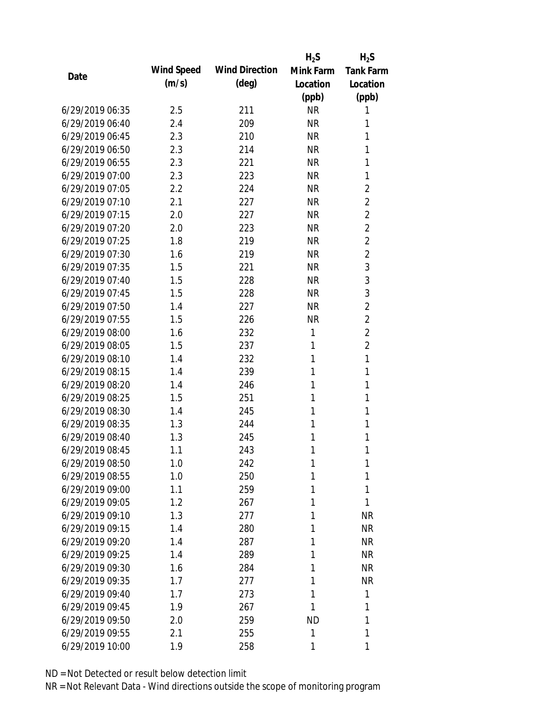|                 |            |                       | $H_2S$    | $H_2S$           |
|-----------------|------------|-----------------------|-----------|------------------|
|                 | Wind Speed | <b>Wind Direction</b> | Mink Farm | <b>Tank Farm</b> |
| Date            | (m/s)      | $(\text{deg})$        | Location  | Location         |
|                 |            |                       | (ppb)     | (ppb)            |
| 6/29/2019 06:35 | 2.5        | 211                   | <b>NR</b> | 1                |
| 6/29/2019 06:40 | 2.4        | 209                   | <b>NR</b> | 1                |
| 6/29/2019 06:45 | 2.3        | 210                   | <b>NR</b> | 1                |
| 6/29/2019 06:50 | 2.3        | 214                   | <b>NR</b> | 1                |
| 6/29/2019 06:55 | 2.3        | 221                   | <b>NR</b> | 1                |
| 6/29/2019 07:00 | 2.3        | 223                   | <b>NR</b> | 1                |
| 6/29/2019 07:05 | 2.2        | 224                   | <b>NR</b> | 2                |
| 6/29/2019 07:10 | 2.1        | 227                   | <b>NR</b> | $\overline{2}$   |
| 6/29/2019 07:15 | 2.0        | 227                   | <b>NR</b> | $\overline{2}$   |
| 6/29/2019 07:20 | 2.0        | 223                   | <b>NR</b> | $\overline{2}$   |
| 6/29/2019 07:25 | 1.8        | 219                   | <b>NR</b> | $\overline{2}$   |
| 6/29/2019 07:30 | 1.6        | 219                   | <b>NR</b> | $\overline{2}$   |
| 6/29/2019 07:35 | 1.5        | 221                   | <b>NR</b> | 3                |
| 6/29/2019 07:40 | 1.5        | 228                   | <b>NR</b> | 3                |
| 6/29/2019 07:45 | 1.5        | 228                   | <b>NR</b> | 3                |
| 6/29/2019 07:50 | 1.4        | 227                   | <b>NR</b> | $\overline{2}$   |
| 6/29/2019 07:55 | 1.5        | 226                   | <b>NR</b> | $\overline{2}$   |
| 6/29/2019 08:00 | 1.6        | 232                   | 1         | $\overline{2}$   |
| 6/29/2019 08:05 | 1.5        | 237                   | 1         | $\overline{2}$   |
| 6/29/2019 08:10 | 1.4        | 232                   | 1         | $\mathbf{1}$     |
| 6/29/2019 08:15 | 1.4        | 239                   | 1         | 1                |
| 6/29/2019 08:20 | 1.4        | 246                   | 1         | 1                |
| 6/29/2019 08:25 | 1.5        | 251                   | 1         | 1                |
| 6/29/2019 08:30 | 1.4        | 245                   | 1         | 1                |
| 6/29/2019 08:35 | 1.3        | 244                   | 1         | 1                |
| 6/29/2019 08:40 | 1.3        | 245                   | 1         | 1                |
| 6/29/2019 08:45 | 1.1        | 243                   | 1         | 1                |
| 6/29/2019 08:50 | 1.0        | 242                   | 1         | 1                |
| 6/29/2019 08:55 | 1.0        | 250                   | 1         | 1                |
| 6/29/2019 09:00 | 1.1        | 259                   | 1         | 1                |
| 6/29/2019 09:05 | 1.2        | 267                   | 1         | 1                |
| 6/29/2019 09:10 | 1.3        | 277                   | 1         | <b>NR</b>        |
| 6/29/2019 09:15 | 1.4        | 280                   | 1         | <b>NR</b>        |
| 6/29/2019 09:20 | 1.4        | 287                   | 1         | <b>NR</b>        |
| 6/29/2019 09:25 | 1.4        | 289                   | 1         | <b>NR</b>        |
| 6/29/2019 09:30 | 1.6        | 284                   | 1         | <b>NR</b>        |
| 6/29/2019 09:35 | 1.7        | 277                   | 1         | <b>NR</b>        |
| 6/29/2019 09:40 | 1.7        | 273                   | 1         | 1                |
| 6/29/2019 09:45 | 1.9        | 267                   | 1         | 1                |
| 6/29/2019 09:50 | 2.0        | 259                   | <b>ND</b> | 1                |
| 6/29/2019 09:55 | 2.1        | 255                   | 1         | 1                |
| 6/29/2019 10:00 | 1.9        | 258                   | 1         | 1                |
|                 |            |                       |           |                  |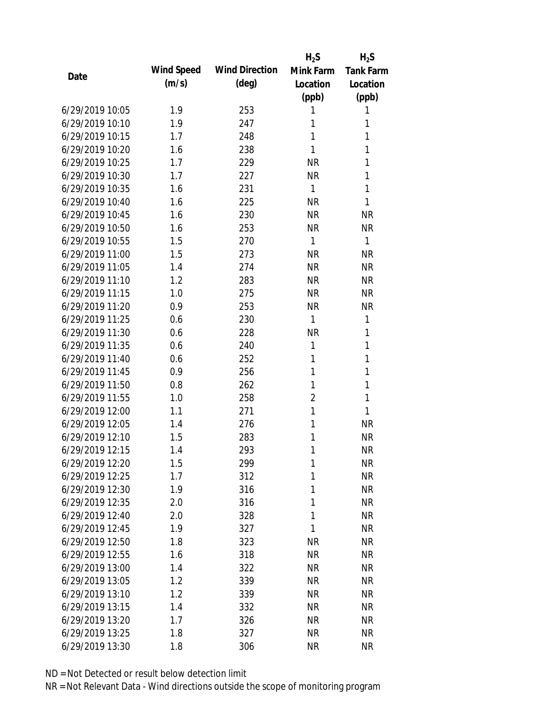|                 |            |                       | $H_2S$         | $H_2S$           |
|-----------------|------------|-----------------------|----------------|------------------|
| Date            | Wind Speed | <b>Wind Direction</b> | Mink Farm      | <b>Tank Farm</b> |
|                 | (m/s)      | $(\text{deg})$        | Location       | Location         |
|                 |            |                       | (ppb)          | (ppb)            |
| 6/29/2019 10:05 | 1.9        | 253                   | 1              | 1                |
| 6/29/2019 10:10 | 1.9        | 247                   | 1              | 1                |
| 6/29/2019 10:15 | 1.7        | 248                   | 1              | 1                |
| 6/29/2019 10:20 | 1.6        | 238                   | 1              | 1                |
| 6/29/2019 10:25 | 1.7        | 229                   | <b>NR</b>      | 1                |
| 6/29/2019 10:30 | 1.7        | 227                   | <b>NR</b>      | 1                |
| 6/29/2019 10:35 | 1.6        | 231                   | $\mathbf{1}$   | 1                |
| 6/29/2019 10:40 | 1.6        | 225                   | <b>NR</b>      | 1                |
| 6/29/2019 10:45 | 1.6        | 230                   | <b>NR</b>      | <b>NR</b>        |
| 6/29/2019 10:50 | 1.6        | 253                   | <b>NR</b>      | <b>NR</b>        |
| 6/29/2019 10:55 | 1.5        | 270                   | $\mathbf{1}$   | 1                |
| 6/29/2019 11:00 | 1.5        | 273                   | <b>NR</b>      | <b>NR</b>        |
| 6/29/2019 11:05 | 1.4        | 274                   | <b>NR</b>      | <b>NR</b>        |
| 6/29/2019 11:10 | 1.2        | 283                   | <b>NR</b>      | <b>NR</b>        |
| 6/29/2019 11:15 | 1.0        | 275                   | <b>NR</b>      | <b>NR</b>        |
| 6/29/2019 11:20 | 0.9        | 253                   | <b>NR</b>      | <b>NR</b>        |
| 6/29/2019 11:25 | 0.6        | 230                   | $\mathbf{1}$   | 1                |
| 6/29/2019 11:30 | 0.6        | 228                   | <b>NR</b>      | 1                |
| 6/29/2019 11:35 | 0.6        | 240                   | $\mathbf{1}$   | 1                |
| 6/29/2019 11:40 | 0.6        | 252                   | 1              | 1                |
| 6/29/2019 11:45 | 0.9        | 256                   | 1              | 1                |
| 6/29/2019 11:50 | 0.8        | 262                   | 1              | 1                |
| 6/29/2019 11:55 | 1.0        | 258                   | $\overline{2}$ | 1                |
| 6/29/2019 12:00 | 1.1        | 271                   | 1              | 1                |
| 6/29/2019 12:05 | 1.4        | 276                   | 1              | <b>NR</b>        |
| 6/29/2019 12:10 | 1.5        | 283                   | 1              | <b>NR</b>        |
| 6/29/2019 12:15 | 1.4        | 293                   | 1              | <b>NR</b>        |
| 6/29/2019 12:20 | 1.5        | 299                   | 1              | <b>NR</b>        |
| 6/29/2019 12:25 | 1.7        | 312                   | 1              | <b>NR</b>        |
| 6/29/2019 12:30 | 1.9        | 316                   | 1              | <b>NR</b>        |
| 6/29/2019 12:35 | 2.0        | 316                   | 1              | <b>NR</b>        |
| 6/29/2019 12:40 | 2.0        | 328                   | 1              | <b>NR</b>        |
| 6/29/2019 12:45 | 1.9        | 327                   | 1              | <b>NR</b>        |
| 6/29/2019 12:50 | 1.8        | 323                   | <b>NR</b>      | <b>NR</b>        |
| 6/29/2019 12:55 | 1.6        | 318                   | <b>NR</b>      | <b>NR</b>        |
| 6/29/2019 13:00 | 1.4        | 322                   | <b>NR</b>      | <b>NR</b>        |
| 6/29/2019 13:05 | 1.2        | 339                   | <b>NR</b>      | <b>NR</b>        |
| 6/29/2019 13:10 | 1.2        | 339                   | <b>NR</b>      | <b>NR</b>        |
| 6/29/2019 13:15 | 1.4        | 332                   | <b>NR</b>      | <b>NR</b>        |
| 6/29/2019 13:20 | 1.7        | 326                   | <b>NR</b>      | <b>NR</b>        |
| 6/29/2019 13:25 | 1.8        | 327                   | <b>NR</b>      | <b>NR</b>        |
| 6/29/2019 13:30 | 1.8        | 306                   | <b>NR</b>      | <b>NR</b>        |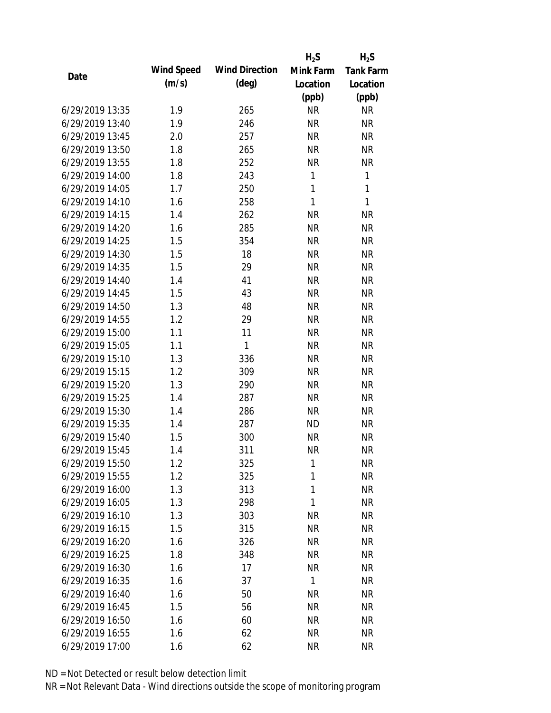|                 |            |                       | $H_2S$       | $H_2S$           |
|-----------------|------------|-----------------------|--------------|------------------|
| Date            | Wind Speed | <b>Wind Direction</b> | Mink Farm    | <b>Tank Farm</b> |
|                 | (m/s)      | $(\text{deg})$        | Location     | Location         |
|                 |            |                       | (ppb)        | (ppb)            |
| 6/29/2019 13:35 | 1.9        | 265                   | <b>NR</b>    | <b>NR</b>        |
| 6/29/2019 13:40 | 1.9        | 246                   | <b>NR</b>    | <b>NR</b>        |
| 6/29/2019 13:45 | 2.0        | 257                   | <b>NR</b>    | <b>NR</b>        |
| 6/29/2019 13:50 | 1.8        | 265                   | <b>NR</b>    | <b>NR</b>        |
| 6/29/2019 13:55 | 1.8        | 252                   | <b>NR</b>    | <b>NR</b>        |
| 6/29/2019 14:00 | 1.8        | 243                   | 1            | 1                |
| 6/29/2019 14:05 | 1.7        | 250                   | $\mathbf{1}$ | 1                |
| 6/29/2019 14:10 | 1.6        | 258                   | $\mathbf{1}$ | $\mathbf{1}$     |
| 6/29/2019 14:15 | 1.4        | 262                   | <b>NR</b>    | <b>NR</b>        |
| 6/29/2019 14:20 | 1.6        | 285                   | <b>NR</b>    | <b>NR</b>        |
| 6/29/2019 14:25 | 1.5        | 354                   | <b>NR</b>    | <b>NR</b>        |
| 6/29/2019 14:30 | 1.5        | 18                    | <b>NR</b>    | <b>NR</b>        |
| 6/29/2019 14:35 | 1.5        | 29                    | <b>NR</b>    | <b>NR</b>        |
| 6/29/2019 14:40 | 1.4        | 41                    | <b>NR</b>    | <b>NR</b>        |
| 6/29/2019 14:45 | 1.5        | 43                    | <b>NR</b>    | <b>NR</b>        |
| 6/29/2019 14:50 | 1.3        | 48                    | <b>NR</b>    | <b>NR</b>        |
| 6/29/2019 14:55 | 1.2        | 29                    | <b>NR</b>    | <b>NR</b>        |
| 6/29/2019 15:00 | 1.1        | 11                    | <b>NR</b>    | <b>NR</b>        |
| 6/29/2019 15:05 | 1.1        | 1                     | <b>NR</b>    | <b>NR</b>        |
| 6/29/2019 15:10 | 1.3        | 336                   | <b>NR</b>    | <b>NR</b>        |
| 6/29/2019 15:15 | 1.2        | 309                   | <b>NR</b>    | <b>NR</b>        |
| 6/29/2019 15:20 | 1.3        | 290                   | <b>NR</b>    | <b>NR</b>        |
| 6/29/2019 15:25 | 1.4        | 287                   | <b>NR</b>    | <b>NR</b>        |
| 6/29/2019 15:30 | 1.4        | 286                   | <b>NR</b>    | <b>NR</b>        |
| 6/29/2019 15:35 | 1.4        | 287                   | <b>ND</b>    | <b>NR</b>        |
| 6/29/2019 15:40 | 1.5        | 300                   | <b>NR</b>    | <b>NR</b>        |
| 6/29/2019 15:45 | 1.4        | 311                   | <b>NR</b>    | <b>NR</b>        |
| 6/29/2019 15:50 | 1.2        | 325                   | 1            | <b>NR</b>        |
| 6/29/2019 15:55 | 1.2        | 325                   | 1            | <b>NR</b>        |
| 6/29/2019 16:00 | 1.3        | 313                   | 1            | <b>NR</b>        |
| 6/29/2019 16:05 | 1.3        | 298                   | 1            | <b>NR</b>        |
| 6/29/2019 16:10 | 1.3        | 303                   | <b>NR</b>    | <b>NR</b>        |
| 6/29/2019 16:15 | 1.5        | 315                   | <b>NR</b>    | <b>NR</b>        |
| 6/29/2019 16:20 | 1.6        | 326                   | <b>NR</b>    | <b>NR</b>        |
| 6/29/2019 16:25 | 1.8        | 348                   | <b>NR</b>    | NR               |
| 6/29/2019 16:30 | 1.6        | 17                    | <b>NR</b>    | <b>NR</b>        |
| 6/29/2019 16:35 | 1.6        | 37                    | 1            | <b>NR</b>        |
| 6/29/2019 16:40 | 1.6        | 50                    | NR           | <b>NR</b>        |
| 6/29/2019 16:45 | 1.5        | 56                    | <b>NR</b>    | NR               |
| 6/29/2019 16:50 | 1.6        | 60                    | <b>NR</b>    | NR               |
| 6/29/2019 16:55 | 1.6        | 62                    | <b>NR</b>    | <b>NR</b>        |
| 6/29/2019 17:00 | 1.6        | 62                    | <b>NR</b>    | <b>NR</b>        |
|                 |            |                       |              |                  |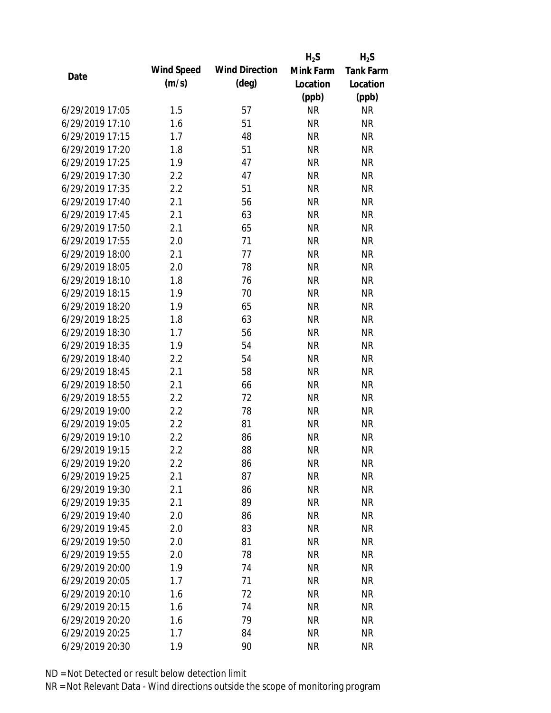|                 |            |                       | $H_2S$    | $H_2S$           |
|-----------------|------------|-----------------------|-----------|------------------|
| Date            | Wind Speed | <b>Wind Direction</b> | Mink Farm | <b>Tank Farm</b> |
|                 | (m/s)      | $(\text{deg})$        | Location  | Location         |
|                 |            |                       | (ppb)     | (ppb)            |
| 6/29/2019 17:05 | 1.5        | 57                    | <b>NR</b> | <b>NR</b>        |
| 6/29/2019 17:10 | 1.6        | 51                    | <b>NR</b> | <b>NR</b>        |
| 6/29/2019 17:15 | 1.7        | 48                    | <b>NR</b> | <b>NR</b>        |
| 6/29/2019 17:20 | 1.8        | 51                    | <b>NR</b> | <b>NR</b>        |
| 6/29/2019 17:25 | 1.9        | 47                    | <b>NR</b> | <b>NR</b>        |
| 6/29/2019 17:30 | 2.2        | 47                    | <b>NR</b> | <b>NR</b>        |
| 6/29/2019 17:35 | 2.2        | 51                    | <b>NR</b> | <b>NR</b>        |
| 6/29/2019 17:40 | 2.1        | 56                    | <b>NR</b> | <b>NR</b>        |
| 6/29/2019 17:45 | 2.1        | 63                    | <b>NR</b> | <b>NR</b>        |
| 6/29/2019 17:50 | 2.1        | 65                    | <b>NR</b> | <b>NR</b>        |
| 6/29/2019 17:55 | 2.0        | 71                    | <b>NR</b> | <b>NR</b>        |
| 6/29/2019 18:00 | 2.1        | 77                    | <b>NR</b> | <b>NR</b>        |
| 6/29/2019 18:05 | 2.0        | 78                    | <b>NR</b> | <b>NR</b>        |
| 6/29/2019 18:10 | 1.8        | 76                    | <b>NR</b> | <b>NR</b>        |
| 6/29/2019 18:15 | 1.9        | 70                    | <b>NR</b> | <b>NR</b>        |
| 6/29/2019 18:20 | 1.9        | 65                    | <b>NR</b> | <b>NR</b>        |
| 6/29/2019 18:25 | 1.8        | 63                    | <b>NR</b> | <b>NR</b>        |
| 6/29/2019 18:30 | 1.7        | 56                    | <b>NR</b> | <b>NR</b>        |
| 6/29/2019 18:35 | 1.9        | 54                    | <b>NR</b> | <b>NR</b>        |
| 6/29/2019 18:40 | 2.2        | 54                    | <b>NR</b> | <b>NR</b>        |
| 6/29/2019 18:45 | 2.1        | 58                    | <b>NR</b> | <b>NR</b>        |
| 6/29/2019 18:50 | 2.1        | 66                    | <b>NR</b> | <b>NR</b>        |
| 6/29/2019 18:55 | 2.2        | 72                    | <b>NR</b> | <b>NR</b>        |
| 6/29/2019 19:00 | 2.2        | 78                    | <b>NR</b> | <b>NR</b>        |
| 6/29/2019 19:05 | 2.2        | 81                    | <b>NR</b> | <b>NR</b>        |
| 6/29/2019 19:10 | 2.2        | 86                    | <b>NR</b> | <b>NR</b>        |
| 6/29/2019 19:15 | 2.2        | 88                    | <b>NR</b> | <b>NR</b>        |
| 6/29/2019 19:20 | 2.2        | 86                    | <b>NR</b> | <b>NR</b>        |
| 6/29/2019 19:25 | 2.1        | 87                    | <b>NR</b> | <b>NR</b>        |
| 6/29/2019 19:30 | 2.1        | 86                    | <b>NR</b> | <b>NR</b>        |
| 6/29/2019 19:35 | 2.1        | 89                    | <b>NR</b> | <b>NR</b>        |
| 6/29/2019 19:40 | 2.0        | 86                    | <b>NR</b> | <b>NR</b>        |
| 6/29/2019 19:45 | 2.0        | 83                    | <b>NR</b> | <b>NR</b>        |
| 6/29/2019 19:50 | 2.0        | 81                    | <b>NR</b> | <b>NR</b>        |
| 6/29/2019 19:55 | 2.0        | 78                    | <b>NR</b> | <b>NR</b>        |
| 6/29/2019 20:00 | 1.9        | 74                    | <b>NR</b> | <b>NR</b>        |
| 6/29/2019 20:05 | 1.7        | 71                    | <b>NR</b> | <b>NR</b>        |
| 6/29/2019 20:10 | 1.6        | 72                    | <b>NR</b> | <b>NR</b>        |
| 6/29/2019 20:15 | 1.6        | 74                    | <b>NR</b> | <b>NR</b>        |
| 6/29/2019 20:20 | 1.6        | 79                    | <b>NR</b> | NR               |
| 6/29/2019 20:25 | 1.7        | 84                    | <b>NR</b> | <b>NR</b>        |
| 6/29/2019 20:30 | 1.9        | 90                    | <b>NR</b> | <b>NR</b>        |
|                 |            |                       |           |                  |